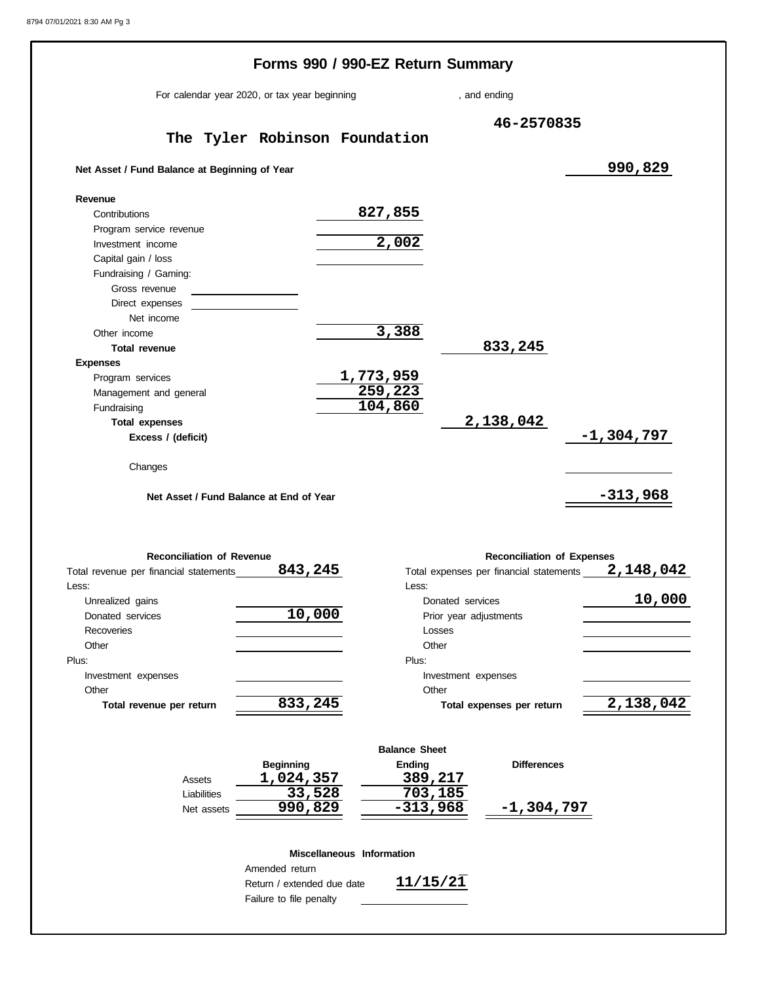|                                                          | Forms 990 / 990-EZ Return Summary                     |                             |                           |                                   |                                                                            |  |  |
|----------------------------------------------------------|-------------------------------------------------------|-----------------------------|---------------------------|-----------------------------------|----------------------------------------------------------------------------|--|--|
|                                                          | For calendar year 2020, or tax year beginning         |                             | , and ending              |                                   |                                                                            |  |  |
|                                                          |                                                       |                             |                           | 46-2570835                        |                                                                            |  |  |
|                                                          | The Tyler Robinson Foundation                         |                             |                           |                                   |                                                                            |  |  |
| Net Asset / Fund Balance at Beginning of Year            |                                                       |                             |                           |                                   | 990,829                                                                    |  |  |
| Revenue                                                  |                                                       |                             |                           |                                   |                                                                            |  |  |
| Contributions                                            |                                                       | 827,855                     |                           |                                   |                                                                            |  |  |
| Program service revenue                                  |                                                       |                             |                           |                                   |                                                                            |  |  |
| Investment income                                        |                                                       | 2,002                       |                           |                                   |                                                                            |  |  |
| Capital gain / loss                                      |                                                       |                             |                           |                                   |                                                                            |  |  |
| Fundraising / Gaming:                                    |                                                       |                             |                           |                                   |                                                                            |  |  |
| Gross revenue                                            |                                                       |                             |                           |                                   |                                                                            |  |  |
| Direct expenses                                          |                                                       |                             |                           |                                   |                                                                            |  |  |
| Net income                                               |                                                       |                             |                           |                                   |                                                                            |  |  |
| Other income                                             |                                                       | 3,388                       |                           |                                   |                                                                            |  |  |
| <b>Total revenue</b>                                     |                                                       |                             |                           | 833,245                           |                                                                            |  |  |
| <b>Expenses</b>                                          |                                                       |                             |                           |                                   |                                                                            |  |  |
| Program services                                         |                                                       | <u>1,773,959</u><br>259,223 |                           |                                   |                                                                            |  |  |
| Management and general                                   |                                                       |                             |                           |                                   |                                                                            |  |  |
| Fundraising                                              |                                                       | 104,860                     |                           |                                   |                                                                            |  |  |
| <b>Total expenses</b><br>Excess / (deficit)              |                                                       |                             |                           | 2,138,042                         | $-1,304,797$                                                               |  |  |
| Changes                                                  |                                                       |                             |                           |                                   |                                                                            |  |  |
|                                                          | Net Asset / Fund Balance at End of Year               |                             |                           |                                   | $-313,968$                                                                 |  |  |
|                                                          |                                                       |                             |                           |                                   |                                                                            |  |  |
| <b>Reconciliation of Revenue</b>                         |                                                       |                             |                           | <b>Reconciliation of Expenses</b> |                                                                            |  |  |
|                                                          | 843,245                                               |                             |                           |                                   |                                                                            |  |  |
|                                                          |                                                       | Less: <b>Less</b>           |                           |                                   |                                                                            |  |  |
| Unrealized gains                                         |                                                       |                             | Donated services          |                                   |                                                                            |  |  |
| Donated services                                         | 10,000                                                |                             | Prior year adjustments    |                                   |                                                                            |  |  |
| Recoveries                                               |                                                       |                             | Losses                    |                                   |                                                                            |  |  |
| Other                                                    |                                                       | Other                       |                           |                                   |                                                                            |  |  |
|                                                          |                                                       | Plus:                       |                           |                                   |                                                                            |  |  |
| Investment expenses<br>Other                             |                                                       | Other                       | Investment expenses       |                                   |                                                                            |  |  |
| Total revenue per return                                 | 833,245                                               |                             | Total expenses per return |                                   | Total expenses per financial statements 2, 148, 042<br>10,000<br>2,138,042 |  |  |
| Total revenue per financial statements<br>Less:<br>Plus: |                                                       |                             |                           |                                   |                                                                            |  |  |
|                                                          |                                                       | <b>Balance Sheet</b>        |                           |                                   |                                                                            |  |  |
|                                                          | <b>Beginning</b>                                      | <b>Ending</b>               |                           | <b>Differences</b>                |                                                                            |  |  |
| Assets                                                   | <u>1,024,357</u>                                      | 389,217                     |                           |                                   |                                                                            |  |  |
| Liabilities                                              | 33,528                                                | 703, 185                    |                           |                                   |                                                                            |  |  |
| Net assets                                               | 990,829                                               | $-313,968$                  |                           | <u>-1,304,797</u>                 |                                                                            |  |  |
|                                                          |                                                       |                             |                           |                                   |                                                                            |  |  |
|                                                          |                                                       | Miscellaneous Information   |                           |                                   |                                                                            |  |  |
|                                                          | Amended return                                        |                             |                           |                                   |                                                                            |  |  |
|                                                          | Return / extended due date<br>Failure to file penalty | 11/15/21                    |                           |                                   |                                                                            |  |  |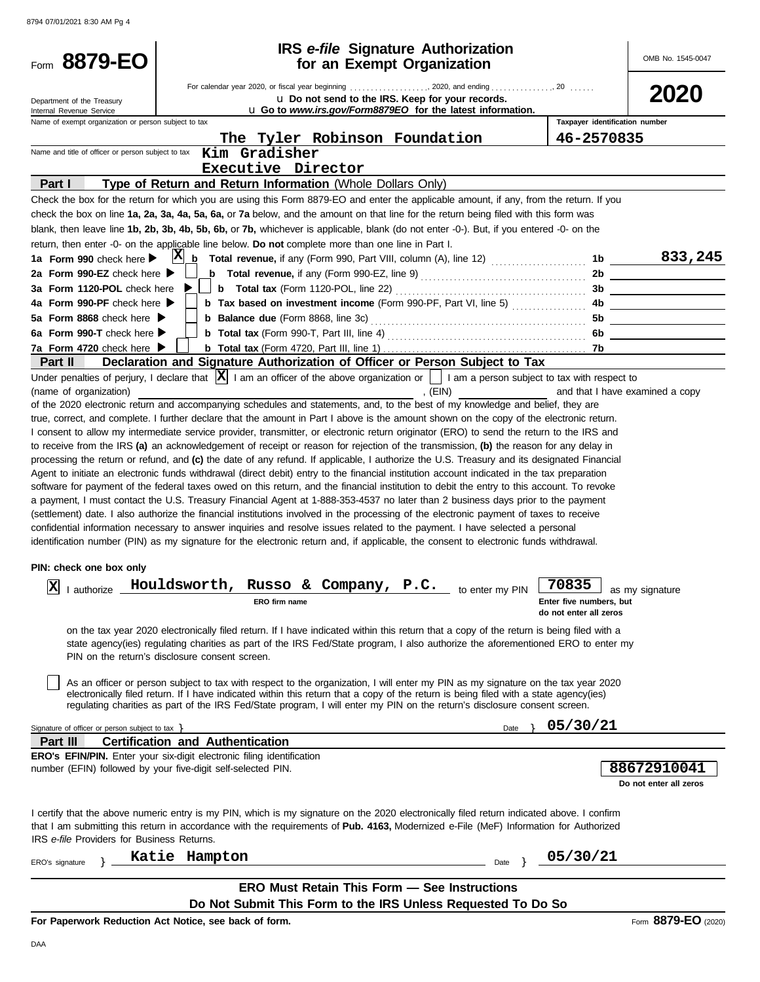| Form 8879-EO                                           | <b>IRS</b> e-file Signature Authorization<br>for an Exempt Organization                                                                                                                                                                                                         |                                                   | OMB No. 1545-0047               |
|--------------------------------------------------------|---------------------------------------------------------------------------------------------------------------------------------------------------------------------------------------------------------------------------------------------------------------------------------|---------------------------------------------------|---------------------------------|
| Department of the Treasury<br>Internal Revenue Service | For calendar year 2020, or fiscal year beginning 2020, and ending 20<br>U Do not send to the IRS. Keep for your records.<br>L Go to www.irs.gov/Form8879EO for the latest information.                                                                                          |                                                   | 2020                            |
| Name of exempt organization or person subject to tax   | The Tyler Robinson Foundation                                                                                                                                                                                                                                                   | Taxpayer identification number<br>46-2570835      |                                 |
| Name and title of officer or person subject to tax     | Kim Gradisher                                                                                                                                                                                                                                                                   |                                                   |                                 |
|                                                        | Executive Director                                                                                                                                                                                                                                                              |                                                   |                                 |
| Part I                                                 | Type of Return and Return Information (Whole Dollars Only)                                                                                                                                                                                                                      |                                                   |                                 |
|                                                        | Check the box for the return for which you are using this Form 8879-EO and enter the applicable amount, if any, from the return. If you<br>check the box on line 1a, 2a, 3a, 4a, 5a, 6a, or 7a below, and the amount on that line for the return being filed with this form was |                                                   |                                 |
|                                                        | blank, then leave line 1b, 2b, 3b, 4b, 5b, 6b, or 7b, whichever is applicable, blank (do not enter -0-). But, if you entered -0- on the                                                                                                                                         |                                                   |                                 |
|                                                        | return, then enter -0- on the applicable line below. Do not complete more than one line in Part I.                                                                                                                                                                              |                                                   |                                 |
| 1a Form 990 check here $\blacktriangleright$           | $ {\bf X} $<br>b Total revenue, if any (Form 990, Part VIII, column (A), line 12)                                                                                                                                                                                               | 1b                                                | 833,245                         |
| 2a Form 990-EZ check here $\blacktriangleright$        | <b>b</b> Total revenue, if any (Form 990-EZ, line 9) $\ldots$ $\ldots$ $\ldots$ $\ldots$ $\ldots$ $\ldots$                                                                                                                                                                      | 2b                                                |                                 |
| 3a Form 1120-POL check here                            | <b>b</b> Total tax (Form 1120-POL, line 22) $\ldots$ $\ldots$ $\ldots$ $\ldots$ $\ldots$ $\ldots$                                                                                                                                                                               | 3b                                                |                                 |
| 4a Form 990-PF check here                              | <b>b</b> Tax based on investment income (Form 990-PF, Part VI, line 5)                                                                                                                                                                                                          | 4b.                                               |                                 |
| 5a Form 8868 check here $\blacktriangleright$          | <b>b Balance due</b> (Form 8868, line 3c)                                                                                                                                                                                                                                       | 5b                                                |                                 |
| 6a Form 990-T check here<br>7a Form 4720 check here ▶  |                                                                                                                                                                                                                                                                                 | 6b.                                               |                                 |
| Part II                                                | Declaration and Signature Authorization of Officer or Person Subject to Tax                                                                                                                                                                                                     | -7b                                               |                                 |
|                                                        | Under penalties of perjury, I declare that $ \mathbf{X} $ I am an officer of the above organization or $\ \cdot\ $ I am a person subject to tax with respect to                                                                                                                 |                                                   |                                 |
| (name of organization)                                 | , $(EIN)$                                                                                                                                                                                                                                                                       |                                                   | and that I have examined a copy |
|                                                        | of the 2020 electronic return and accompanying schedules and statements, and, to the best of my knowledge and belief, they are                                                                                                                                                  |                                                   |                                 |
|                                                        | true, correct, and complete. I further declare that the amount in Part I above is the amount shown on the copy of the electronic return.                                                                                                                                        |                                                   |                                 |
|                                                        | I consent to allow my intermediate service provider, transmitter, or electronic return originator (ERO) to send the return to the IRS and                                                                                                                                       |                                                   |                                 |
|                                                        | to receive from the IRS (a) an acknowledgement of receipt or reason for rejection of the transmission, (b) the reason for any delay in                                                                                                                                          |                                                   |                                 |
|                                                        | processing the return or refund, and (c) the date of any refund. If applicable, I authorize the U.S. Treasury and its designated Financial                                                                                                                                      |                                                   |                                 |
|                                                        | Agent to initiate an electronic funds withdrawal (direct debit) entry to the financial institution account indicated in the tax preparation                                                                                                                                     |                                                   |                                 |
|                                                        | software for payment of the federal taxes owed on this return, and the financial institution to debit the entry to this account. To revoke                                                                                                                                      |                                                   |                                 |
|                                                        | a payment, I must contact the U.S. Treasury Financial Agent at 1-888-353-4537 no later than 2 business days prior to the payment                                                                                                                                                |                                                   |                                 |
|                                                        | (settlement) date. I also authorize the financial institutions involved in the processing of the electronic payment of taxes to receive                                                                                                                                         |                                                   |                                 |
|                                                        | confidential information necessary to answer inquiries and resolve issues related to the payment. I have selected a personal                                                                                                                                                    |                                                   |                                 |
|                                                        | identification number (PIN) as my signature for the electronic return and, if applicable, the consent to electronic funds withdrawal.                                                                                                                                           |                                                   |                                 |
| PIN: check one box only                                |                                                                                                                                                                                                                                                                                 |                                                   |                                 |
|                                                        |                                                                                                                                                                                                                                                                                 | 70835                                             |                                 |
| x                                                      | I authorize <b>Houldsworth, Russo &amp; Company, P.C.</b> to enter my PIN                                                                                                                                                                                                       |                                                   | J as my signature               |
|                                                        | ERO firm name                                                                                                                                                                                                                                                                   | Enter five numbers, but<br>do not enter all zeros |                                 |
|                                                        |                                                                                                                                                                                                                                                                                 |                                                   |                                 |
|                                                        | on the tax year 2020 electronically filed return. If I have indicated within this return that a copy of the return is being filed with a<br>state agency(ies) regulating charities as part of the IRS Fed/State program, I also authorize the aforementioned ERO to enter my    |                                                   |                                 |
|                                                        | PIN on the return's disclosure consent screen.                                                                                                                                                                                                                                  |                                                   |                                 |
|                                                        |                                                                                                                                                                                                                                                                                 |                                                   |                                 |
|                                                        | As an officer or person subject to tax with respect to the organization, I will enter my PIN as my signature on the tax year 2020                                                                                                                                               |                                                   |                                 |
|                                                        | electronically filed return. If I have indicated within this return that a copy of the return is being filed with a state agency(ies)                                                                                                                                           |                                                   |                                 |
|                                                        | regulating charities as part of the IRS Fed/State program, I will enter my PIN on the return's disclosure consent screen.                                                                                                                                                       |                                                   |                                 |
| Signature of officer or person subject to tax $\}$     | Date                                                                                                                                                                                                                                                                            | 05/30/21                                          |                                 |
| Part III                                               | <b>Certification and Authentication</b>                                                                                                                                                                                                                                         |                                                   |                                 |
|                                                        | ERO's EFIN/PIN. Enter your six-digit electronic filing identification                                                                                                                                                                                                           |                                                   |                                 |
|                                                        | number (EFIN) followed by your five-digit self-selected PIN.                                                                                                                                                                                                                    |                                                   | 88672910041                     |
|                                                        |                                                                                                                                                                                                                                                                                 |                                                   | Do not enter all zeros          |
|                                                        |                                                                                                                                                                                                                                                                                 |                                                   |                                 |
|                                                        | I certify that the above numeric entry is my PIN, which is my signature on the 2020 electronically filed return indicated above. I confirm                                                                                                                                      |                                                   |                                 |
|                                                        | that I am submitting this return in accordance with the requirements of Pub. 4163, Modernized e-File (MeF) Information for Authorized                                                                                                                                           |                                                   |                                 |
| IRS e-file Providers for Business Returns.             |                                                                                                                                                                                                                                                                                 |                                                   |                                 |
| ERO's signature                                        | Katie Hampton<br>Date                                                                                                                                                                                                                                                           | 05/30/21                                          |                                 |
|                                                        |                                                                                                                                                                                                                                                                                 |                                                   |                                 |
|                                                        | <b>ERO Must Retain This Form - See Instructions</b>                                                                                                                                                                                                                             |                                                   |                                 |
|                                                        | Do Not Submit This Form to the IRS Unless Requested To Do So                                                                                                                                                                                                                    |                                                   | 0070F                           |

**For Paperwork Reduction Act Notice, see back of form.**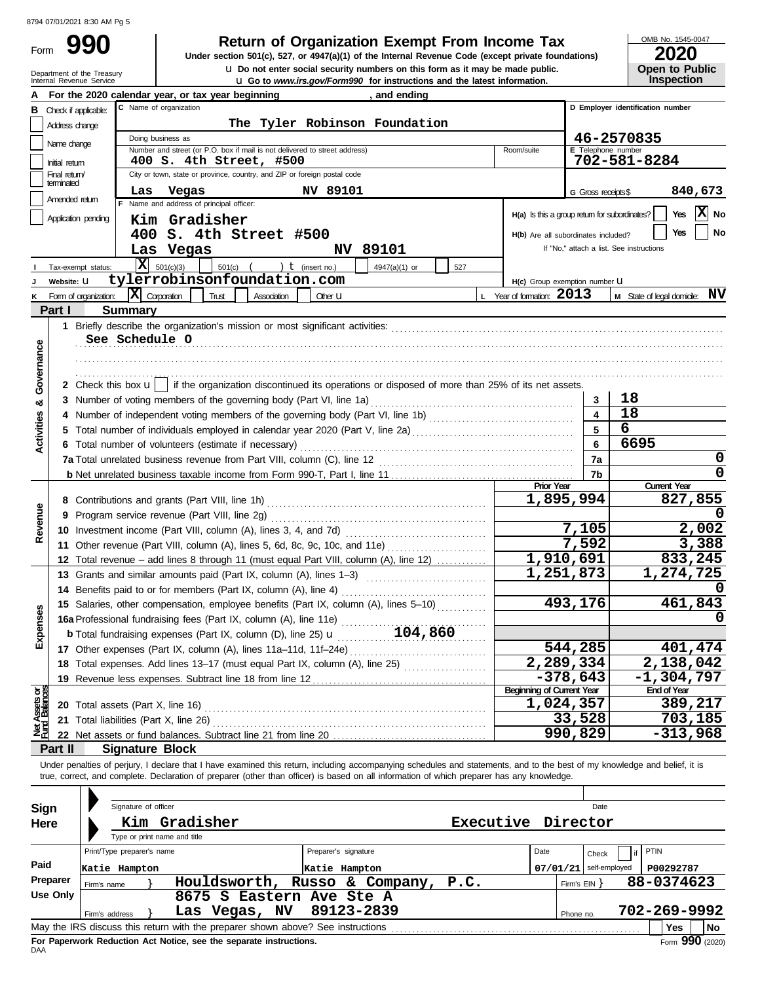# Form

## **990 2000 2020 2020 2020 2020 2020 2020 2020 2020 2020 2020 2020 2020 2020 2020 2020 2020 2020 2020 2020 2020 2020 2020 2020 2020 2020 2020 2020 2020 2020 2020**

**ILIGo to** *www.irs.gov/Form990* for instructions and the late **u** Do not enter social security numbers on this form as it may be made public. **Under section 501(c), 527, or 4947(a)(1) of the Internal Revenue Code (except private foundations)** OMB No. 1545-0047

|  | LULU                  |
|--|-----------------------|
|  | <b>Open to Public</b> |
|  | <b>Inspection</b>     |

| U Do not enter social security numbers on this form as it may be made public.<br><b>Open to Public</b><br>Department of the Treasury<br>Internal Revenue Service<br><b>Inspection</b><br><b>LI Go to</b> www.irs.gov/Form990 for instructions and the latest information. |                                                                   |                            |                            |                                                                                                                                                                                                                                                                          |             |                    |                               |               |         |      |                                                 |                          |                                  |                                          |            |          |
|---------------------------------------------------------------------------------------------------------------------------------------------------------------------------------------------------------------------------------------------------------------------------|-------------------------------------------------------------------|----------------------------|----------------------------|--------------------------------------------------------------------------------------------------------------------------------------------------------------------------------------------------------------------------------------------------------------------------|-------------|--------------------|-------------------------------|---------------|---------|------|-------------------------------------------------|--------------------------|----------------------------------|------------------------------------------|------------|----------|
|                                                                                                                                                                                                                                                                           | For the 2020 calendar year, or tax year beginning<br>, and ending |                            |                            |                                                                                                                                                                                                                                                                          |             |                    |                               |               |         |      |                                                 |                          |                                  |                                          |            |          |
| В                                                                                                                                                                                                                                                                         |                                                                   | Check if applicable:       |                            | C Name of organization                                                                                                                                                                                                                                                   |             |                    |                               |               |         |      |                                                 |                          | D Employer identification number |                                          |            |          |
|                                                                                                                                                                                                                                                                           | Address change                                                    |                            |                            |                                                                                                                                                                                                                                                                          |             |                    | The Tyler Robinson Foundation |               |         |      |                                                 |                          |                                  |                                          |            |          |
|                                                                                                                                                                                                                                                                           | Name change                                                       |                            |                            | Doing business as                                                                                                                                                                                                                                                        |             |                    |                               |               |         |      |                                                 |                          |                                  | 46-2570835                               |            |          |
|                                                                                                                                                                                                                                                                           |                                                                   |                            |                            | Number and street (or P.O. box if mail is not delivered to street address)                                                                                                                                                                                               |             |                    |                               |               |         |      | Room/suite                                      |                          | E Telephone number               |                                          |            |          |
|                                                                                                                                                                                                                                                                           | Initial return                                                    |                            |                            | 400 S. 4th Street, #500                                                                                                                                                                                                                                                  |             |                    |                               |               |         |      |                                                 |                          |                                  | 702-581-8284                             |            |          |
|                                                                                                                                                                                                                                                                           | Final return/<br>terminated                                       |                            |                            | City or town, state or province, country, and ZIP or foreign postal code                                                                                                                                                                                                 |             |                    |                               |               |         |      |                                                 |                          |                                  |                                          |            |          |
|                                                                                                                                                                                                                                                                           | Amended return                                                    |                            | Las                        | Vegas                                                                                                                                                                                                                                                                    |             |                    | NV 89101                      |               |         |      |                                                 |                          | G Gross receipts\$               |                                          | 840,673    |          |
|                                                                                                                                                                                                                                                                           |                                                                   |                            |                            | Name and address of principal officer:                                                                                                                                                                                                                                   |             |                    |                               |               |         |      | $H(a)$ Is this a group return for subordinates? |                          |                                  |                                          | Yes        | $ X $ No |
|                                                                                                                                                                                                                                                                           |                                                                   | Application pending        |                            | Kim Gradisher                                                                                                                                                                                                                                                            |             |                    |                               |               |         |      |                                                 |                          |                                  |                                          | Yes        | No       |
|                                                                                                                                                                                                                                                                           |                                                                   |                            |                            | 400 S. 4th Street #500                                                                                                                                                                                                                                                   |             |                    |                               |               |         |      | H(b) Are all subordinates included?             |                          |                                  | If "No," attach a list. See instructions |            |          |
|                                                                                                                                                                                                                                                                           |                                                                   |                            |                            | Las Vegas                                                                                                                                                                                                                                                                |             |                    |                               | NV 89101      |         |      |                                                 |                          |                                  |                                          |            |          |
|                                                                                                                                                                                                                                                                           |                                                                   | Tax-exempt status:         |                            | $ \mathbf{X} $ 501(c)(3)                                                                                                                                                                                                                                                 | $501(c)$ (  | ) $t$ (insert no.) |                               | 4947(a)(1) or |         | 527  |                                                 |                          |                                  |                                          |            |          |
|                                                                                                                                                                                                                                                                           | Website: U                                                        |                            |                            | tylerrobinsonfoundation.com                                                                                                                                                                                                                                              |             |                    |                               |               |         |      | H(c) Group exemption number U                   |                          |                                  |                                          |            |          |
| κ                                                                                                                                                                                                                                                                         | Part I                                                            | Form of organization:      | $ \mathbf{X} $ Corporation | Trust                                                                                                                                                                                                                                                                    | Association |                    | Other <b>LI</b>               |               |         |      | L Year of formation: 2013                       |                          |                                  | M State of legal domicile: NV            |            |          |
|                                                                                                                                                                                                                                                                           |                                                                   |                            | <b>Summary</b>             |                                                                                                                                                                                                                                                                          |             |                    |                               |               |         |      |                                                 |                          |                                  |                                          |            |          |
|                                                                                                                                                                                                                                                                           |                                                                   | See Schedule O             |                            |                                                                                                                                                                                                                                                                          |             |                    |                               |               |         |      |                                                 |                          |                                  |                                          |            |          |
| Governance                                                                                                                                                                                                                                                                |                                                                   |                            |                            |                                                                                                                                                                                                                                                                          |             |                    |                               |               |         |      |                                                 |                          |                                  |                                          |            |          |
|                                                                                                                                                                                                                                                                           |                                                                   |                            |                            |                                                                                                                                                                                                                                                                          |             |                    |                               |               |         |      |                                                 |                          |                                  |                                          |            |          |
|                                                                                                                                                                                                                                                                           |                                                                   |                            |                            | 2 Check this box $u$   if the organization discontinued its operations or disposed of more than 25% of its net assets.                                                                                                                                                   |             |                    |                               |               |         |      |                                                 |                          |                                  |                                          |            |          |
|                                                                                                                                                                                                                                                                           |                                                                   |                            |                            |                                                                                                                                                                                                                                                                          |             |                    |                               |               |         |      |                                                 |                          | 3                                | 18                                       |            |          |
| න්                                                                                                                                                                                                                                                                        |                                                                   |                            |                            |                                                                                                                                                                                                                                                                          |             |                    |                               |               |         |      |                                                 |                          | $\overline{\mathbf{4}}$          | 18                                       |            |          |
| <b>Activities</b>                                                                                                                                                                                                                                                         |                                                                   |                            |                            |                                                                                                                                                                                                                                                                          |             |                    |                               |               |         |      |                                                 |                          | 6<br>5                           |                                          |            |          |
|                                                                                                                                                                                                                                                                           |                                                                   |                            |                            | 6 Total number of volunteers (estimate if necessary)                                                                                                                                                                                                                     |             |                    |                               |               |         |      |                                                 |                          | 6                                | 6695                                     |            |          |
|                                                                                                                                                                                                                                                                           |                                                                   |                            |                            |                                                                                                                                                                                                                                                                          |             |                    |                               |               |         |      |                                                 |                          | 7a                               |                                          |            | 0        |
|                                                                                                                                                                                                                                                                           |                                                                   |                            |                            |                                                                                                                                                                                                                                                                          |             |                    |                               |               |         |      |                                                 |                          | 7b                               |                                          |            | 0        |
|                                                                                                                                                                                                                                                                           |                                                                   |                            |                            |                                                                                                                                                                                                                                                                          |             |                    |                               |               |         |      | <b>Prior Year</b>                               |                          |                                  | <b>Current Year</b>                      |            |          |
|                                                                                                                                                                                                                                                                           |                                                                   |                            |                            |                                                                                                                                                                                                                                                                          |             |                    |                               |               |         |      |                                                 | 1,895,994                |                                  |                                          | 827,855    |          |
| Revenue                                                                                                                                                                                                                                                                   | 9                                                                 |                            |                            |                                                                                                                                                                                                                                                                          |             |                    |                               |               |         |      |                                                 |                          |                                  |                                          |            |          |
|                                                                                                                                                                                                                                                                           |                                                                   |                            |                            |                                                                                                                                                                                                                                                                          |             |                    |                               |               |         |      |                                                 | 7,105                    |                                  |                                          |            | 2,002    |
|                                                                                                                                                                                                                                                                           |                                                                   |                            |                            | 11 Other revenue (Part VIII, column (A), lines 5, 6d, 8c, 9c, 10c, and 11e)                                                                                                                                                                                              |             |                    |                               |               |         |      |                                                 | 7,592                    |                                  |                                          |            | 3,388    |
|                                                                                                                                                                                                                                                                           |                                                                   |                            |                            | 12 Total revenue - add lines 8 through 11 (must equal Part VIII, column (A), line 12)                                                                                                                                                                                    |             |                    |                               |               |         |      |                                                 | 1,910,691                |                                  |                                          | 833,245    |          |
|                                                                                                                                                                                                                                                                           |                                                                   |                            |                            | 13 Grants and similar amounts paid (Part IX, column (A), lines 1-3)                                                                                                                                                                                                      |             |                    |                               |               |         |      |                                                 | 1,251,873                |                                  |                                          | 1,274,725  |          |
|                                                                                                                                                                                                                                                                           |                                                                   |                            |                            |                                                                                                                                                                                                                                                                          |             |                    |                               |               |         |      |                                                 |                          |                                  |                                          |            |          |
| œ                                                                                                                                                                                                                                                                         |                                                                   |                            |                            | 15 Salaries, other compensation, employee benefits (Part IX, column (A), lines 5-10)                                                                                                                                                                                     |             |                    |                               |               |         |      |                                                 | 493,176                  |                                  |                                          | 461,843    |          |
| ഴ                                                                                                                                                                                                                                                                         |                                                                   |                            |                            | 16a Professional fundraising fees (Part IX, column (A), line 11e)                                                                                                                                                                                                        |             |                    |                               |               |         |      |                                                 |                          |                                  |                                          |            | O        |
| Exper                                                                                                                                                                                                                                                                     |                                                                   |                            |                            | <b>b</b> Total fundraising expenses (Part IX, column (D), line 25) <b>u</b>                                                                                                                                                                                              |             |                    |                               |               | 104,860 |      |                                                 |                          |                                  |                                          |            |          |
|                                                                                                                                                                                                                                                                           |                                                                   |                            |                            |                                                                                                                                                                                                                                                                          |             |                    |                               |               |         |      |                                                 | 544,285                  |                                  |                                          | 401,474    |          |
|                                                                                                                                                                                                                                                                           |                                                                   |                            |                            |                                                                                                                                                                                                                                                                          |             |                    |                               |               |         |      |                                                 | 2,289,334                |                                  |                                          | 2,138,042  |          |
|                                                                                                                                                                                                                                                                           |                                                                   |                            |                            | 19 Revenue less expenses. Subtract line 18 from line 12                                                                                                                                                                                                                  |             |                    |                               |               |         |      | <b>Beginning of Current Year</b>                | $-378,643$               |                                  | $-1,304,797$<br><b>End of Year</b>       |            |          |
|                                                                                                                                                                                                                                                                           |                                                                   |                            |                            |                                                                                                                                                                                                                                                                          |             |                    |                               |               |         |      |                                                 | 1,024,357                |                                  |                                          | 389,217    |          |
| Net Assets or<br>Fund Balances                                                                                                                                                                                                                                            |                                                                   |                            |                            | 20 Total assets (Part X, line 16) Material Contract Contract Contract Contract Contract Contract Contract Contract Contract Contract Contract Contract Contract Contract Contract Contract Contract Contract Contract Contract<br>21 Total liabilities (Part X, line 26) |             |                    |                               |               |         |      |                                                 | 33,528                   |                                  |                                          | 703,185    |          |
|                                                                                                                                                                                                                                                                           |                                                                   |                            |                            |                                                                                                                                                                                                                                                                          |             |                    |                               |               |         |      |                                                 | 990,829                  |                                  |                                          | $-313,968$ |          |
|                                                                                                                                                                                                                                                                           | Part II                                                           |                            |                            | <b>Signature Block</b>                                                                                                                                                                                                                                                   |             |                    |                               |               |         |      |                                                 |                          |                                  |                                          |            |          |
|                                                                                                                                                                                                                                                                           |                                                                   |                            |                            | Under penalties of perjury, I declare that I have examined this return, including accompanying schedules and statements, and to the best of my knowledge and belief, it is                                                                                               |             |                    |                               |               |         |      |                                                 |                          |                                  |                                          |            |          |
|                                                                                                                                                                                                                                                                           |                                                                   |                            |                            | true, correct, and complete. Declaration of preparer (other than officer) is based on all information of which preparer has any knowledge.                                                                                                                               |             |                    |                               |               |         |      |                                                 |                          |                                  |                                          |            |          |
|                                                                                                                                                                                                                                                                           |                                                                   |                            |                            |                                                                                                                                                                                                                                                                          |             |                    |                               |               |         |      |                                                 |                          |                                  |                                          |            |          |
| Sign                                                                                                                                                                                                                                                                      |                                                                   |                            | Signature of officer       |                                                                                                                                                                                                                                                                          |             |                    |                               |               |         |      |                                                 |                          | Date                             |                                          |            |          |
| Here                                                                                                                                                                                                                                                                      |                                                                   |                            |                            | Kim Gradisher                                                                                                                                                                                                                                                            |             |                    |                               |               |         |      | Executive Director                              |                          |                                  |                                          |            |          |
|                                                                                                                                                                                                                                                                           |                                                                   |                            |                            | Type or print name and title                                                                                                                                                                                                                                             |             |                    |                               |               |         |      |                                                 |                          |                                  |                                          |            |          |
|                                                                                                                                                                                                                                                                           |                                                                   | Print/Type preparer's name |                            |                                                                                                                                                                                                                                                                          |             |                    | Preparer's signature          |               |         |      | Date                                            |                          | Check                            | PTIN                                     |            |          |
| Paid                                                                                                                                                                                                                                                                      |                                                                   | Katie Hampton              |                            |                                                                                                                                                                                                                                                                          |             |                    | Katie Hampton                 |               |         |      |                                                 | $07/01/21$ self-employed |                                  |                                          | P00292787  |          |
|                                                                                                                                                                                                                                                                           | Preparer                                                          | Firm's name                |                            | Houldsworth, Russo & Company,                                                                                                                                                                                                                                            |             |                    |                               |               |         | P.C. |                                                 | Firm's EIN ]             |                                  | 88-0374623                               |            |          |
|                                                                                                                                                                                                                                                                           | <b>Use Only</b>                                                   |                            |                            | 8675 S Eastern Ave Ste A                                                                                                                                                                                                                                                 |             |                    |                               |               |         |      |                                                 |                          |                                  |                                          |            |          |
|                                                                                                                                                                                                                                                                           |                                                                   | Firm's address             |                            | Las Vegas, NV                                                                                                                                                                                                                                                            |             |                    | 89123-2839                    |               |         |      |                                                 | Phone no.                |                                  | 702-269-9992                             |            |          |
|                                                                                                                                                                                                                                                                           |                                                                   |                            |                            | May the IRS discuss this return with the preparer shown above? See instructions                                                                                                                                                                                          |             |                    |                               |               |         |      |                                                 |                          |                                  |                                          | Yes        | No       |

| Sign     | Signature of officer       |                                                                                 |                      |                  |           |              | Date          |                               |
|----------|----------------------------|---------------------------------------------------------------------------------|----------------------|------------------|-----------|--------------|---------------|-------------------------------|
| Here     |                            | Kim Gradisher<br>Type or print name and title                                   |                      |                  | Executive | Director     |               |                               |
|          | Print/Type preparer's name |                                                                                 | Preparer's signature |                  |           | Date         | Check         | PTIN                          |
| Paid     | Katie Hampton              |                                                                                 |                      | Katie Hampton    |           | 07/01/21     | self-employed | P00292787                     |
| Preparer | Firm's name                | Houldsworth,                                                                    |                      | Russo & Company, | P.C.      | Firm's EIN Y |               | 88-0374623                    |
| Use Only |                            | 8675 S                                                                          | Eastern Ave Ste A    |                  |           |              |               |                               |
|          | Firm's address             | Vegas,<br>Las                                                                   | NV                   | 89123-2839       |           | Phone no.    |               | 702-269-9992                  |
|          |                            | May the IRS discuss this return with the preparer shown above? See instructions |                      |                  |           |              |               | <b>No</b><br><b>Yes</b>       |
|          |                            | For Panerwork Reduction Act Notice, see the senarate instructions               |                      |                  |           |              |               | $F_{\text{max}}$ QQ0 $(2020)$ |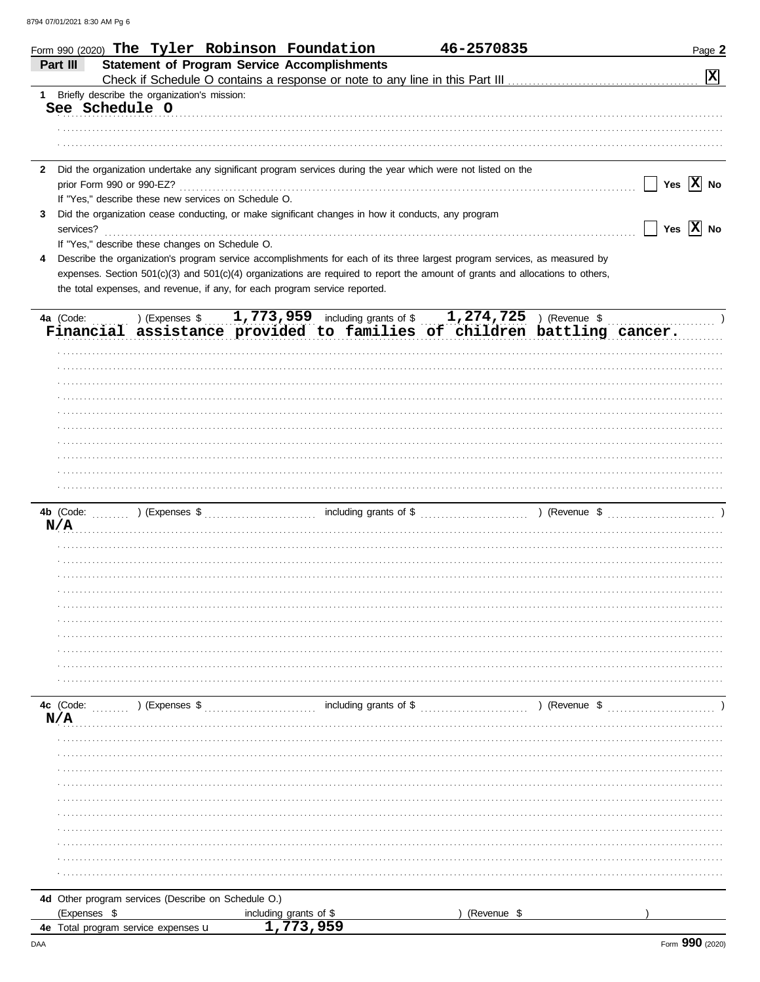|                                                                     |                                                      | Form 990 (2020) The Tyler Robinson Foundation                                                                                                                                                                                   | 46-2570835  | Page 2                             |
|---------------------------------------------------------------------|------------------------------------------------------|---------------------------------------------------------------------------------------------------------------------------------------------------------------------------------------------------------------------------------|-------------|------------------------------------|
| Part III                                                            |                                                      | <b>Statement of Program Service Accomplishments</b>                                                                                                                                                                             |             | $\boxed{\mathbf{X}}$               |
|                                                                     |                                                      |                                                                                                                                                                                                                                 |             |                                    |
| 1 Briefly describe the organization's mission:<br>See Schedule O    |                                                      |                                                                                                                                                                                                                                 |             |                                    |
|                                                                     |                                                      |                                                                                                                                                                                                                                 |             |                                    |
|                                                                     |                                                      |                                                                                                                                                                                                                                 |             |                                    |
|                                                                     |                                                      |                                                                                                                                                                                                                                 |             |                                    |
| $\mathbf{2}$                                                        |                                                      | Did the organization undertake any significant program services during the year which were not listed on the                                                                                                                    |             |                                    |
|                                                                     |                                                      |                                                                                                                                                                                                                                 |             | Yes $\overline{X}$ No              |
|                                                                     | If "Yes," describe these new services on Schedule O. |                                                                                                                                                                                                                                 |             |                                    |
| 3                                                                   |                                                      | Did the organization cease conducting, or make significant changes in how it conducts, any program                                                                                                                              |             |                                    |
| services?                                                           |                                                      |                                                                                                                                                                                                                                 |             | $\Box$ Yes $\boxed{\mathrm{X}}$ No |
|                                                                     | If "Yes," describe these changes on Schedule O.      |                                                                                                                                                                                                                                 |             |                                    |
| 4                                                                   |                                                      | Describe the organization's program service accomplishments for each of its three largest program services, as measured by                                                                                                      |             |                                    |
|                                                                     |                                                      | expenses. Section 501(c)(3) and 501(c)(4) organizations are required to report the amount of grants and allocations to others,                                                                                                  |             |                                    |
|                                                                     |                                                      | the total expenses, and revenue, if any, for each program service reported.                                                                                                                                                     |             |                                    |
|                                                                     |                                                      |                                                                                                                                                                                                                                 |             |                                    |
| 4a (Code:                                                           |                                                      | ) (Expenses $$1,773,959$ including grants of $$1,274,725$ ) (Revenue $$$                                                                                                                                                        |             |                                    |
|                                                                     |                                                      | Financial assistance provided to families of children battling cancer.                                                                                                                                                          |             |                                    |
|                                                                     |                                                      |                                                                                                                                                                                                                                 |             |                                    |
|                                                                     |                                                      |                                                                                                                                                                                                                                 |             |                                    |
|                                                                     |                                                      |                                                                                                                                                                                                                                 |             |                                    |
|                                                                     |                                                      |                                                                                                                                                                                                                                 |             |                                    |
|                                                                     |                                                      |                                                                                                                                                                                                                                 |             |                                    |
|                                                                     |                                                      |                                                                                                                                                                                                                                 |             |                                    |
|                                                                     |                                                      |                                                                                                                                                                                                                                 |             |                                    |
|                                                                     |                                                      |                                                                                                                                                                                                                                 |             |                                    |
|                                                                     |                                                      |                                                                                                                                                                                                                                 |             |                                    |
|                                                                     |                                                      |                                                                                                                                                                                                                                 |             |                                    |
|                                                                     |                                                      |                                                                                                                                                                                                                                 |             |                                    |
|                                                                     |                                                      |                                                                                                                                                                                                                                 |             |                                    |
| N/A                                                                 |                                                      |                                                                                                                                                                                                                                 |             |                                    |
|                                                                     |                                                      |                                                                                                                                                                                                                                 |             |                                    |
|                                                                     |                                                      |                                                                                                                                                                                                                                 |             |                                    |
|                                                                     |                                                      |                                                                                                                                                                                                                                 |             |                                    |
|                                                                     |                                                      |                                                                                                                                                                                                                                 |             |                                    |
|                                                                     |                                                      |                                                                                                                                                                                                                                 |             |                                    |
|                                                                     |                                                      |                                                                                                                                                                                                                                 |             |                                    |
|                                                                     |                                                      |                                                                                                                                                                                                                                 |             |                                    |
|                                                                     |                                                      |                                                                                                                                                                                                                                 |             |                                    |
|                                                                     |                                                      |                                                                                                                                                                                                                                 |             |                                    |
|                                                                     |                                                      |                                                                                                                                                                                                                                 |             |                                    |
|                                                                     |                                                      |                                                                                                                                                                                                                                 |             |                                    |
| N/A                                                                 |                                                      | 4c (Code: (Code: ) (Expenses \$ \,\times \,\times \,\times \,\times \,\times \,\times \,\times \,\times \,\times \,\times \,\times \,\times \,\times \,\times \,\times \,\times \,\times \,\times \,\times \,\times \,\times \, |             |                                    |
|                                                                     |                                                      |                                                                                                                                                                                                                                 |             |                                    |
|                                                                     |                                                      |                                                                                                                                                                                                                                 |             |                                    |
|                                                                     |                                                      |                                                                                                                                                                                                                                 |             |                                    |
|                                                                     |                                                      |                                                                                                                                                                                                                                 |             |                                    |
|                                                                     |                                                      |                                                                                                                                                                                                                                 |             |                                    |
|                                                                     |                                                      |                                                                                                                                                                                                                                 |             |                                    |
|                                                                     |                                                      |                                                                                                                                                                                                                                 |             |                                    |
|                                                                     |                                                      |                                                                                                                                                                                                                                 |             |                                    |
|                                                                     |                                                      |                                                                                                                                                                                                                                 |             |                                    |
|                                                                     |                                                      |                                                                                                                                                                                                                                 |             |                                    |
|                                                                     |                                                      |                                                                                                                                                                                                                                 |             |                                    |
|                                                                     |                                                      |                                                                                                                                                                                                                                 |             |                                    |
|                                                                     |                                                      |                                                                                                                                                                                                                                 |             |                                    |
| 4d Other program services (Describe on Schedule O.)<br>(Expenses \$ |                                                      | including grants of \$                                                                                                                                                                                                          | (Revenue \$ |                                    |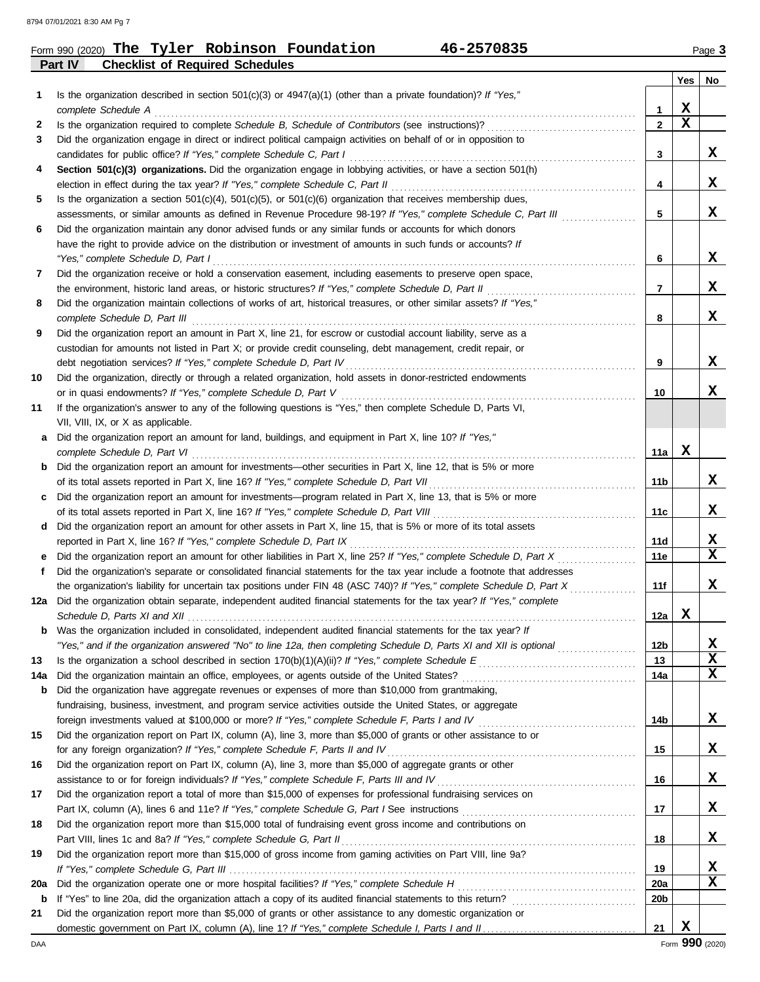### **Part IV Checklist of Required Schedules** Form 990 (2020) Page **3 The Tyler Robinson Foundation 46-2570835**

| 46-2570835 |  |
|------------|--|
|------------|--|

|     |                                                                                                                         |                 | Yes         | No          |
|-----|-------------------------------------------------------------------------------------------------------------------------|-----------------|-------------|-------------|
| 1   | Is the organization described in section $501(c)(3)$ or $4947(a)(1)$ (other than a private foundation)? If "Yes,"       |                 |             |             |
|     | complete Schedule A                                                                                                     | 1               | X           |             |
| 2   |                                                                                                                         | $\mathbf{2}$    | $\mathbf x$ |             |
| 3   | Did the organization engage in direct or indirect political campaign activities on behalf of or in opposition to        |                 |             |             |
|     | candidates for public office? If "Yes," complete Schedule C, Part I                                                     | 3               |             | x           |
| 4   | Section 501(c)(3) organizations. Did the organization engage in lobbying activities, or have a section 501(h)           |                 |             |             |
|     | election in effect during the tax year? If "Yes," complete Schedule C, Part II                                          | 4               |             | x           |
| 5   | Is the organization a section $501(c)(4)$ , $501(c)(5)$ , or $501(c)(6)$ organization that receives membership dues,    |                 |             |             |
|     | assessments, or similar amounts as defined in Revenue Procedure 98-19? If "Yes," complete Schedule C, Part III          | 5               |             | X           |
| 6   | Did the organization maintain any donor advised funds or any similar funds or accounts for which donors                 |                 |             |             |
|     | have the right to provide advice on the distribution or investment of amounts in such funds or accounts? If             |                 |             |             |
|     | "Yes," complete Schedule D, Part I                                                                                      | 6               |             | X           |
| 7   | Did the organization receive or hold a conservation easement, including easements to preserve open space,               |                 |             |             |
|     | the environment, historic land areas, or historic structures? If "Yes," complete Schedule D, Part II                    | 7               |             | X           |
| 8   | Did the organization maintain collections of works of art, historical treasures, or other similar assets? If "Yes,"     |                 |             |             |
|     | complete Schedule D, Part III                                                                                           | 8               |             | x           |
| 9   | Did the organization report an amount in Part X, line 21, for escrow or custodial account liability, serve as a         |                 |             |             |
|     | custodian for amounts not listed in Part X; or provide credit counseling, debt management, credit repair, or            |                 |             | x           |
| 10  | Did the organization, directly or through a related organization, hold assets in donor-restricted endowments            | 9               |             |             |
|     | or in quasi endowments? If "Yes," complete Schedule D, Part V                                                           | 10              |             | x           |
| 11  | If the organization's answer to any of the following questions is "Yes," then complete Schedule D, Parts VI,            |                 |             |             |
|     | VII, VIII, IX, or X as applicable.                                                                                      |                 |             |             |
| a   | Did the organization report an amount for land, buildings, and equipment in Part X, line 10? If "Yes,"                  |                 |             |             |
|     | complete Schedule D, Part VI                                                                                            | 11a             | X           |             |
|     | <b>b</b> Did the organization report an amount for investments—other securities in Part X, line 12, that is 5% or more  |                 |             |             |
|     | of its total assets reported in Part X, line 16? If "Yes," complete Schedule D, Part VII                                | 11b             |             | x           |
|     | c Did the organization report an amount for investments—program related in Part X, line 13, that is 5% or more          |                 |             |             |
|     |                                                                                                                         | 11c             |             | x           |
| d   | Did the organization report an amount for other assets in Part X, line 15, that is 5% or more of its total assets       |                 |             |             |
|     | reported in Part X, line 16? If "Yes," complete Schedule D, Part IX                                                     | 11d             |             | X           |
| е   | Did the organization report an amount for other liabilities in Part X, line 25? If "Yes," complete Schedule D, Part X   | 11e             |             | $\mathbf x$ |
| f   | Did the organization's separate or consolidated financial statements for the tax year include a footnote that addresses |                 |             |             |
|     | the organization's liability for uncertain tax positions under FIN 48 (ASC 740)? If "Yes," complete Schedule D, Part X  | 11f             |             | x           |
| 12a | Did the organization obtain separate, independent audited financial statements for the tax year? If "Yes," complete     |                 |             |             |
|     |                                                                                                                         | 12a             | x           |             |
| b   | Was the organization included in consolidated, independent audited financial statements for the tax year? If            |                 |             |             |
|     | "Yes," and if the organization answered "No" to line 12a, then completing Schedule D, Parts XI and XII is optional      | 12 <sub>b</sub> |             | X           |
| 13  |                                                                                                                         | 13              |             | $\mathbf x$ |
| 14a |                                                                                                                         | 14a             |             | $\mathbf x$ |
| b   | Did the organization have aggregate revenues or expenses of more than \$10,000 from grantmaking,                        |                 |             |             |
|     | fundraising, business, investment, and program service activities outside the United States, or aggregate               |                 |             |             |
|     |                                                                                                                         | 14b             |             | X           |
| 15  | Did the organization report on Part IX, column (A), line 3, more than \$5,000 of grants or other assistance to or       |                 |             |             |
|     | for any foreign organization? If "Yes," complete Schedule F, Parts II and IV                                            | 15              |             | X           |
| 16  | Did the organization report on Part IX, column (A), line 3, more than \$5,000 of aggregate grants or other              |                 |             | X           |
|     |                                                                                                                         | 16              |             |             |
| 17  | Did the organization report a total of more than \$15,000 of expenses for professional fundraising services on          | 17              |             | X           |
| 18  | Did the organization report more than \$15,000 total of fundraising event gross income and contributions on             |                 |             |             |
|     |                                                                                                                         | 18              |             | X           |
| 19  | Did the organization report more than \$15,000 of gross income from gaming activities on Part VIII, line 9a?            |                 |             |             |
|     |                                                                                                                         | 19              |             | X           |
| 20a |                                                                                                                         | 20a             |             | X           |
| b   |                                                                                                                         | 20 <sub>b</sub> |             |             |
| 21  | Did the organization report more than \$5,000 of grants or other assistance to any domestic organization or             |                 |             |             |
|     |                                                                                                                         | 21              | X           |             |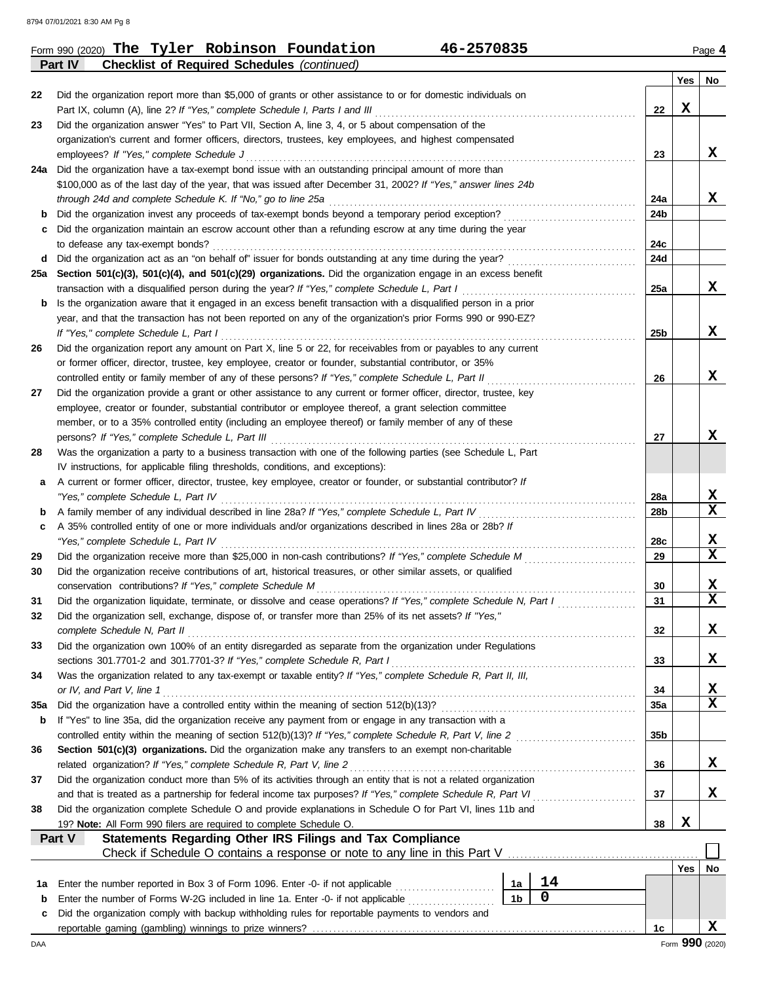8794 07/01/2021 8:30 AM Pg 8

|         | 46-2570835<br>Form 990 (2020) The Tyler Robinson Foundation                                                                                             |                |             |     |     | Page 4                  |
|---------|---------------------------------------------------------------------------------------------------------------------------------------------------------|----------------|-------------|-----|-----|-------------------------|
|         | <b>Checklist of Required Schedules (continued)</b><br>Part IV                                                                                           |                |             |     |     |                         |
|         |                                                                                                                                                         |                |             |     | Yes | No                      |
| 22      | Did the organization report more than \$5,000 of grants or other assistance to or for domestic individuals on                                           |                |             |     |     |                         |
|         | Part IX, column (A), line 2? If "Yes," complete Schedule I, Parts I and III                                                                             |                |             | 22  | X   |                         |
| 23      | Did the organization answer "Yes" to Part VII, Section A, line 3, 4, or 5 about compensation of the                                                     |                |             |     |     |                         |
|         | organization's current and former officers, directors, trustees, key employees, and highest compensated<br>employees? If "Yes," complete Schedule J     |                |             | 23  |     | X                       |
|         | 24a Did the organization have a tax-exempt bond issue with an outstanding principal amount of more than                                                 |                |             |     |     |                         |
|         | \$100,000 as of the last day of the year, that was issued after December 31, 2002? If "Yes," answer lines 24b                                           |                |             |     |     |                         |
|         | through 24d and complete Schedule K. If "No," go to line 25a                                                                                            |                |             | 24a |     | X                       |
| b       | Did the organization invest any proceeds of tax-exempt bonds beyond a temporary period exception?                                                       |                |             | 24b |     |                         |
| c       | Did the organization maintain an escrow account other than a refunding escrow at any time during the year                                               |                |             |     |     |                         |
|         | to defease any tax-exempt bonds?                                                                                                                        |                |             | 24c |     |                         |
| d       | Did the organization act as an "on behalf of" issuer for bonds outstanding at any time during the year?                                                 |                |             | 24d |     |                         |
|         | 25a Section 501(c)(3), 501(c)(4), and 501(c)(29) organizations. Did the organization engage in an excess benefit                                        |                |             |     |     |                         |
|         | transaction with a disqualified person during the year? If "Yes," complete Schedule L, Part I                                                           |                |             | 25a |     | X                       |
| b       | Is the organization aware that it engaged in an excess benefit transaction with a disqualified person in a prior                                        |                |             |     |     |                         |
|         | year, and that the transaction has not been reported on any of the organization's prior Forms 990 or 990-EZ?                                            |                |             |     |     |                         |
|         | If "Yes," complete Schedule L, Part I                                                                                                                   |                |             | 25b |     | X                       |
| 26      | Did the organization report any amount on Part X, line 5 or 22, for receivables from or payables to any current                                         |                |             |     |     |                         |
|         | or former officer, director, trustee, key employee, creator or founder, substantial contributor, or 35%                                                 |                |             |     |     |                         |
|         | controlled entity or family member of any of these persons? If "Yes," complete Schedule L, Part II                                                      |                |             | 26  |     | X                       |
| 27      | Did the organization provide a grant or other assistance to any current or former officer, director, trustee, key                                       |                |             |     |     |                         |
|         | employee, creator or founder, substantial contributor or employee thereof, a grant selection committee                                                  |                |             |     |     |                         |
|         | member, or to a 35% controlled entity (including an employee thereof) or family member of any of these                                                  |                |             |     |     |                         |
|         | persons? If "Yes," complete Schedule L, Part III                                                                                                        |                |             | 27  |     | X                       |
| 28      | Was the organization a party to a business transaction with one of the following parties (see Schedule L, Part                                          |                |             |     |     |                         |
|         | IV instructions, for applicable filing thresholds, conditions, and exceptions):                                                                         |                |             |     |     |                         |
| а       | A current or former officer, director, trustee, key employee, creator or founder, or substantial contributor? If<br>"Yes," complete Schedule L, Part IV |                |             | 28a |     | X                       |
| b       | A family member of any individual described in line 28a? If "Yes," complete Schedule L, Part IV                                                         |                | .           | 28b |     | X                       |
| c       | A 35% controlled entity of one or more individuals and/or organizations described in lines 28a or 28b? If                                               |                |             |     |     |                         |
|         | "Yes," complete Schedule L, Part IV                                                                                                                     |                |             | 28c |     | X                       |
| 29      | Did the organization receive more than \$25,000 in non-cash contributions? If "Yes," complete Schedule M                                                |                |             | 29  |     | X                       |
| 30      | Did the organization receive contributions of art, historical treasures, or other similar assets, or qualified                                          |                |             |     |     |                         |
|         | conservation contributions? If "Yes," complete Schedule M                                                                                               |                |             | 30  |     | X                       |
| 31      | Did the organization liquidate, terminate, or dissolve and cease operations? If "Yes," complete Schedule N, Part I                                      |                |             | 31  |     | $\overline{\textbf{X}}$ |
| 32      | Did the organization sell, exchange, dispose of, or transfer more than 25% of its net assets? If "Yes,"                                                 |                |             |     |     |                         |
|         | complete Schedule N, Part II                                                                                                                            |                |             | 32  |     | X                       |
| 33      | Did the organization own 100% of an entity disregarded as separate from the organization under Regulations                                              |                |             |     |     |                         |
|         | sections 301.7701-2 and 301.7701-3? If "Yes," complete Schedule R, Part I                                                                               |                |             | 33  |     | X                       |
| 34      | Was the organization related to any tax-exempt or taxable entity? If "Yes," complete Schedule R, Part II, III,                                          |                |             |     |     |                         |
|         | or IV, and Part V, line 1                                                                                                                               |                |             | 34  |     | X                       |
| 35a     | Did the organization have a controlled entity within the meaning of section 512(b)(13)?                                                                 |                |             | 35a |     | $\mathbf x$             |
| b       | If "Yes" to line 35a, did the organization receive any payment from or engage in any transaction with a                                                 |                |             |     |     |                         |
|         | controlled entity within the meaning of section 512(b)(13)? If "Yes," complete Schedule R, Part V, line 2                                               |                |             | 35b |     |                         |
| 36      | Section 501(c)(3) organizations. Did the organization make any transfers to an exempt non-charitable                                                    |                |             |     |     |                         |
|         | related organization? If "Yes," complete Schedule R, Part V, line 2                                                                                     |                |             | 36  |     | X                       |
| 37      | Did the organization conduct more than 5% of its activities through an entity that is not a related organization                                        |                |             |     |     |                         |
|         | and that is treated as a partnership for federal income tax purposes? If "Yes," complete Schedule R, Part VI                                            |                |             | 37  |     | x                       |
| 38      | Did the organization complete Schedule O and provide explanations in Schedule O for Part VI, lines 11b and                                              |                |             |     |     |                         |
|         | 19? Note: All Form 990 filers are required to complete Schedule O.                                                                                      |                |             | 38  | X   |                         |
|         | Statements Regarding Other IRS Filings and Tax Compliance<br>Part V                                                                                     |                |             |     |     |                         |
|         | Check if Schedule O contains a response or note to any line in this Part V                                                                              |                |             |     |     |                         |
|         | Enter the number reported in Box 3 of Form 1096. Enter -0- if not applicable                                                                            | 1a             | 14          |     | Yes | No                      |
| 1a<br>b | Enter the number of Forms W-2G included in line 1a. Enter -0- if not applicable                                                                         | 1 <sub>b</sub> | $\mathbf 0$ |     |     |                         |
| c       | Did the organization comply with backup withholding rules for reportable payments to vendors and                                                        |                |             |     |     |                         |
|         |                                                                                                                                                         |                |             | 1c  |     | x                       |
| DAA     |                                                                                                                                                         |                |             |     |     | Form 990 (2020)         |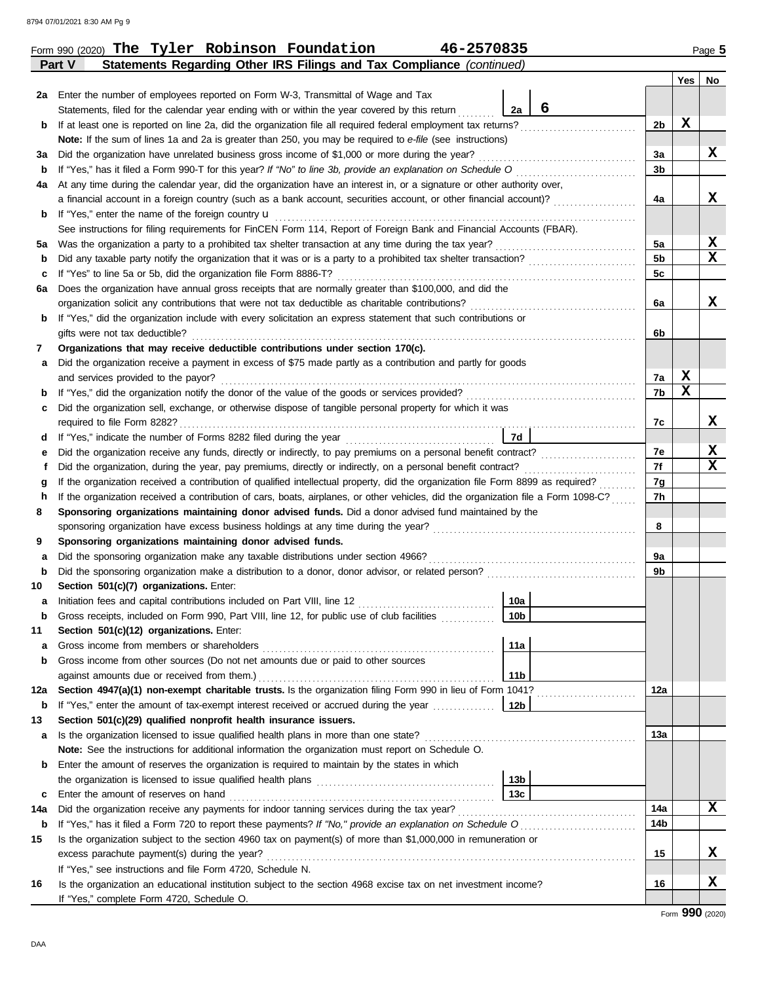|     | Part V<br>Statements Regarding Other IRS Filings and Tax Compliance (continued)                                                                           |                        |   |                |     |    |
|-----|-----------------------------------------------------------------------------------------------------------------------------------------------------------|------------------------|---|----------------|-----|----|
|     |                                                                                                                                                           |                        |   |                | Yes | No |
| 2a  | Enter the number of employees reported on Form W-3, Transmittal of Wage and Tax                                                                           |                        |   |                |     |    |
|     | Statements, filed for the calendar year ending with or within the year covered by this return                                                             | 2a                     | 6 |                |     |    |
| b   |                                                                                                                                                           |                        |   | 2b             | X   |    |
|     | Note: If the sum of lines 1a and 2a is greater than 250, you may be required to e-file (see instructions)                                                 |                        |   |                |     |    |
| За  | Did the organization have unrelated business gross income of \$1,000 or more during the year?                                                             |                        |   | 3a             |     | X  |
| b   | If "Yes," has it filed a Form 990-T for this year? If "No" to line 3b, provide an explanation on Schedule O                                               |                        |   | 3 <sub>b</sub> |     |    |
| 4a  | At any time during the calendar year, did the organization have an interest in, or a signature or other authority over,                                   |                        |   |                |     |    |
|     | a financial account in a foreign country (such as a bank account, securities account, or other financial account)?                                        |                        |   | 4a             |     | x  |
| b   | If "Yes," enter the name of the foreign country <b>u</b>                                                                                                  |                        |   |                |     |    |
|     | See instructions for filing requirements for FinCEN Form 114, Report of Foreign Bank and Financial Accounts (FBAR).                                       |                        |   |                |     |    |
| 5а  | Was the organization a party to a prohibited tax shelter transaction at any time during the tax year?                                                     |                        |   | 5a             |     | X  |
| b   |                                                                                                                                                           |                        |   | 5b             |     | x  |
| c   | If "Yes" to line 5a or 5b, did the organization file Form 8886-T?                                                                                         |                        |   | 5c             |     |    |
| 6а  | Does the organization have annual gross receipts that are normally greater than \$100,000, and did the                                                    |                        |   |                |     |    |
|     | organization solicit any contributions that were not tax deductible as charitable contributions?                                                          |                        |   | 6a             |     | X  |
| b   | If "Yes," did the organization include with every solicitation an express statement that such contributions or                                            |                        |   |                |     |    |
|     | gifts were not tax deductible?                                                                                                                            |                        |   | 6b             |     |    |
| 7   | Organizations that may receive deductible contributions under section 170(c).                                                                             |                        |   |                |     |    |
| а   | Did the organization receive a payment in excess of \$75 made partly as a contribution and partly for goods                                               |                        |   |                |     |    |
|     | and services provided to the payor?                                                                                                                       |                        |   | 7a             | X   |    |
| b   |                                                                                                                                                           |                        |   | 7b             | X   |    |
| c   | Did the organization sell, exchange, or otherwise dispose of tangible personal property for which it was                                                  |                        |   |                |     |    |
|     |                                                                                                                                                           |                        |   | 7c             |     | X  |
| d   |                                                                                                                                                           | 7d                     |   |                |     |    |
| е   |                                                                                                                                                           |                        |   | 7e             |     | х  |
|     | Did the organization, during the year, pay premiums, directly or indirectly, on a personal benefit contract?                                              |                        |   | 7f             |     | x  |
| g   | If the organization received a contribution of qualified intellectual property, did the organization file Form 8899 as required?                          |                        |   | 7g             |     |    |
| h   | If the organization received a contribution of cars, boats, airplanes, or other vehicles, did the organization file a Form 1098-C?                        |                        |   | 7h             |     |    |
| 8   | Sponsoring organizations maintaining donor advised funds. Did a donor advised fund maintained by the                                                      |                        |   |                |     |    |
|     |                                                                                                                                                           |                        |   | 8              |     |    |
| 9   | Sponsoring organizations maintaining donor advised funds.                                                                                                 |                        |   |                |     |    |
| а   | Did the sponsoring organization make any taxable distributions under section 4966?                                                                        |                        |   | 9a             |     |    |
| b   |                                                                                                                                                           |                        |   | 9b             |     |    |
| 10  | Section 501(c)(7) organizations. Enter:                                                                                                                   |                        |   |                |     |    |
| a   |                                                                                                                                                           | 10a<br>10 <sub>b</sub> |   |                |     |    |
|     | Gross receipts, included on Form 990, Part VIII, line 12, for public use of club facilities                                                               |                        |   |                |     |    |
| 11  | Section 501(c)(12) organizations. Enter:                                                                                                                  |                        |   |                |     |    |
| а   | Gross income from members or shareholders                                                                                                                 | 11a                    |   |                |     |    |
| b   | Gross income from other sources (Do not net amounts due or paid to other sources                                                                          | 11 <sub>b</sub>        |   |                |     |    |
| 12a | against amounts due or received from them.)<br>Section 4947(a)(1) non-exempt charitable trusts. Is the organization filing Form 990 in lieu of Form 1041? |                        |   | 12a            |     |    |
| b   | If "Yes," enter the amount of tax-exempt interest received or accrued during the year <i>minimizion</i> .                                                 | 12b                    |   |                |     |    |
| 13  | Section 501(c)(29) qualified nonprofit health insurance issuers.                                                                                          |                        |   |                |     |    |
| a   | Is the organization licensed to issue qualified health plans in more than one state?                                                                      |                        |   | 13а            |     |    |
|     | Note: See the instructions for additional information the organization must report on Schedule O.                                                         |                        |   |                |     |    |
| b   | Enter the amount of reserves the organization is required to maintain by the states in which                                                              |                        |   |                |     |    |
|     |                                                                                                                                                           | 13 <sub>b</sub>        |   |                |     |    |
| c   | Enter the amount of reserves on hand                                                                                                                      | 13 <sub>c</sub>        |   |                |     |    |
| 14a | Did the organization receive any payments for indoor tanning services during the tax year?                                                                |                        |   | 14a            |     | x  |
| b   | If "Yes," has it filed a Form 720 to report these payments? If "No," provide an explanation on Schedule O                                                 |                        |   | 14b            |     |    |
| 15  | Is the organization subject to the section 4960 tax on payment(s) of more than \$1,000,000 in remuneration or                                             |                        |   |                |     |    |
|     | excess parachute payment(s) during the year?                                                                                                              |                        |   | 15             |     | x  |
|     | If "Yes," see instructions and file Form 4720, Schedule N.                                                                                                |                        |   |                |     |    |
| 16  | Is the organization an educational institution subject to the section 4968 excise tax on net investment income?                                           |                        |   | 16             |     | х  |
|     | If "Yes," complete Form 4720, Schedule O.                                                                                                                 |                        |   |                |     |    |

Form 990 (2020) Page **5 The Tyler Robinson Foundation 46-2570835**

Form **990** (2020)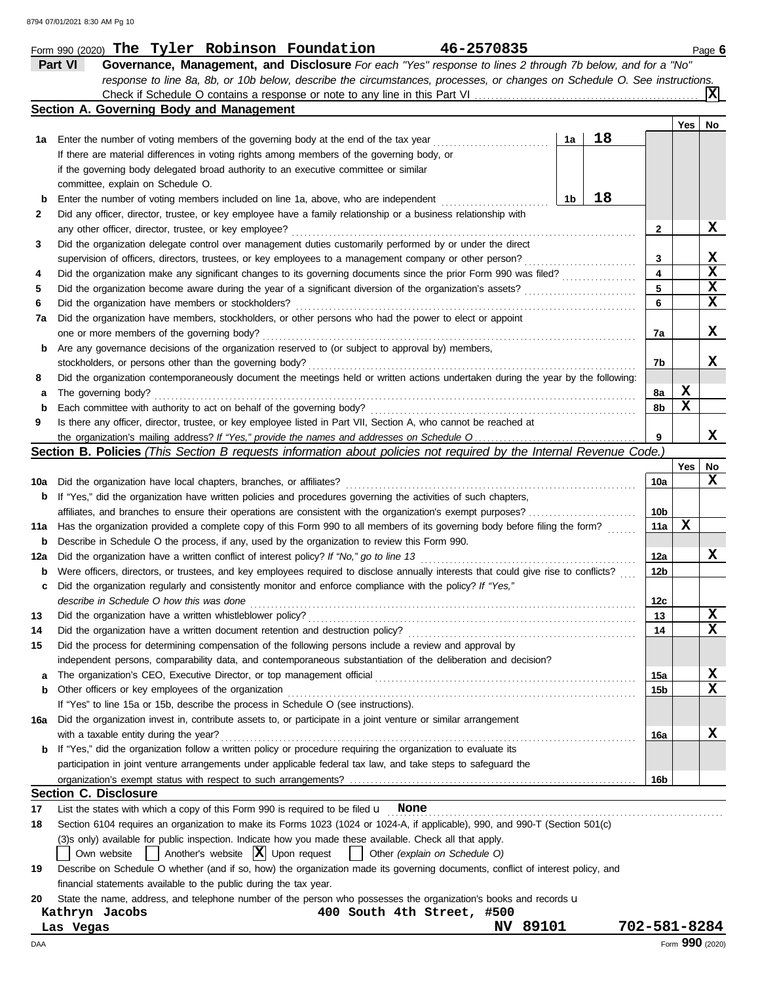|     | 46-2570835<br>Form 990 (2020) The Tyler Robinson Foundation                                                                                  |                 |     | Page 6          |
|-----|----------------------------------------------------------------------------------------------------------------------------------------------|-----------------|-----|-----------------|
|     | Part VI<br>Governance, Management, and Disclosure For each "Yes" response to lines 2 through 7b below, and for a "No"                        |                 |     |                 |
|     | response to line 8a, 8b, or 10b below, describe the circumstances, processes, or changes on Schedule O. See instructions.                    |                 |     |                 |
|     |                                                                                                                                              |                 |     | ΧI              |
|     | Section A. Governing Body and Management                                                                                                     |                 |     |                 |
|     |                                                                                                                                              |                 | Yes | No              |
| 1а  | 18<br>1a<br>Enter the number of voting members of the governing body at the end of the tax year                                              |                 |     |                 |
|     | If there are material differences in voting rights among members of the governing body, or                                                   |                 |     |                 |
|     | if the governing body delegated broad authority to an executive committee or similar                                                         |                 |     |                 |
|     | committee, explain on Schedule O.                                                                                                            |                 |     |                 |
| b   | 18<br>1b<br>Enter the number of voting members included on line 1a, above, who are independent                                               |                 |     |                 |
|     |                                                                                                                                              |                 |     |                 |
| 2   | Did any officer, director, trustee, or key employee have a family relationship or a business relationship with                               |                 |     | X               |
|     | any other officer, director, trustee, or key employee?                                                                                       | 2               |     |                 |
| 3   | Did the organization delegate control over management duties customarily performed by or under the direct                                    |                 |     |                 |
|     | supervision of officers, directors, trustees, or key employees to a management company or other person?                                      | 3               |     | X               |
| 4   | Did the organization make any significant changes to its governing documents since the prior Form 990 was filed?                             | 4               |     | X               |
| 5   | Did the organization become aware during the year of a significant diversion of the organization's assets?                                   | 5               |     | X               |
| 6   | Did the organization have members or stockholders?                                                                                           | 6               |     | X               |
| 7а  | Did the organization have members, stockholders, or other persons who had the power to elect or appoint                                      |                 |     |                 |
|     | one or more members of the governing body?                                                                                                   | 7a              |     | X               |
| b   | Are any governance decisions of the organization reserved to (or subject to approval by) members,                                            |                 |     |                 |
|     | stockholders, or persons other than the governing body?                                                                                      | 7b              |     | X               |
| 8   | Did the organization contemporaneously document the meetings held or written actions undertaken during the year by the following:            |                 |     |                 |
| а   | The governing body?                                                                                                                          | 8a              | X   |                 |
| b   | Each committee with authority to act on behalf of the governing body?                                                                        | 8b              | X   |                 |
| 9   | Is there any officer, director, trustee, or key employee listed in Part VII, Section A, who cannot be reached at                             |                 |     |                 |
|     |                                                                                                                                              | 9               |     | X               |
|     | Section B. Policies (This Section B requests information about policies not required by the Internal Revenue Code.)                          |                 |     |                 |
|     |                                                                                                                                              |                 | Yes | No              |
|     | <b>10a</b> Did the organization have local chapters, branches, or affiliates?                                                                | 10a             |     | X               |
|     | <b>b</b> If "Yes," did the organization have written policies and procedures governing the activities of such chapters,                      |                 |     |                 |
|     | affiliates, and branches to ensure their operations are consistent with the organization's exempt purposes?                                  | 10b             |     |                 |
|     | 11a Has the organization provided a complete copy of this Form 990 to all members of its governing body before filing the form?              | 11a             | X   |                 |
|     | <b>b</b> Describe in Schedule O the process, if any, used by the organization to review this Form 990.                                       |                 |     |                 |
|     | 12a Did the organization have a written conflict of interest policy? If "No," go to line 13                                                  |                 |     | X               |
|     |                                                                                                                                              | 12a             |     |                 |
|     | <b>b</b> Were officers, directors, or trustees, and key employees required to disclose annually interests that could give rise to conflicts? | 12b             |     |                 |
| c   | Did the organization regularly and consistently monitor and enforce compliance with the policy? If "Yes,"                                    |                 |     |                 |
|     | describe in Schedule O how this was done                                                                                                     | 12 <sub>c</sub> |     |                 |
| 13  | Did the organization have a written whistleblower policy?                                                                                    | 13              |     | X               |
| 14  | Did the organization have a written document retention and destruction policy?                                                               | 14              |     | x               |
| 15  | Did the process for determining compensation of the following persons include a review and approval by                                       |                 |     |                 |
|     | independent persons, comparability data, and contemporaneous substantiation of the deliberation and decision?                                |                 |     |                 |
| a   | The organization's CEO, Executive Director, or top management official                                                                       | 15a             |     | X               |
| b   | Other officers or key employees of the organization                                                                                          | 15b             |     | x               |
|     | If "Yes" to line 15a or 15b, describe the process in Schedule O (see instructions).                                                          |                 |     |                 |
| 16a | Did the organization invest in, contribute assets to, or participate in a joint venture or similar arrangement                               |                 |     |                 |
|     | with a taxable entity during the year?                                                                                                       | 16a             |     | x               |
|     | <b>b</b> If "Yes," did the organization follow a written policy or procedure requiring the organization to evaluate its                      |                 |     |                 |
|     | participation in joint venture arrangements under applicable federal tax law, and take steps to safeguard the                                |                 |     |                 |
|     |                                                                                                                                              | 16b             |     |                 |
|     | <b>Section C. Disclosure</b>                                                                                                                 |                 |     |                 |
| 17  | List the states with which a copy of this Form 990 is required to be filed $\mu$ None                                                        |                 |     |                 |
| 18  | Section 6104 requires an organization to make its Forms 1023 (1024 or 1024-A, if applicable), 990, and 990-T (Section 501(c)                 |                 |     |                 |
|     | (3)s only) available for public inspection. Indicate how you made these available. Check all that apply.                                     |                 |     |                 |
|     | Another's website $ \mathbf{X} $ Upon request<br>Own website<br>Other (explain on Schedule O)                                                |                 |     |                 |
| 19  | Describe on Schedule O whether (and if so, how) the organization made its governing documents, conflict of interest policy, and              |                 |     |                 |
|     |                                                                                                                                              |                 |     |                 |
|     | financial statements available to the public during the tax year.                                                                            |                 |     |                 |
| 20  | State the name, address, and telephone number of the person who possesses the organization's books and records u                             |                 |     |                 |
|     | Kathryn Jacobs<br>400 South 4th Street, #500                                                                                                 |                 |     |                 |
|     | NV 89101<br>Las Vegas                                                                                                                        | 702-581-8284    |     |                 |
| DAA |                                                                                                                                              |                 |     | Form 990 (2020) |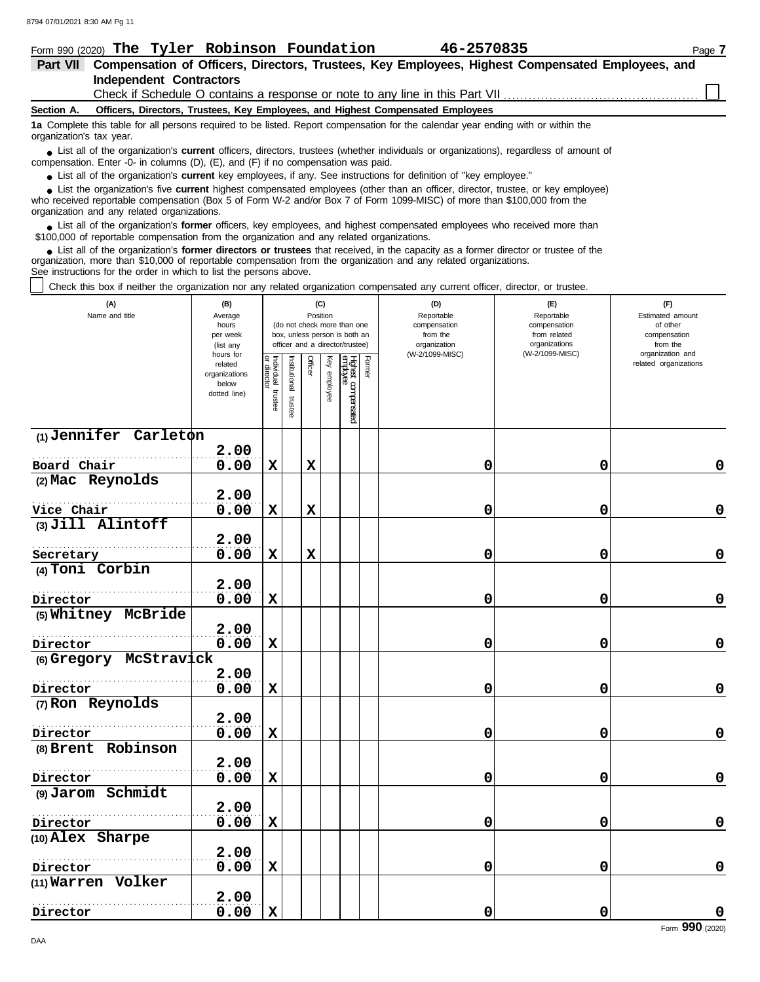**(1) Jennifer Carleton**

**(2) Mac Reynolds**

**(3) Jill Alintoff**

**(5) Whitney McBride**

**(6) Gregory McStravick**

. . . . . . . . . . . . . . . . . . . . . . . . . . . . . . . . . . . . . . . . . . . . . . . . . . . . . . .

. . . . . . . . . . . . . . . . . . . . . . . . . . . . . . . . . . . . . . . . . . . . . . . . . . . . . . .

. . . . . . . . . . . . . . . . . . . . . . . . . . . . . . . . . . . . . . . . . . . . . . . . . . . . . . .

. . . . . . . . . . . . . . . . . . . . . . . . . . . . . . . . . . . . . . . . . . . . . . . . . . . . . . .

. . . . . . . . . . . . . . . . . . . . . . . . . . . . . . . . . . . . . . . . . . . . . . . . . . . . . . .

. . . . . . . . . . . . . . . . . . . . . . . . . . . . . . . . . . . . . . . . . . . . . . . . . . . . . . . **2.00**

. . . . . . . . . . . . . . . . . . . . . . . . . . . . . . . . . . . . . . . . . . . . . . . . . . . . . . .

. . . . . . . . . . . . . . . . . . . . . . . . . . . . . . . . . . . . . . . . . . . . . . . . . . . . . . .

. . . . . . . . . . . . . . . . . . . . . . . . . . . . . . . . . . . . . . . . . . . . . . . . . . . . . . .

. . . . . . . . . . . . . . . . . . . . . . . . . . . . . . . . . . . . . . . . . . . . . . . . . . . . . . . **Vice Chair**

. . . . . . . . . . . . . . . . . . . . . . . . . . . . . . . . . . . . . . . . . . . . . . . . . . . . . . . **Board Chair**

**2.00**

**2.00**

**2.00**

**2.00**

**2.00**

**2.00**

**2.00**

**2.00**

**2.00**

**2.00**

**(4) Toni Corbin**

**Secretary**

**Director**

**Director**

**Director**

**Director**

**Director**

**Director**

**Director**

**Director**

**(7) Ron Reynolds**

**(8) Brent Robinson**

**(9) Jarom Schmidt**

**(10) Alex Sharpe**

**(11) Warren Volker**

| Form 990 (2020) The Tyler Robinson Foundation                                                                                                                                                                                                                                                                                 |                                                                                                                    |                                                                                                                                                                                                                                                         | 46-2570835                                                                                 |                                                                                       | Page 7                                                                                                       |  |  |  |
|-------------------------------------------------------------------------------------------------------------------------------------------------------------------------------------------------------------------------------------------------------------------------------------------------------------------------------|--------------------------------------------------------------------------------------------------------------------|---------------------------------------------------------------------------------------------------------------------------------------------------------------------------------------------------------------------------------------------------------|--------------------------------------------------------------------------------------------|---------------------------------------------------------------------------------------|--------------------------------------------------------------------------------------------------------------|--|--|--|
| <b>Part VII</b>                                                                                                                                                                                                                                                                                                               | Compensation of Officers, Directors, Trustees, Key Employees, Highest Compensated Employees, and                   |                                                                                                                                                                                                                                                         |                                                                                            |                                                                                       |                                                                                                              |  |  |  |
| <b>Independent Contractors</b>                                                                                                                                                                                                                                                                                                |                                                                                                                    |                                                                                                                                                                                                                                                         |                                                                                            |                                                                                       |                                                                                                              |  |  |  |
|                                                                                                                                                                                                                                                                                                                               |                                                                                                                    |                                                                                                                                                                                                                                                         | Check if Schedule O contains a response or note to any line in this Part VII               |                                                                                       |                                                                                                              |  |  |  |
| Section A.                                                                                                                                                                                                                                                                                                                    |                                                                                                                    |                                                                                                                                                                                                                                                         | Officers, Directors, Trustees, Key Employees, and Highest Compensated Employees            |                                                                                       |                                                                                                              |  |  |  |
| 1a Complete this table for all persons required to be listed. Report compensation for the calendar year ending with or within the<br>organization's tax year.                                                                                                                                                                 |                                                                                                                    |                                                                                                                                                                                                                                                         |                                                                                            |                                                                                       |                                                                                                              |  |  |  |
| • List all of the organization's <b>current</b> officers, directors, trustees (whether individuals or organizations), regardless of amount of<br>compensation. Enter -0- in columns (D), (E), and (F) if no compensation was paid.                                                                                            |                                                                                                                    |                                                                                                                                                                                                                                                         |                                                                                            |                                                                                       |                                                                                                              |  |  |  |
| • List all of the organization's <b>current</b> key employees, if any. See instructions for definition of "key employee."                                                                                                                                                                                                     |                                                                                                                    |                                                                                                                                                                                                                                                         |                                                                                            |                                                                                       |                                                                                                              |  |  |  |
| • List the organization's five current highest compensated employees (other than an officer, director, trustee, or key employee)<br>who received reportable compensation (Box 5 of Form W-2 and/or Box 7 of Form 1099-MISC) of more than \$100,000 from the<br>organization and any related organizations.                    |                                                                                                                    |                                                                                                                                                                                                                                                         |                                                                                            |                                                                                       |                                                                                                              |  |  |  |
| • List all of the organization's former officers, key employees, and highest compensated employees who received more than<br>\$100,000 of reportable compensation from the organization and any related organizations.                                                                                                        |                                                                                                                    |                                                                                                                                                                                                                                                         |                                                                                            |                                                                                       |                                                                                                              |  |  |  |
| • List all of the organization's former directors or trustees that received, in the capacity as a former director or trustee of the<br>organization, more than \$10,000 of reportable compensation from the organization and any related organizations.<br>See instructions for the order in which to list the persons above. |                                                                                                                    |                                                                                                                                                                                                                                                         |                                                                                            |                                                                                       |                                                                                                              |  |  |  |
| Check this box if neither the organization nor any related organization compensated any current officer, director, or trustee.                                                                                                                                                                                                |                                                                                                                    |                                                                                                                                                                                                                                                         |                                                                                            |                                                                                       |                                                                                                              |  |  |  |
| (A)<br>Name and title                                                                                                                                                                                                                                                                                                         | (B)<br>Average<br>hours<br>per week<br>(list any<br>hours for<br>related<br>organizations<br>below<br>dotted line) | (C)<br>Position<br>(do not check more than one<br>box, unless person is both an<br>officer and a director/trustee)<br>Individual<br>or director<br>Institutional<br>Highest compensated<br>employee<br>Key<br>Officer<br>employee<br>trustee<br>trustee | (D)<br>Reportable<br>compensation<br>from the<br>organization<br>(W-2/1099-MISC)<br>Former | (E)<br>Reportable<br>compensation<br>from related<br>organizations<br>(W-2/1099-MISC) | (F)<br>Estimated amount<br>of other<br>compensation<br>from the<br>organization and<br>related organizations |  |  |  |

**0.00 X X 0 0 0**

**0.00 X X 0 0 0**

**0.00 X X 0 0 0**

**0.00 X 0 0 0**

**0.00 X 0 0 0**

**0.00 X 0 0 0**

**0.00 X 0 0 0**

**0.00 X 0 0 0**

**0.00 X 0 0 0**

**0.00 X 0 0 0**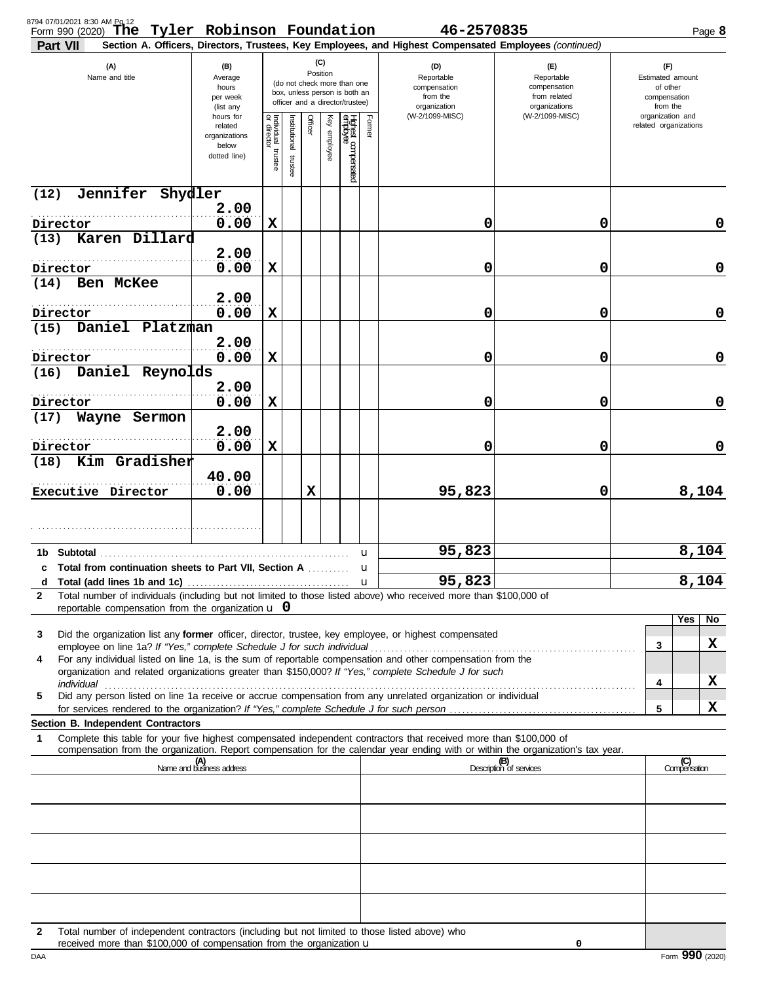| 8794 07/01/2021 8:30 AM Pg 12<br>Form 990 (2020) The Tyler Robinson Foundation 46-2570835                                                                                                                                                                   |                                                                    |                                   |                       |          |              |                                                                                                 |                     |                                                                                                        |                                                                    |  |                                                                 | Page 8      |
|-------------------------------------------------------------------------------------------------------------------------------------------------------------------------------------------------------------------------------------------------------------|--------------------------------------------------------------------|-----------------------------------|-----------------------|----------|--------------|-------------------------------------------------------------------------------------------------|---------------------|--------------------------------------------------------------------------------------------------------|--------------------------------------------------------------------|--|-----------------------------------------------------------------|-------------|
| Part VII                                                                                                                                                                                                                                                    |                                                                    |                                   |                       |          |              |                                                                                                 |                     | Section A. Officers, Directors, Trustees, Key Employees, and Highest Compensated Employees (continued) |                                                                    |  |                                                                 |             |
| (A)<br>Name and title                                                                                                                                                                                                                                       | (B)<br>Average<br>hours<br>per week<br>(list any                   |                                   |                       | Position | (C)          | (do not check more than one<br>box, unless person is both an<br>officer and a director/trustee) |                     | (D)<br>Reportable<br>compensation<br>from the<br>organization                                          | (F)<br>Reportable<br>compensation<br>from related<br>organizations |  | (F)<br>Estimated amount<br>of other<br>compensation<br>from the |             |
|                                                                                                                                                                                                                                                             | hours for<br>related<br>organizations<br>below<br>dotted line)     | Individual trustee<br>or director | Institutional trustee | Officer  | Key employee | Highest compensated<br>employee                                                                 | Former              | (W-2/1099-MISC)                                                                                        | (W-2/1099-MISC)                                                    |  | organization and<br>related organizations                       |             |
| Jennifer Shydler<br>(12)                                                                                                                                                                                                                                    |                                                                    |                                   |                       |          |              |                                                                                                 |                     |                                                                                                        |                                                                    |  |                                                                 |             |
| Director                                                                                                                                                                                                                                                    | 2.00<br>0.00                                                       | X                                 |                       |          |              |                                                                                                 |                     | 0                                                                                                      | 0                                                                  |  |                                                                 | $\mathbf 0$ |
| Karen Dillard<br>(13)                                                                                                                                                                                                                                       | 2.00                                                               |                                   |                       |          |              |                                                                                                 |                     |                                                                                                        |                                                                    |  |                                                                 |             |
| Director                                                                                                                                                                                                                                                    | 0.00                                                               | X                                 |                       |          |              |                                                                                                 |                     | 0                                                                                                      | 0                                                                  |  |                                                                 | $\mathbf 0$ |
| Ben McKee<br>(14)                                                                                                                                                                                                                                           | 2.00                                                               |                                   |                       |          |              |                                                                                                 |                     |                                                                                                        |                                                                    |  |                                                                 |             |
| Director                                                                                                                                                                                                                                                    | 0.00                                                               | X                                 |                       |          |              |                                                                                                 |                     | 0                                                                                                      | 0                                                                  |  |                                                                 | $\mathbf 0$ |
| Daniel Platzman<br>(15)                                                                                                                                                                                                                                     | 2.00                                                               |                                   |                       |          |              |                                                                                                 |                     |                                                                                                        |                                                                    |  |                                                                 |             |
| Director<br>Daniel Reynolds<br>(16)                                                                                                                                                                                                                         | 0.00                                                               | X                                 |                       |          |              |                                                                                                 |                     | 0                                                                                                      | 0                                                                  |  |                                                                 | $\mathbf 0$ |
| Director                                                                                                                                                                                                                                                    | 2.00<br>0.00                                                       | X                                 |                       |          |              |                                                                                                 |                     | 0                                                                                                      | 0                                                                  |  |                                                                 | $\mathbf 0$ |
| Wayne Sermon<br>(17)                                                                                                                                                                                                                                        |                                                                    |                                   |                       |          |              |                                                                                                 |                     |                                                                                                        |                                                                    |  |                                                                 |             |
| Director                                                                                                                                                                                                                                                    | 2.00<br>0.00                                                       | X                                 |                       |          |              |                                                                                                 |                     | 0                                                                                                      | 0                                                                  |  |                                                                 | $\mathbf 0$ |
| Kim Gradisher<br>(18)                                                                                                                                                                                                                                       | 40.00                                                              |                                   |                       |          |              |                                                                                                 |                     |                                                                                                        |                                                                    |  |                                                                 |             |
| Executive Director                                                                                                                                                                                                                                          | 0.00                                                               |                                   |                       | X        |              |                                                                                                 |                     | 95,823                                                                                                 | 0                                                                  |  |                                                                 | 8,104       |
|                                                                                                                                                                                                                                                             |                                                                    |                                   |                       |          |              |                                                                                                 |                     |                                                                                                        |                                                                    |  |                                                                 |             |
|                                                                                                                                                                                                                                                             |                                                                    |                                   |                       |          |              |                                                                                                 | u                   | 95,823                                                                                                 |                                                                    |  |                                                                 | 8,104       |
| c Total from continuation sheets to Part VII, Section A                                                                                                                                                                                                     |                                                                    |                                   |                       |          |              |                                                                                                 | u                   | 95,823                                                                                                 |                                                                    |  |                                                                 | 8,104       |
| Total number of individuals (including but not limited to those listed above) who received more than \$100,000 of<br>$\mathbf{2}$<br>reportable compensation from the organization $\mathbf u$ 0                                                            |                                                                    |                                   |                       |          |              |                                                                                                 |                     |                                                                                                        |                                                                    |  |                                                                 |             |
| Did the organization list any <b>former</b> officer, director, trustee, key employee, or highest compensated<br>3                                                                                                                                           |                                                                    |                                   |                       |          |              |                                                                                                 |                     |                                                                                                        |                                                                    |  | Yes                                                             | No          |
| employee on line 1a? If "Yes," complete Schedule J for such individual<br>For any individual listed on line 1a, is the sum of reportable compensation and other compensation from the<br>4                                                                  |                                                                    |                                   |                       |          |              |                                                                                                 |                     |                                                                                                        |                                                                    |  | 3                                                               | x           |
| organization and related organizations greater than \$150,000? If "Yes," complete Schedule J for such<br>individual                                                                                                                                         |                                                                    |                                   |                       |          |              |                                                                                                 |                     |                                                                                                        |                                                                    |  | 4                                                               | X           |
| Did any person listed on line 1a receive or accrue compensation from any unrelated organization or individual<br>5                                                                                                                                          |                                                                    |                                   |                       |          |              |                                                                                                 |                     |                                                                                                        |                                                                    |  | 5                                                               | X           |
| Section B. Independent Contractors                                                                                                                                                                                                                          |                                                                    |                                   |                       |          |              |                                                                                                 |                     |                                                                                                        |                                                                    |  |                                                                 |             |
| Complete this table for your five highest compensated independent contractors that received more than \$100,000 of<br>1<br>compensation from the organization. Report compensation for the calendar year ending with or within the organization's tax year. |                                                                    |                                   |                       |          |              |                                                                                                 |                     |                                                                                                        |                                                                    |  |                                                                 |             |
|                                                                                                                                                                                                                                                             | (A)<br>Name and business address<br>(B)<br>Description of services |                                   |                       |          |              |                                                                                                 | (C)<br>Compensation |                                                                                                        |                                                                    |  |                                                                 |             |
|                                                                                                                                                                                                                                                             |                                                                    |                                   |                       |          |              |                                                                                                 |                     |                                                                                                        |                                                                    |  |                                                                 |             |
|                                                                                                                                                                                                                                                             |                                                                    |                                   |                       |          |              |                                                                                                 |                     |                                                                                                        |                                                                    |  |                                                                 |             |
|                                                                                                                                                                                                                                                             |                                                                    |                                   |                       |          |              |                                                                                                 |                     |                                                                                                        |                                                                    |  |                                                                 |             |
|                                                                                                                                                                                                                                                             |                                                                    |                                   |                       |          |              |                                                                                                 |                     |                                                                                                        |                                                                    |  |                                                                 |             |
|                                                                                                                                                                                                                                                             |                                                                    |                                   |                       |          |              |                                                                                                 |                     |                                                                                                        |                                                                    |  |                                                                 |             |
| Total number of independent contractors (including but not limited to those listed above) who<br>$\mathbf{2}$<br>received more than \$100,000 of compensation from the organization u                                                                       |                                                                    |                                   |                       |          |              |                                                                                                 |                     |                                                                                                        | 0                                                                  |  |                                                                 |             |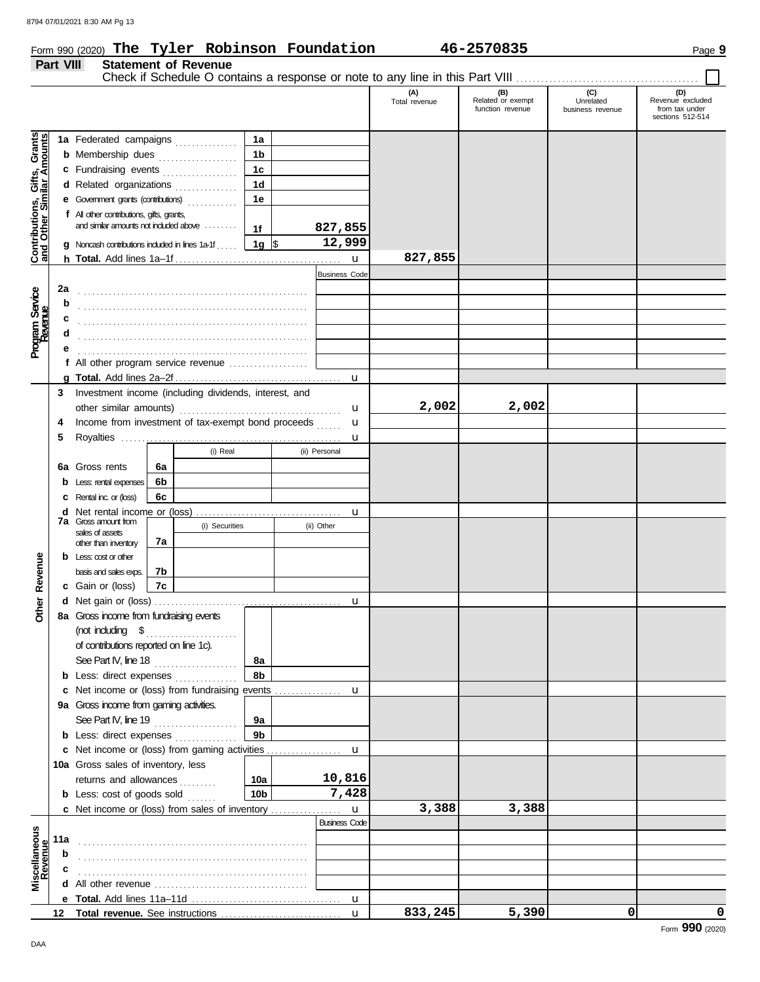# Form 990 (2020) Page **9 The Tyler Robinson Foundation 46-2570835**

**Part VIII Statement of Revenue**

|                                                           |     |                                                                                              |          |                |                 |                             | (A)<br>Total revenue | (B)<br>Related or exempt<br>function revenue | (C)<br>Unrelated<br>business revenue | (D)<br>Revenue excluded<br>from tax under<br>sections 512-514 |
|-----------------------------------------------------------|-----|----------------------------------------------------------------------------------------------|----------|----------------|-----------------|-----------------------------|----------------------|----------------------------------------------|--------------------------------------|---------------------------------------------------------------|
|                                                           |     |                                                                                              |          |                | 1a              |                             |                      |                                              |                                      |                                                               |
| Contributions, Gifts, Grants<br>and Other Similar Amounts |     | 1a Federated campaigns<br><b>b</b> Membership dues <i>[[[[[[[[[[[[[[[[[[[[[[[[[[[]]]</i> ]]] |          |                | 1b              |                             |                      |                                              |                                      |                                                               |
|                                                           |     | c Fundraising events                                                                         |          |                | 1c              |                             |                      |                                              |                                      |                                                               |
|                                                           |     | d Related organizations                                                                      |          |                | 1 <sub>d</sub>  |                             |                      |                                              |                                      |                                                               |
|                                                           |     | e Government grants (contributions)                                                          |          |                | 1e              |                             |                      |                                              |                                      |                                                               |
|                                                           |     | f All other contributions, gifts, grants,                                                    |          |                |                 |                             |                      |                                              |                                      |                                                               |
|                                                           |     | and similar amounts not induded above                                                        |          |                | 1f              | 827,855                     |                      |                                              |                                      |                                                               |
|                                                           |     | <b>g</b> Noncash contributions included in lines 1a-1f                                       |          |                | 1g $\sqrt{5}$   | 12,999                      |                      |                                              |                                      |                                                               |
|                                                           |     |                                                                                              |          |                |                 | u                           | 827,855              |                                              |                                      |                                                               |
|                                                           |     |                                                                                              |          |                |                 | <b>Business Code</b>        |                      |                                              |                                      |                                                               |
|                                                           | 2a  |                                                                                              |          |                |                 |                             |                      |                                              |                                      |                                                               |
| Program Service<br>Revenue                                | b   |                                                                                              |          |                |                 |                             |                      |                                              |                                      |                                                               |
|                                                           | c   |                                                                                              |          |                |                 |                             |                      |                                              |                                      |                                                               |
|                                                           | d   |                                                                                              |          |                |                 |                             |                      |                                              |                                      |                                                               |
|                                                           |     |                                                                                              |          |                |                 |                             |                      |                                              |                                      |                                                               |
|                                                           |     | f All other program service revenue                                                          |          |                |                 |                             |                      |                                              |                                      |                                                               |
|                                                           |     |                                                                                              |          |                |                 | u                           |                      |                                              |                                      |                                                               |
|                                                           | 3   |                                                                                              |          |                |                 |                             |                      |                                              |                                      |                                                               |
|                                                           |     | Investment income (including dividends, interest, and<br>other similar amounts)              |          |                |                 | u                           | 2,002                | 2,002                                        |                                      |                                                               |
|                                                           | 4   | Income from investment of tax-exempt bond proceeds                                           |          |                |                 | u                           |                      |                                              |                                      |                                                               |
|                                                           | 5   |                                                                                              |          |                |                 | u                           |                      |                                              |                                      |                                                               |
|                                                           |     |                                                                                              |          | (i) Real       |                 | (ii) Personal               |                      |                                              |                                      |                                                               |
|                                                           | 6а  | Gross rents                                                                                  | 6а       |                |                 |                             |                      |                                              |                                      |                                                               |
|                                                           |     |                                                                                              | 6b       |                |                 |                             |                      |                                              |                                      |                                                               |
|                                                           |     | Less: rental expenses                                                                        | 6с       |                |                 |                             |                      |                                              |                                      |                                                               |
|                                                           |     | <b>c</b> Rental inc. or (loss)                                                               |          |                |                 |                             |                      |                                              |                                      |                                                               |
|                                                           |     | <b>d</b> Net rental income or (loss)<br><b>7a</b> Gross amount from                          |          | (i) Securities |                 | u<br>(ii) Other             |                      |                                              |                                      |                                                               |
|                                                           |     | sales of assets<br>7a                                                                        |          |                |                 |                             |                      |                                              |                                      |                                                               |
|                                                           |     | other than inventory                                                                         |          |                |                 |                             |                      |                                              |                                      |                                                               |
|                                                           |     | $b$ Less: cost or other                                                                      |          |                |                 |                             |                      |                                              |                                      |                                                               |
|                                                           |     | basis and sales exps.                                                                        | 7b<br>7c |                |                 |                             |                      |                                              |                                      |                                                               |
| Other Revenue                                             |     | c Gain or (loss)                                                                             |          |                |                 |                             |                      |                                              |                                      |                                                               |
|                                                           |     | 8a Gross income from fundraising events                                                      |          |                |                 | u                           |                      |                                              |                                      |                                                               |
|                                                           |     |                                                                                              |          |                |                 |                             |                      |                                              |                                      |                                                               |
|                                                           |     |                                                                                              |          |                |                 |                             |                      |                                              |                                      |                                                               |
|                                                           |     | of contributions reported on line 1c).                                                       |          |                | 8а              |                             |                      |                                              |                                      |                                                               |
|                                                           |     | See Part IV, line 18 $\ldots$<br><b>b</b> Less: direct expenses                              |          |                | 8b              |                             |                      |                                              |                                      |                                                               |
|                                                           |     | c Net income or (loss) from fundraising events                                               |          |                |                 | u                           |                      |                                              |                                      |                                                               |
|                                                           |     | 9a Gross income from gaming activities.                                                      |          |                |                 |                             |                      |                                              |                                      |                                                               |
|                                                           |     |                                                                                              |          |                | 9а              |                             |                      |                                              |                                      |                                                               |
|                                                           |     | See Part IV, line 19<br><b>b</b> Less: direct expenses                                       |          |                | 9 <sub>b</sub>  |                             |                      |                                              |                                      |                                                               |
|                                                           |     | c Net income or (loss) from gaming activities                                                |          |                |                 | $\mathbf{u}$                |                      |                                              |                                      |                                                               |
|                                                           |     | 10a Gross sales of inventory, less                                                           |          |                |                 |                             |                      |                                              |                                      |                                                               |
|                                                           |     | returns and allowances                                                                       |          |                | 10a             | 10,816                      |                      |                                              |                                      |                                                               |
|                                                           |     | <b>b</b> Less: cost of goods sold                                                            |          | de de decem    | 10 <sub>b</sub> | 7,428                       |                      |                                              |                                      |                                                               |
|                                                           |     | c Net income or (loss) from sales of inventory                                               |          |                |                 | $\mathbf{u}$                | 3,388                | 3,388                                        |                                      |                                                               |
|                                                           |     |                                                                                              |          |                |                 | <b>Business Code</b>        |                      |                                              |                                      |                                                               |
|                                                           |     |                                                                                              |          |                |                 |                             |                      |                                              |                                      |                                                               |
|                                                           | 11a |                                                                                              |          |                |                 |                             |                      |                                              |                                      |                                                               |
| Miscellaneous<br>Revenue                                  | b   |                                                                                              |          |                |                 |                             |                      |                                              |                                      |                                                               |
|                                                           |     |                                                                                              |          |                |                 |                             |                      |                                              |                                      |                                                               |
|                                                           |     |                                                                                              |          |                |                 |                             |                      |                                              |                                      |                                                               |
|                                                           |     |                                                                                              |          |                |                 | $\mathbf u$<br>$\mathbf{u}$ | 833, 245             | 5,390                                        | 0                                    | 0                                                             |
|                                                           |     |                                                                                              |          |                |                 |                             |                      |                                              |                                      |                                                               |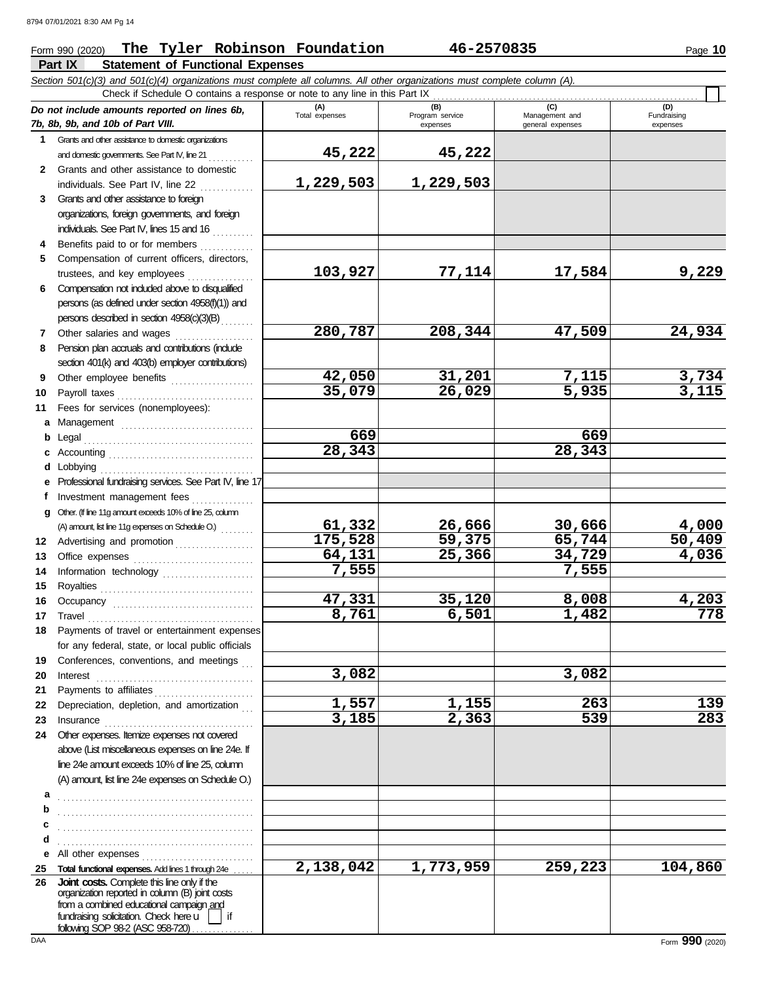### Form 990 (2020) Page **10 The Tyler Robinson Foundation 46-2570835**

**Part IX Statement of Functional Expenses** *Section 501(c)(3) and 501(c)(4) organizations must complete all columns. All other organizations must complete column (A).*

|              | Check if Schedule O contains a response or note to any line in this Part IX                                                                                                                                                                                                                                                                                                                                                                                                                         |                       |                                    |                                           |                                |
|--------------|-----------------------------------------------------------------------------------------------------------------------------------------------------------------------------------------------------------------------------------------------------------------------------------------------------------------------------------------------------------------------------------------------------------------------------------------------------------------------------------------------------|-----------------------|------------------------------------|-------------------------------------------|--------------------------------|
|              | Do not include amounts reported on lines 6b,<br>7b, 8b, 9b, and 10b of Part VIII.                                                                                                                                                                                                                                                                                                                                                                                                                   | (A)<br>Total expenses | (B)<br>Program service<br>expenses | (C)<br>Management and<br>general expenses | (D)<br>Fundraising<br>expenses |
| 1.           | Grants and other assistance to domestic organizations                                                                                                                                                                                                                                                                                                                                                                                                                                               |                       |                                    |                                           |                                |
|              | and domestic governments. See Part IV, line 21                                                                                                                                                                                                                                                                                                                                                                                                                                                      | 45,222                | 45,222                             |                                           |                                |
| $\mathbf{2}$ | Grants and other assistance to domestic                                                                                                                                                                                                                                                                                                                                                                                                                                                             |                       |                                    |                                           |                                |
|              | individuals. See Part IV, line 22                                                                                                                                                                                                                                                                                                                                                                                                                                                                   | 1,229,503             | 1,229,503                          |                                           |                                |
| 3            | Grants and other assistance to foreign                                                                                                                                                                                                                                                                                                                                                                                                                                                              |                       |                                    |                                           |                                |
|              | organizations, foreign governments, and foreign                                                                                                                                                                                                                                                                                                                                                                                                                                                     |                       |                                    |                                           |                                |
|              | individuals. See Part IV, lines 15 and 16                                                                                                                                                                                                                                                                                                                                                                                                                                                           |                       |                                    |                                           |                                |
| 4            | Benefits paid to or for members                                                                                                                                                                                                                                                                                                                                                                                                                                                                     |                       |                                    |                                           |                                |
| 5            | Compensation of current officers, directors,                                                                                                                                                                                                                                                                                                                                                                                                                                                        |                       |                                    |                                           |                                |
|              | trustees, and key employees                                                                                                                                                                                                                                                                                                                                                                                                                                                                         | 103,927               | 77,114                             | 17,584                                    | 9,229                          |
| 6            | Compensation not included above to disqualified                                                                                                                                                                                                                                                                                                                                                                                                                                                     |                       |                                    |                                           |                                |
|              | persons (as defined under section 4958(f)(1)) and                                                                                                                                                                                                                                                                                                                                                                                                                                                   |                       |                                    |                                           |                                |
|              | persons described in section 4958(c)(3)(B)                                                                                                                                                                                                                                                                                                                                                                                                                                                          |                       |                                    |                                           |                                |
| 7            | Other salaries and wages                                                                                                                                                                                                                                                                                                                                                                                                                                                                            | 280,787               | 208,344                            | 47,509                                    | 24,934                         |
| 8            | Pension plan accruals and contributions (include                                                                                                                                                                                                                                                                                                                                                                                                                                                    |                       |                                    |                                           |                                |
|              | section 401(k) and 403(b) employer contributions)                                                                                                                                                                                                                                                                                                                                                                                                                                                   |                       |                                    |                                           |                                |
| 9            | Other employee benefits                                                                                                                                                                                                                                                                                                                                                                                                                                                                             | 42,050                | 31,201                             | 7,115                                     | $\frac{3,734}{3,115}$          |
| 10           | Payroll taxes                                                                                                                                                                                                                                                                                                                                                                                                                                                                                       | 35,079                | $\overline{26,029}$                | 5,935                                     |                                |
| 11           | Fees for services (nonemployees):                                                                                                                                                                                                                                                                                                                                                                                                                                                                   |                       |                                    |                                           |                                |
| а            |                                                                                                                                                                                                                                                                                                                                                                                                                                                                                                     |                       |                                    |                                           |                                |
| b            | Legal                                                                                                                                                                                                                                                                                                                                                                                                                                                                                               | 669                   |                                    | 669                                       |                                |
| c            |                                                                                                                                                                                                                                                                                                                                                                                                                                                                                                     | 28,343                |                                    | 28,343                                    |                                |
| d            | Lobbying                                                                                                                                                                                                                                                                                                                                                                                                                                                                                            |                       |                                    |                                           |                                |
| е            | Professional fundraising services. See Part IV, line 17                                                                                                                                                                                                                                                                                                                                                                                                                                             |                       |                                    |                                           |                                |
| f            | Investment management fees                                                                                                                                                                                                                                                                                                                                                                                                                                                                          |                       |                                    |                                           |                                |
| q            | Other. (If line 11g amount exceeds 10% of line 25, column                                                                                                                                                                                                                                                                                                                                                                                                                                           |                       |                                    |                                           |                                |
|              |                                                                                                                                                                                                                                                                                                                                                                                                                                                                                                     | 61,332                | 26,666                             | 30,666                                    | 4,000                          |
| 12           | Advertising and promotion                                                                                                                                                                                                                                                                                                                                                                                                                                                                           | 175,528               | 59,375                             | 65,744                                    | 50,409                         |
| 13           |                                                                                                                                                                                                                                                                                                                                                                                                                                                                                                     | 64,131                | 25,366                             | 34,729                                    | 4,036                          |
| 14           | Information technology                                                                                                                                                                                                                                                                                                                                                                                                                                                                              | 7,555                 |                                    | 7,555                                     |                                |
| 15           |                                                                                                                                                                                                                                                                                                                                                                                                                                                                                                     |                       |                                    |                                           |                                |
| 16           |                                                                                                                                                                                                                                                                                                                                                                                                                                                                                                     | 47,331                | 35,120                             | 8,008                                     | 4,203                          |
| 17           | Travel                                                                                                                                                                                                                                                                                                                                                                                                                                                                                              | 8,761                 | 6,501                              | 1,482                                     | 778                            |
| 18           | Payments of travel or entertainment expenses                                                                                                                                                                                                                                                                                                                                                                                                                                                        |                       |                                    |                                           |                                |
|              | for any federal, state, or local public officials                                                                                                                                                                                                                                                                                                                                                                                                                                                   |                       |                                    |                                           |                                |
| 19           | Conferences, conventions, and meetings                                                                                                                                                                                                                                                                                                                                                                                                                                                              | 3,082                 |                                    |                                           |                                |
| 20           | Interest                                                                                                                                                                                                                                                                                                                                                                                                                                                                                            |                       |                                    | 3,082                                     |                                |
| 21<br>22     | Payments to affiliates<br>Depreciation, depletion, and amortization                                                                                                                                                                                                                                                                                                                                                                                                                                 | 1,557                 | 1,155                              | 263                                       | 139                            |
| 23           |                                                                                                                                                                                                                                                                                                                                                                                                                                                                                                     | 3,185                 | 2,363                              | 539                                       | 283                            |
| 24           | $In \textbf{surance} \begin{tabular}{@{}l@{}} \hline \textbf{m} & \textbf{m} & \textbf{m} & \textbf{m} \\ \hline \textbf{m} & \textbf{m} & \textbf{m} & \textbf{m} \\ \hline \textbf{m} & \textbf{m} & \textbf{m} & \textbf{m} \\ \hline \textbf{m} & \textbf{m} & \textbf{m} & \textbf{m} \\ \hline \textbf{m} & \textbf{m} & \textbf{m} & \textbf{m} \\ \hline \textbf{m} & \textbf{m} & \textbf{m} & \textbf{m} \\ \hline \textbf{m} & \textbf{$<br>Other expenses. Itemize expenses not covered |                       |                                    |                                           |                                |
|              | above (List miscellaneous expenses on line 24e. If                                                                                                                                                                                                                                                                                                                                                                                                                                                  |                       |                                    |                                           |                                |
|              | line 24e amount exceeds 10% of line 25, column                                                                                                                                                                                                                                                                                                                                                                                                                                                      |                       |                                    |                                           |                                |
|              | (A) amount, list line 24e expenses on Schedule O.)                                                                                                                                                                                                                                                                                                                                                                                                                                                  |                       |                                    |                                           |                                |
| а            |                                                                                                                                                                                                                                                                                                                                                                                                                                                                                                     |                       |                                    |                                           |                                |
| b            |                                                                                                                                                                                                                                                                                                                                                                                                                                                                                                     |                       |                                    |                                           |                                |
| c            |                                                                                                                                                                                                                                                                                                                                                                                                                                                                                                     |                       |                                    |                                           |                                |
| d            |                                                                                                                                                                                                                                                                                                                                                                                                                                                                                                     |                       |                                    |                                           |                                |
| е            | All other expenses                                                                                                                                                                                                                                                                                                                                                                                                                                                                                  |                       |                                    |                                           |                                |
| 25           | Total functional expenses. Add lines 1 through 24e                                                                                                                                                                                                                                                                                                                                                                                                                                                  | 2,138,042             | 1,773,959                          | 259,223                                   | 104,860                        |
| 26           | Joint costs. Complete this line only if the<br>organization reported in column (B) joint costs                                                                                                                                                                                                                                                                                                                                                                                                      |                       |                                    |                                           |                                |
|              | from a combined educational campaign and                                                                                                                                                                                                                                                                                                                                                                                                                                                            |                       |                                    |                                           |                                |
|              | fundraising solicitation. Check here $\mathsf{u}$   if<br>following SOP 98-2 (ASC 958-720)                                                                                                                                                                                                                                                                                                                                                                                                          |                       |                                    |                                           |                                |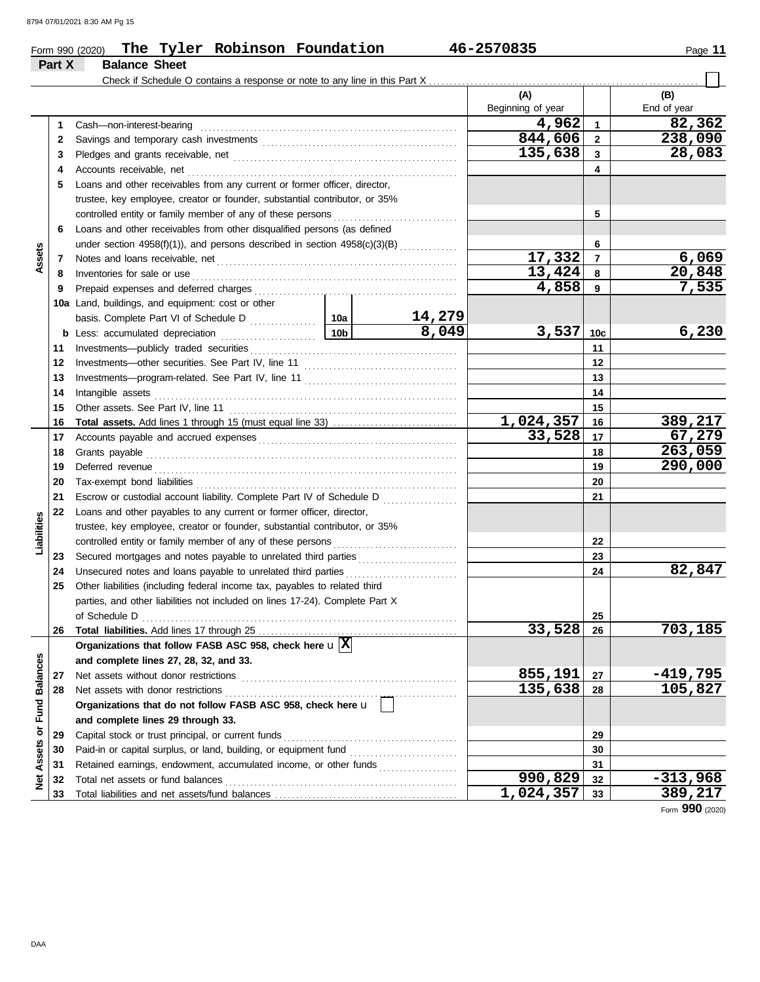#### Form 990 (2020) The Tyler Robinson Foundation 46-2570835 Page 11 **The Tyler Robinson Foundation 46-2570835**

|                 | Part X   | <b>Balance Sheet</b>                                                                                                                |                 |                 |                   |                 |             |
|-----------------|----------|-------------------------------------------------------------------------------------------------------------------------------------|-----------------|-----------------|-------------------|-----------------|-------------|
|                 |          | Check if Schedule O contains a response or note to any line in this Part X                                                          |                 |                 |                   |                 |             |
|                 |          |                                                                                                                                     |                 |                 | (A)               |                 | (B)         |
|                 |          |                                                                                                                                     |                 |                 | Beginning of year |                 | End of year |
|                 | 1        | Cash-non-interest-bearing                                                                                                           |                 |                 | 4,962             | $\mathbf{1}$    | 82,362      |
|                 | 2        |                                                                                                                                     |                 |                 | 844,606           | $\overline{2}$  | 238,090     |
|                 | 3        |                                                                                                                                     |                 |                 | 135,638           | 3               | 28,083      |
|                 | 4        | Accounts receivable, net                                                                                                            |                 |                 |                   | 4               |             |
|                 | 5        | Loans and other receivables from any current or former officer, director,                                                           |                 |                 |                   |                 |             |
|                 |          | trustee, key employee, creator or founder, substantial contributor, or 35%                                                          |                 |                 |                   |                 |             |
|                 |          | controlled entity or family member of any of these persons                                                                          |                 |                 |                   | 5               |             |
|                 | 6        | Loans and other receivables from other disqualified persons (as defined                                                             |                 |                 |                   |                 |             |
|                 |          | under section 4958(f)(1)), and persons described in section 4958(c)(3)(B)                                                           |                 |                 |                   | 6               |             |
| Assets          | 7        |                                                                                                                                     |                 |                 | 17,332            | $\overline{7}$  | 6,069       |
|                 | 8        | Inventories for sale or use                                                                                                         |                 |                 | 13,424            | 8               | 20,848      |
|                 | 9        | Prepaid expenses and deferred charges                                                                                               |                 |                 | 4,858             | 9               | 7,535       |
|                 | 10a      | Land, buildings, and equipment: cost or other                                                                                       |                 |                 |                   |                 |             |
|                 |          |                                                                                                                                     |                 | 14,279<br>8,049 | 3,537             |                 |             |
|                 | b        | Less: accumulated depreciation                                                                                                      | 10 <sub>b</sub> |                 |                   | 10 <sub>c</sub> | 6,230       |
|                 | 11       |                                                                                                                                     |                 |                 | 11                |                 |             |
|                 | 12       |                                                                                                                                     |                 |                 | 12                |                 |             |
|                 | 13       |                                                                                                                                     |                 |                 | 13                |                 |             |
|                 | 14       | Intangible assets                                                                                                                   |                 |                 | 14                |                 |             |
|                 | 15       | Other assets. See Part IV, line 11                                                                                                  |                 |                 | 1,024,357         | 15              | 389,217     |
|                 | 16<br>17 |                                                                                                                                     |                 |                 | 33,528            | 16<br>17        | 67,279      |
|                 | 18       | Grants payable                                                                                                                      |                 |                 |                   | 18              | 263,059     |
|                 | 19       | Deferred revenue                                                                                                                    |                 | 19              | 290,000           |                 |             |
|                 | 20       |                                                                                                                                     |                 |                 |                   | 20              |             |
|                 | 21       | Escrow or custodial account liability. Complete Part IV of Schedule D                                                               |                 |                 |                   | 21              |             |
|                 | 22       | Loans and other payables to any current or former officer, director,                                                                |                 |                 |                   |                 |             |
| Liabilities     |          | trustee, key employee, creator or founder, substantial contributor, or 35%                                                          |                 |                 |                   |                 |             |
|                 |          | controlled entity or family member of any of these persons                                                                          |                 |                 |                   | 22              |             |
|                 | 23       | Secured mortgages and notes payable to unrelated third parties [111] Secured mortgages and notes payable to unrelated third parties |                 |                 |                   | 23              |             |
|                 | 24       | Unsecured notes and loans payable to unrelated third parties                                                                        |                 |                 |                   | 24              | 82,847      |
|                 | 25       | Other liabilities (including federal income tax, payables to related third                                                          |                 |                 |                   |                 |             |
|                 |          | parties, and other liabilities not included on lines 17-24). Complete Part X                                                        |                 |                 |                   |                 |             |
|                 |          | of Schedule D                                                                                                                       |                 |                 |                   | 25              |             |
|                 | 26       |                                                                                                                                     |                 |                 | 33,528            | 26              | 703,185     |
|                 |          | Organizations that follow FASB ASC 958, check here $\mathbf{u}[\overline{\mathbf{X}}]$                                              |                 |                 |                   |                 |             |
|                 |          | and complete lines 27, 28, 32, and 33.                                                                                              |                 |                 |                   |                 |             |
|                 | 27       | Net assets without donor restrictions                                                                                               |                 |                 | 855,191           | 27              | $-419,795$  |
| <b>Balances</b> | 28       | Net assets with donor restrictions                                                                                                  |                 |                 | 135,638           | 28              | 105,827     |
|                 |          | Organizations that do not follow FASB ASC 958, check here u                                                                         |                 |                 |                   |                 |             |
| Fund            |          | and complete lines 29 through 33.                                                                                                   |                 |                 |                   |                 |             |
| ই               | 29       | Capital stock or trust principal, or current funds                                                                                  |                 |                 |                   | 29              |             |
| Assets          | 30       | Paid-in or capital surplus, or land, building, or equipment fund                                                                    |                 |                 |                   | 30              |             |
|                 | 31       | Retained earnings, endowment, accumulated income, or other funds                                                                    |                 |                 |                   | 31              |             |
| ğ               | 32       | Total net assets or fund balances                                                                                                   |                 |                 | 990,829           | 32              | $-313,968$  |
|                 | 33       |                                                                                                                                     |                 |                 | 1,024,357         | 33              | 389,217     |

Form **990** (2020)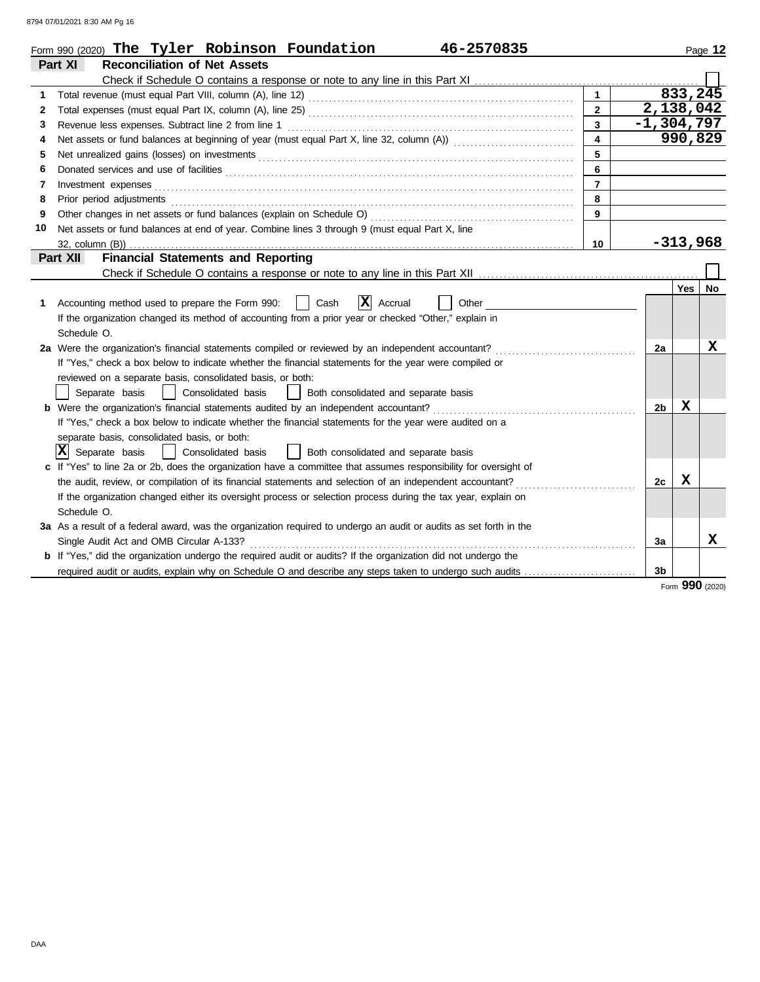8794 07/01/2021 8:30 AM Pg 16

|    | 46-2570835<br>Form 990 (2020) The Tyler Robinson Foundation                                                                                                                                                                    |                         |              |            | Page 12 |
|----|--------------------------------------------------------------------------------------------------------------------------------------------------------------------------------------------------------------------------------|-------------------------|--------------|------------|---------|
|    | <b>Reconciliation of Net Assets</b><br>Part XI                                                                                                                                                                                 |                         |              |            |         |
|    |                                                                                                                                                                                                                                |                         |              |            |         |
| 1  |                                                                                                                                                                                                                                | $\mathbf{1}$            |              | 833,245    |         |
| 2  |                                                                                                                                                                                                                                | $2^{\circ}$             | 2,138,042    |            |         |
| 3  | Revenue less expenses. Subtract line 2 from line 1                                                                                                                                                                             | $\overline{3}$          | $-1,304,797$ |            |         |
| 4  | Net assets or fund balances at beginning of year (must equal Part X, line 32, column (A)) [[[[[[[[[[[[[[[[[[[                                                                                                                  | $\overline{\mathbf{4}}$ |              | 990,829    |         |
| 5  |                                                                                                                                                                                                                                | 5                       |              |            |         |
| 6  |                                                                                                                                                                                                                                | 6                       |              |            |         |
| 7  | Investment expenses <b>contract and the expenses</b>                                                                                                                                                                           | $\overline{7}$          |              |            |         |
| 8  | Prior period adjustments entertainments and adjustments of the contract of the contract of the contract of the contract of the contract of the contract of the contract of the contract of the contract of the contract of the | 8                       |              |            |         |
| 9  |                                                                                                                                                                                                                                | 9                       |              |            |         |
| 10 | Net assets or fund balances at end of year. Combine lines 3 through 9 (must equal Part X, line                                                                                                                                 |                         |              |            |         |
|    |                                                                                                                                                                                                                                | 10                      |              | $-313,968$ |         |
|    | <b>Financial Statements and Reporting</b><br><b>Part XII</b>                                                                                                                                                                   |                         |              |            |         |
|    |                                                                                                                                                                                                                                |                         |              |            |         |
|    |                                                                                                                                                                                                                                |                         |              | Yes        | No      |
| 1  | $ \mathbf{X} $ Accrual<br>Cash<br>Accounting method used to prepare the Form 990:<br>Other                                                                                                                                     |                         |              |            |         |
|    | If the organization changed its method of accounting from a prior year or checked "Other," explain in                                                                                                                          |                         |              |            |         |
|    | Schedule O.                                                                                                                                                                                                                    |                         |              |            |         |
|    | 2a Were the organization's financial statements compiled or reviewed by an independent accountant?                                                                                                                             |                         | 2a           |            | X       |
|    | If "Yes," check a box below to indicate whether the financial statements for the year were compiled or                                                                                                                         |                         |              |            |         |
|    | reviewed on a separate basis, consolidated basis, or both:                                                                                                                                                                     |                         |              |            |         |
|    | Separate basis<br>Consolidated basis<br>  Both consolidated and separate basis                                                                                                                                                 |                         |              |            |         |
|    | <b>b</b> Were the organization's financial statements audited by an independent accountant?                                                                                                                                    |                         | 2b           | X          |         |
|    | If "Yes," check a box below to indicate whether the financial statements for the year were audited on a                                                                                                                        |                         |              |            |         |
|    | separate basis, consolidated basis, or both:                                                                                                                                                                                   |                         |              |            |         |
|    | ΙXΙ<br>Separate basis<br>$\Box$<br>Consolidated basis<br>Both consolidated and separate basis                                                                                                                                  |                         |              |            |         |
|    | c If "Yes" to line 2a or 2b, does the organization have a committee that assumes responsibility for oversight of                                                                                                               |                         |              |            |         |
|    | the audit, review, or compilation of its financial statements and selection of an independent accountant?                                                                                                                      |                         | 2c           | x          |         |
|    | If the organization changed either its oversight process or selection process during the tax year, explain on                                                                                                                  |                         |              |            |         |
|    | Schedule O.                                                                                                                                                                                                                    |                         |              |            |         |
|    | 3a As a result of a federal award, was the organization required to undergo an audit or audits as set forth in the                                                                                                             |                         |              |            |         |
|    | Single Audit Act and OMB Circular A-133?                                                                                                                                                                                       |                         | За           |            | x       |
|    | <b>b</b> If "Yes," did the organization undergo the required audit or audits? If the organization did not undergo the                                                                                                          |                         |              |            |         |
|    | required audit or audits, explain why on Schedule O and describe any steps taken to undergo such audits                                                                                                                        |                         | 3b           |            |         |

Form **990** (2020)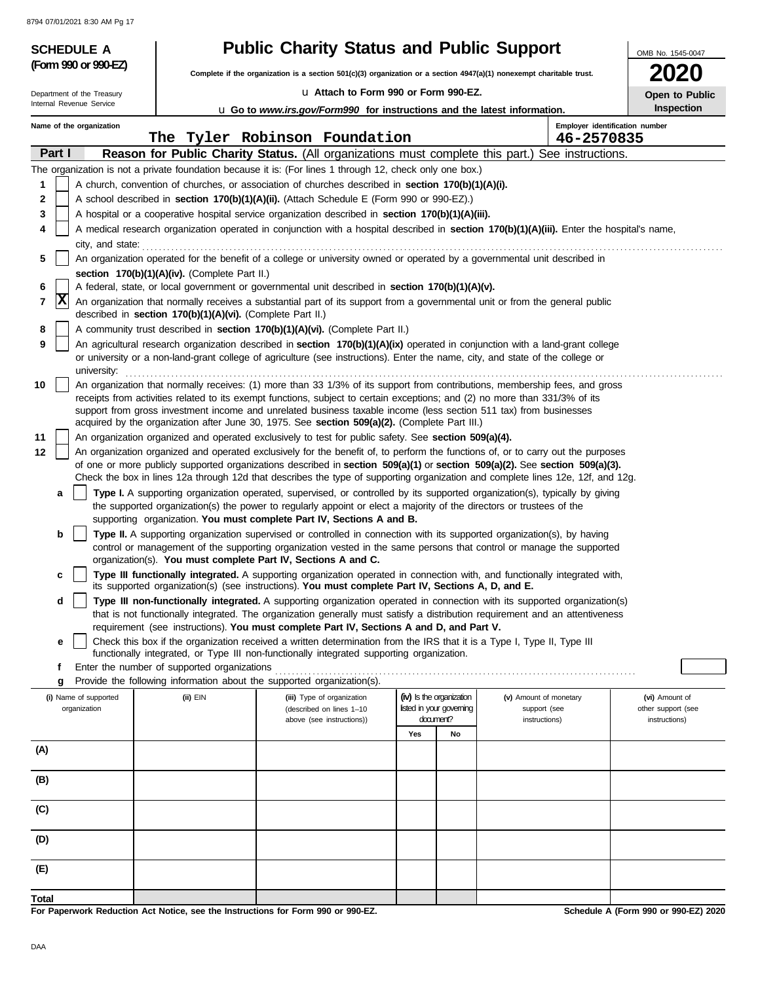| <b>SCHEDULE A</b>          |                                                            |                                                                                                                                                                                                                                                                 | <b>Public Charity Status and Public Support</b>                                          |    |                                |                                     |  |  |  |  |
|----------------------------|------------------------------------------------------------|-----------------------------------------------------------------------------------------------------------------------------------------------------------------------------------------------------------------------------------------------------------------|------------------------------------------------------------------------------------------|----|--------------------------------|-------------------------------------|--|--|--|--|
| (Form 990 or 990-EZ)       |                                                            | Complete if the organization is a section $501(c)(3)$ organization or a section $4947(a)(1)$ nonexempt charitable trust.                                                                                                                                        |                                                                                          |    |                                |                                     |  |  |  |  |
| Department of the Treasury |                                                            | La Attach to Form 990 or Form 990-EZ.                                                                                                                                                                                                                           |                                                                                          |    |                                | Open to Public                      |  |  |  |  |
| Internal Revenue Service   |                                                            |                                                                                                                                                                                                                                                                 | <b>Let</b> Go to <i>www.irs.gov/Form990</i> for instructions and the latest information. |    |                                |                                     |  |  |  |  |
| Name of the organization   |                                                            |                                                                                                                                                                                                                                                                 |                                                                                          |    | Employer identification number |                                     |  |  |  |  |
|                            |                                                            | The Tyler Robinson Foundation                                                                                                                                                                                                                                   |                                                                                          |    | 46-2570835                     |                                     |  |  |  |  |
| Part I                     |                                                            | <b>Reason for Public Charity Status.</b> (All organizations must complete this part.) See instructions.                                                                                                                                                         |                                                                                          |    |                                |                                     |  |  |  |  |
| 1                          |                                                            | The organization is not a private foundation because it is: (For lines 1 through 12, check only one box.)<br>A church, convention of churches, or association of churches described in section 170(b)(1)(A)(i).                                                 |                                                                                          |    |                                |                                     |  |  |  |  |
| 2                          |                                                            | A school described in section 170(b)(1)(A)(ii). (Attach Schedule E (Form 990 or 990-EZ).)                                                                                                                                                                       |                                                                                          |    |                                |                                     |  |  |  |  |
| 3                          |                                                            | A hospital or a cooperative hospital service organization described in section 170(b)(1)(A)(iii).                                                                                                                                                               |                                                                                          |    |                                |                                     |  |  |  |  |
| 4                          |                                                            | A medical research organization operated in conjunction with a hospital described in section 170(b)(1)(A)(iii). Enter the hospital's name,                                                                                                                      |                                                                                          |    |                                |                                     |  |  |  |  |
| city, and state:           |                                                            |                                                                                                                                                                                                                                                                 |                                                                                          |    |                                |                                     |  |  |  |  |
| 5                          |                                                            | An organization operated for the benefit of a college or university owned or operated by a governmental unit described in                                                                                                                                       |                                                                                          |    |                                |                                     |  |  |  |  |
|                            | section 170(b)(1)(A)(iv). (Complete Part II.)              |                                                                                                                                                                                                                                                                 |                                                                                          |    |                                |                                     |  |  |  |  |
| 6<br> X                    |                                                            | A federal, state, or local government or governmental unit described in section 170(b)(1)(A)(v).                                                                                                                                                                |                                                                                          |    |                                |                                     |  |  |  |  |
| 7                          | described in section 170(b)(1)(A)(vi). (Complete Part II.) | An organization that normally receives a substantial part of its support from a governmental unit or from the general public                                                                                                                                    |                                                                                          |    |                                |                                     |  |  |  |  |
| 8                          |                                                            | A community trust described in section 170(b)(1)(A)(vi). (Complete Part II.)                                                                                                                                                                                    |                                                                                          |    |                                |                                     |  |  |  |  |
| 9                          |                                                            | An agricultural research organization described in section 170(b)(1)(A)(ix) operated in conjunction with a land-grant college                                                                                                                                   |                                                                                          |    |                                |                                     |  |  |  |  |
|                            |                                                            | or university or a non-land-grant college of agriculture (see instructions). Enter the name, city, and state of the college or                                                                                                                                  |                                                                                          |    |                                |                                     |  |  |  |  |
| university:                |                                                            |                                                                                                                                                                                                                                                                 |                                                                                          |    |                                |                                     |  |  |  |  |
| 10                         |                                                            | An organization that normally receives: (1) more than 33 1/3% of its support from contributions, membership fees, and gross<br>receipts from activities related to its exempt functions, subject to certain exceptions; and (2) no more than 331/3% of its      |                                                                                          |    |                                |                                     |  |  |  |  |
|                            |                                                            | support from gross investment income and unrelated business taxable income (less section 511 tax) from businesses                                                                                                                                               |                                                                                          |    |                                |                                     |  |  |  |  |
|                            |                                                            | acquired by the organization after June 30, 1975. See section 509(a)(2). (Complete Part III.)                                                                                                                                                                   |                                                                                          |    |                                |                                     |  |  |  |  |
| 11                         |                                                            | An organization organized and operated exclusively to test for public safety. See section 509(a)(4).                                                                                                                                                            |                                                                                          |    |                                |                                     |  |  |  |  |
| 12                         |                                                            | An organization organized and operated exclusively for the benefit of, to perform the functions of, or to carry out the purposes<br>of one or more publicly supported organizations described in section 509(a)(1) or section 509(a)(2). See section 509(a)(3). |                                                                                          |    |                                |                                     |  |  |  |  |
|                            |                                                            | Check the box in lines 12a through 12d that describes the type of supporting organization and complete lines 12e, 12f, and 12g.                                                                                                                                 |                                                                                          |    |                                |                                     |  |  |  |  |
| a                          |                                                            | Type I. A supporting organization operated, supervised, or controlled by its supported organization(s), typically by giving                                                                                                                                     |                                                                                          |    |                                |                                     |  |  |  |  |
|                            |                                                            | the supported organization(s) the power to regularly appoint or elect a majority of the directors or trustees of the                                                                                                                                            |                                                                                          |    |                                |                                     |  |  |  |  |
| b                          |                                                            | supporting organization. You must complete Part IV, Sections A and B.<br>Type II. A supporting organization supervised or controlled in connection with its supported organization(s), by having                                                                |                                                                                          |    |                                |                                     |  |  |  |  |
|                            |                                                            | control or management of the supporting organization vested in the same persons that control or manage the supported                                                                                                                                            |                                                                                          |    |                                |                                     |  |  |  |  |
|                            |                                                            | organization(s). You must complete Part IV, Sections A and C.                                                                                                                                                                                                   |                                                                                          |    |                                |                                     |  |  |  |  |
|                            |                                                            | Type III functionally integrated. A supporting organization operated in connection with, and functionally integrated with,                                                                                                                                      |                                                                                          |    |                                |                                     |  |  |  |  |
| d                          |                                                            | its supported organization(s) (see instructions). You must complete Part IV, Sections A, D, and E.<br>Type III non-functionally integrated. A supporting organization operated in connection with its supported organization(s)                                 |                                                                                          |    |                                |                                     |  |  |  |  |
|                            |                                                            | that is not functionally integrated. The organization generally must satisfy a distribution requirement and an attentiveness                                                                                                                                    |                                                                                          |    |                                |                                     |  |  |  |  |
|                            |                                                            | requirement (see instructions). You must complete Part IV, Sections A and D, and Part V.                                                                                                                                                                        |                                                                                          |    |                                |                                     |  |  |  |  |
| е                          |                                                            | Check this box if the organization received a written determination from the IRS that it is a Type I, Type II, Type III<br>functionally integrated, or Type III non-functionally integrated supporting organization.                                            |                                                                                          |    |                                |                                     |  |  |  |  |
| f                          | Enter the number of supported organizations                |                                                                                                                                                                                                                                                                 |                                                                                          |    |                                |                                     |  |  |  |  |
| g                          |                                                            | Provide the following information about the supported organization(s).                                                                                                                                                                                          |                                                                                          |    |                                |                                     |  |  |  |  |
| (i) Name of supported      | (ii) EIN                                                   | (iii) Type of organization                                                                                                                                                                                                                                      | (iv) Is the organization                                                                 |    | (v) Amount of monetary         | (vi) Amount of                      |  |  |  |  |
| organization               |                                                            | (described on lines 1-10<br>above (see instructions))                                                                                                                                                                                                           | listed in your governing<br>document?                                                    |    | support (see<br>instructions)  | other support (see<br>instructions) |  |  |  |  |
|                            |                                                            |                                                                                                                                                                                                                                                                 | Yes                                                                                      | No |                                |                                     |  |  |  |  |
| (A)                        |                                                            |                                                                                                                                                                                                                                                                 |                                                                                          |    |                                |                                     |  |  |  |  |
|                            |                                                            |                                                                                                                                                                                                                                                                 |                                                                                          |    |                                |                                     |  |  |  |  |
| (B)                        |                                                            |                                                                                                                                                                                                                                                                 |                                                                                          |    |                                |                                     |  |  |  |  |
|                            |                                                            |                                                                                                                                                                                                                                                                 |                                                                                          |    |                                |                                     |  |  |  |  |
| (C)                        |                                                            |                                                                                                                                                                                                                                                                 |                                                                                          |    |                                |                                     |  |  |  |  |
| (D)                        |                                                            |                                                                                                                                                                                                                                                                 |                                                                                          |    |                                |                                     |  |  |  |  |
|                            |                                                            |                                                                                                                                                                                                                                                                 |                                                                                          |    |                                |                                     |  |  |  |  |
| (E)                        |                                                            |                                                                                                                                                                                                                                                                 |                                                                                          |    |                                |                                     |  |  |  |  |
|                            |                                                            |                                                                                                                                                                                                                                                                 |                                                                                          |    |                                |                                     |  |  |  |  |
| Total                      |                                                            |                                                                                                                                                                                                                                                                 |                                                                                          |    |                                |                                     |  |  |  |  |

**For Paperwork Reduction Act Notice, see the Instructions for Form 990 or 990-EZ.**

**Schedule A (Form 990 or 990-EZ) 2020**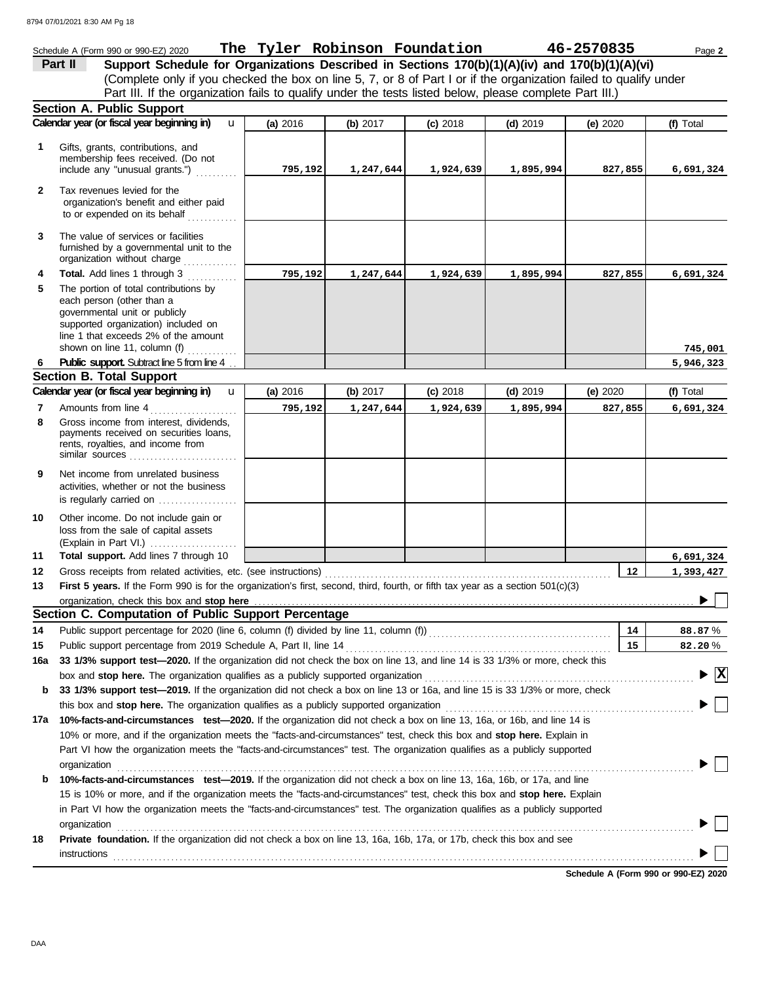#### Schedule A (Form 990 or 990-EZ) 2020 Page **2 The Tyler Robinson Foundation 46-2570835 Part II Support Schedule for Organizations Described in Sections 170(b)(1)(A)(iv) and 170(b)(1)(A)(vi)** (Complete only if you checked the box on line 5, 7, or 8 of Part I or if the organization failed to qualify under Part III. If the organization fails to qualify under the tests listed below, please complete Part III.) **Section A. Public Support Calendar year (or fiscal year beginning in) <b>4** (a) 2016 (b) 2017 (c) 2018 (d) 2019 (e) 2020 (f) Total u **(a)** 2016 **(b)** 2017 **(c)** 2018 **(d)** 2019 **(e)** 2020 Gifts, grants, contributions, and **1** membership fees received. (Do not include any "unusual grants.") . . . . . . . . . . **795,192 1,247,644 1,924,639 1,895,994 827,855 6,691,324 2** Tax revenues levied for the organization's benefit and either paid to or expended on its behalf ............ **3** The value of services or facilities furnished by a governmental unit to the organization without charge .............. **4 Total.** Add lines 1 through 3 **795,192 1,247,644 1,924,639 1,895,994 827,855 6,691,324 5** The portion of total contributions by each person (other than a governmental unit or publicly supported organization) included on line 1 that exceeds 2% of the amount **745,001** shown on line 11, column (f)  $\ldots$ **Public support.** Subtract line 5 from line 4 . **6 5,946,323 Section B. Total Support Calendar year (or fiscal year beginning in) <b>u** | (a) 2016 | (b) 2017 | (c) 2018 | (d) 2019 | (e) 2020 | (f) Total u **(b)** 2017 **(c)** 2018 **(d)** 2019 **(e)** 2020 **(a)** 2016 Amounts from line 4 . . . . . . . . . . . . . . . . . . . . . **7 795,192 1,247,644 1,924,639 1,895,994 827,855 6,691,324** Gross income from interest, dividends, **8** payments received on securities loans, rents, royalties, and income from similar sources . . . . . . . . . . . . . . . . . . . . . . . . . . **9** Net income from unrelated business activities, whether or not the business is regularly carried on .................. Other income. Do not include gain or **10** loss from the sale of capital assets (Explain in Part VI.) . . . . . . . . . . . . . . . . . . . . . **11 Total support.** Add lines 7 through 10 **6,691,324 12 12 1,393,427** Gross receipts from related activities, etc. (see instructions) . . . . . . . . . . . . . . . . . . . . . . . . . . . . . . . . . . . . . . . . . . . . . . . . . . . . . . . . . . . . . . . . . . . . . **13 First 5 years.** If the Form 990 is for the organization's first, second, third, fourth, or fifth tax year as a section 501(c)(3) organization, check this box and stop here  $\blacktriangleright$ **Section C. Computation of Public Support Percentage 14 14** Public support percentage for 2020 (line 6, column (f) divided by line 11, column (f)) . . . . . . . . . . . . . . . . . . . . . . . . . . . . . . . . . . . . . . . . . . . . % **88.87 15** Public support percentage from 2019 Schedule A, Part II, line 14 . . . . . . . . . . . . . . . . . . . . . . . . . . . . . . . . . . . . . . . . . . . . . . . . . . . . . . . . . . . . . . . . **15** % **82.20 16a 33 1/3% support test—2020.** If the organization did not check the box on line 13, and line 14 is 33 1/3% or more, check this box and **stop here.** The organization qualifies as a publicly supported organization . . . . . . . . . . . . . . . . . . . . . . . . . . . . . . . . . . . . . . . . . . . . . . . . . . . . . . . . . . . . . . . . . **X b 33 1/3% support test—2019.** If the organization did not check a box on line 13 or 16a, and line 15 is 33 1/3% or more, check this box and **stop here.** The organization qualifies as a publicly supported organization . . . . . . . . . . . . . . . . . . . . . . . . . . . . . . . . . . . . . . . . . . . . . . . . . . . . . . . . . . . . **17a 10%-facts-and-circumstances test—2020.** If the organization did not check a box on line 13, 16a, or 16b, and line 14 is 10% or more, and if the organization meets the "facts-and-circumstances" test, check this box and **stop here.** Explain in Part VI how the organization meets the "facts-and-circumstances" test. The organization qualifies as a publicly supported organization . . . . . . . . . . . . . . . . . . . . . . . . . . . . . . . . . . . . . . . . . . . . . . . . . . . . . . . . . . . . . . . . . . . . . . . . . . . . . . . . . . . . . . . . . . . . . . . . . . . . . . . . . . . . . . . . . . . . . . . . . . . . . . . . . . . . . . . . . . . **b 10%-facts-and-circumstances test—2019.** If the organization did not check a box on line 13, 16a, 16b, or 17a, and line 15 is 10% or more, and if the organization meets the "facts-and-circumstances" test, check this box and **stop here.** Explain in Part VI how the organization meets the "facts-and-circumstances" test. The organization qualifies as a publicly supported organization contains a constant of the container and container a contact the contact of the contact of the contact of the contact of the contact of the contact of the contact of the contact of the contact of the contact o **18 Private foundation.** If the organization did not check a box on line 13, 16a, 16b, 17a, or 17b, check this box and see instructions . . . . . . . . . . . . . . . . . . . . . . . . . . . . . . . . . . . . . . . . . . . . . . . . . . . . . . . . . . . . . . . . . . . . . . . . . . . . . . . . . . . . . . . . . . . . . . . . . . . . . . . . . . . . . . . . . . . . . . . . . . . . . . . . . . . . . . . . . . . .

**Schedule A (Form 990 or 990-EZ) 2020**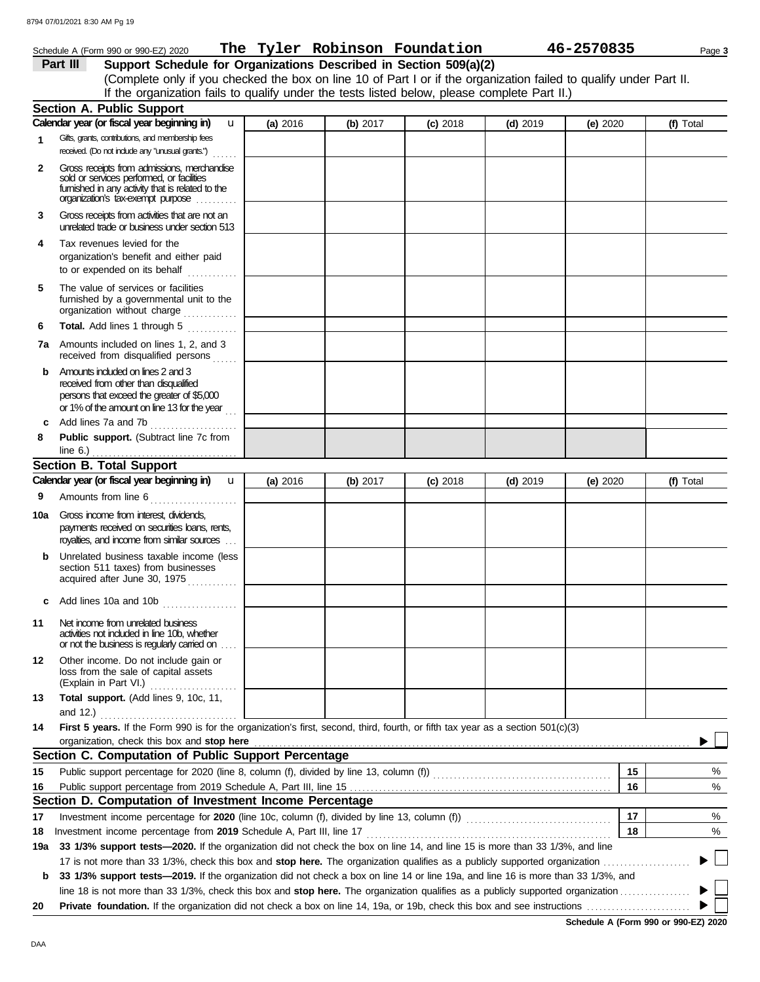|              | Schedule A (Form 990 or 990-EZ) 2020 The Tyler Robinson Foundation                                                                                                                |          |          |            |            | 46-2570835 | Page 3    |
|--------------|-----------------------------------------------------------------------------------------------------------------------------------------------------------------------------------|----------|----------|------------|------------|------------|-----------|
|              | Support Schedule for Organizations Described in Section 509(a)(2)<br>Part III                                                                                                     |          |          |            |            |            |           |
|              | (Complete only if you checked the box on line 10 of Part I or if the organization failed to qualify under Part II.                                                                |          |          |            |            |            |           |
|              | If the organization fails to qualify under the tests listed below, please complete Part II.)                                                                                      |          |          |            |            |            |           |
|              | <b>Section A. Public Support</b>                                                                                                                                                  |          |          |            |            |            |           |
|              | Calendar year (or fiscal year beginning in)<br><b>u</b>                                                                                                                           | (a) 2016 | (b) 2017 | $(c)$ 2018 | $(d)$ 2019 | (e) 2020   | (f) Total |
| 1            | Gifts, grants, contributions, and membership fees                                                                                                                                 |          |          |            |            |            |           |
|              | received. (Do not include any "unusual grants.")                                                                                                                                  |          |          |            |            |            |           |
| $\mathbf{2}$ | Gross receipts from admissions, merchandise<br>sold or services performed, or facilities<br>furnished in any activity that is related to the<br>organization's tax-exempt purpose |          |          |            |            |            |           |
| 3            | Gross receipts from activities that are not an<br>unrelated trade or business under section 513                                                                                   |          |          |            |            |            |           |
| 4            | Tax revenues levied for the<br>organization's benefit and either paid<br>to or expended on its behalf                                                                             |          |          |            |            |            |           |
| 5            | The value of services or facilities<br>furnished by a governmental unit to the<br>organization without charge                                                                     |          |          |            |            |            |           |
| 6            | Total. Add lines 1 through 5                                                                                                                                                      |          |          |            |            |            |           |
| 7a           | Amounts included on lines 1, 2, and 3<br>received from disqualified persons                                                                                                       |          |          |            |            |            |           |
| b            | Amounts included on lines 2 and 3<br>received from other than disqualified<br>persons that exceed the greater of \$5,000<br>or 1% of the amount on line 13 for the year           |          |          |            |            |            |           |
| С            | Add lines 7a and 7b                                                                                                                                                               |          |          |            |            |            |           |
| 8            | Public support. (Subtract line 7c from                                                                                                                                            |          |          |            |            |            |           |
|              | <b>Section B. Total Support</b>                                                                                                                                                   |          |          |            |            |            |           |
|              | Calendar year (or fiscal year beginning in)<br>$\mathbf{u}$                                                                                                                       | (a) 2016 | (b) 2017 | $(c)$ 2018 | $(d)$ 2019 | (e) 2020   | (f) Total |
| 9            | Amounts from line 6                                                                                                                                                               |          |          |            |            |            |           |
| 10a          | Gross income from interest, dividends.<br>payments received on securities loans, rents,<br>royalties, and income from similar sources                                             |          |          |            |            |            |           |
| b            | Unrelated business taxable income (less<br>section 511 taxes) from businesses<br>acquired after June 30, 1975                                                                     |          |          |            |            |            |           |
|              | Add lines 10a and 10b                                                                                                                                                             |          |          |            |            |            |           |
| 11           | Net income from unrelated business<br>activities not induded in line 10b, whether<br>or not the business is regularly carried on                                                  |          |          |            |            |            |           |
| 12           | Other income. Do not include gain or<br>loss from the sale of capital assets<br>(Explain in Part VI.)                                                                             |          |          |            |            |            |           |
| 13           | Total support. (Add lines 9, 10c, 11,                                                                                                                                             |          |          |            |            |            |           |
| 14           | First 5 years. If the Form 990 is for the organization's first, second, third, fourth, or fifth tax year as a section 501(c)(3)                                                   |          |          |            |            |            |           |
|              | organization, check this box and stop here <b>constant and all and all and all and all and all and all and all and a</b>                                                          |          |          |            |            |            |           |
|              | Section C. Computation of Public Support Percentage                                                                                                                               |          |          |            |            |            |           |
| 15           |                                                                                                                                                                                   |          |          |            |            | 15         | %         |
| 16           |                                                                                                                                                                                   |          |          |            |            | 16         | %         |
|              | Section D. Computation of Investment Income Percentage                                                                                                                            |          |          |            |            |            |           |
| 17           |                                                                                                                                                                                   |          |          |            |            | 17         | %         |
| 18           |                                                                                                                                                                                   |          |          |            |            | 18         | %         |
|              |                                                                                                                                                                                   |          |          |            |            |            |           |

17 is not more than 33 1/3%, check this box and **stop here.** The organization qualifies as a publicly supported organization . . . . . . . . . . . . . . . . . . . . . **19a 33 1/3% support tests—2020.** If the organization did not check the box on line 14, and line 15 is more than 33 1/3%, and line **b 33 1/3% support tests—2019.** If the organization did not check a box on line 14 or line 19a, and line 16 is more than 33 1/3%, and

line 18 is not more than 33 1/3%, check this box and **stop here.** The organization qualifies as a publicly supported organization . . . . . . . . . . . . . . . . .

**20 Private foundation.** If the organization did not check a box on line 14, 19a, or 19b, check this box and see instructions . . . . . . . . . . . . . . . . . . . . . . . . .

 $\blacktriangleright$   $\Box$ 

 $\blacktriangleright$  $\blacktriangleright$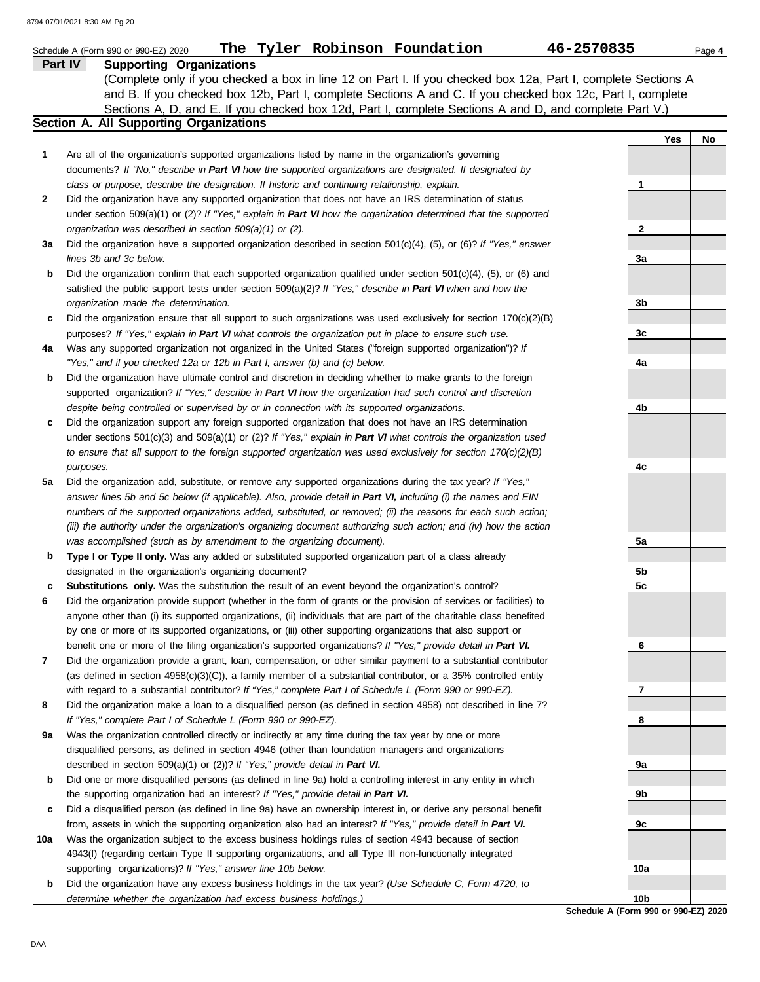|              | The Tyler Robinson Foundation<br>46-2570835<br>Schedule A (Form 990 or 990-EZ) 2020<br><b>Supporting Organizations</b><br><b>Part IV</b>                                                                                                                                                                                              |                 |     | Page 4 |
|--------------|---------------------------------------------------------------------------------------------------------------------------------------------------------------------------------------------------------------------------------------------------------------------------------------------------------------------------------------|-----------------|-----|--------|
|              | (Complete only if you checked a box in line 12 on Part I. If you checked box 12a, Part I, complete Sections A<br>and B. If you checked box 12b, Part I, complete Sections A and C. If you checked box 12c, Part I, complete<br>Sections A, D, and E. If you checked box 12d, Part I, complete Sections A and D, and complete Part V.) |                 |     |        |
|              | <b>Section A. All Supporting Organizations</b>                                                                                                                                                                                                                                                                                        |                 |     |        |
| 1            | Are all of the organization's supported organizations listed by name in the organization's governing                                                                                                                                                                                                                                  |                 | Yes | No     |
|              | documents? If "No," describe in Part VI how the supported organizations are designated. If designated by<br>class or purpose, describe the designation. If historic and continuing relationship, explain.                                                                                                                             | 1               |     |        |
| $\mathbf{2}$ | Did the organization have any supported organization that does not have an IRS determination of status                                                                                                                                                                                                                                |                 |     |        |
|              | under section 509(a)(1) or (2)? If "Yes," explain in Part VI how the organization determined that the supported                                                                                                                                                                                                                       |                 |     |        |
|              | organization was described in section 509(a)(1) or (2).                                                                                                                                                                                                                                                                               | 2               |     |        |
| За           | Did the organization have a supported organization described in section $501(c)(4)$ , (5), or (6)? If "Yes," answer                                                                                                                                                                                                                   |                 |     |        |
|              | lines 3b and 3c below.                                                                                                                                                                                                                                                                                                                | 3a              |     |        |
| b            | Did the organization confirm that each supported organization qualified under section $501(c)(4)$ , $(5)$ , or $(6)$ and                                                                                                                                                                                                              |                 |     |        |
|              | satisfied the public support tests under section 509(a)(2)? If "Yes," describe in Part VI when and how the                                                                                                                                                                                                                            |                 |     |        |
|              | organization made the determination.                                                                                                                                                                                                                                                                                                  | 3b              |     |        |
| c            | Did the organization ensure that all support to such organizations was used exclusively for section $170(c)(2)(B)$                                                                                                                                                                                                                    |                 |     |        |
|              | purposes? If "Yes," explain in Part VI what controls the organization put in place to ensure such use.                                                                                                                                                                                                                                | 3c              |     |        |
| 4a           | Was any supported organization not organized in the United States ("foreign supported organization")? If                                                                                                                                                                                                                              |                 |     |        |
|              | "Yes," and if you checked 12a or 12b in Part I, answer (b) and (c) below.                                                                                                                                                                                                                                                             | 4a              |     |        |
| b            | Did the organization have ultimate control and discretion in deciding whether to make grants to the foreign                                                                                                                                                                                                                           |                 |     |        |
|              | supported organization? If "Yes," describe in Part VI how the organization had such control and discretion                                                                                                                                                                                                                            |                 |     |        |
|              | despite being controlled or supervised by or in connection with its supported organizations.                                                                                                                                                                                                                                          | 4b              |     |        |
| c            | Did the organization support any foreign supported organization that does not have an IRS determination                                                                                                                                                                                                                               |                 |     |        |
|              | under sections $501(c)(3)$ and $509(a)(1)$ or (2)? If "Yes," explain in Part VI what controls the organization used                                                                                                                                                                                                                   |                 |     |        |
|              | to ensure that all support to the foreign supported organization was used exclusively for section $170(c)(2)(B)$                                                                                                                                                                                                                      |                 |     |        |
|              | purposes.                                                                                                                                                                                                                                                                                                                             | 4c              |     |        |
| 5a           | Did the organization add, substitute, or remove any supported organizations during the tax year? If "Yes,"                                                                                                                                                                                                                            |                 |     |        |
|              | answer lines 5b and 5c below (if applicable). Also, provide detail in Part VI, including (i) the names and EIN                                                                                                                                                                                                                        |                 |     |        |
|              | numbers of the supported organizations added, substituted, or removed; (ii) the reasons for each such action;                                                                                                                                                                                                                         |                 |     |        |
|              | (iii) the authority under the organization's organizing document authorizing such action; and (iv) how the action                                                                                                                                                                                                                     |                 |     |        |
|              | was accomplished (such as by amendment to the organizing document).                                                                                                                                                                                                                                                                   | 5a              |     |        |
| b            | Type I or Type II only. Was any added or substituted supported organization part of a class already                                                                                                                                                                                                                                   |                 |     |        |
|              | designated in the organization's organizing document?<br>Substitutions only. Was the substitution the result of an event beyond the organization's control?                                                                                                                                                                           | 5b<br>5c        |     |        |
| c<br>6       | Did the organization provide support (whether in the form of grants or the provision of services or facilities) to                                                                                                                                                                                                                    |                 |     |        |
|              | anyone other than (i) its supported organizations, (ii) individuals that are part of the charitable class benefited                                                                                                                                                                                                                   |                 |     |        |
|              | by one or more of its supported organizations, or (iii) other supporting organizations that also support or                                                                                                                                                                                                                           |                 |     |        |
|              | benefit one or more of the filing organization's supported organizations? If "Yes," provide detail in Part VI.                                                                                                                                                                                                                        | 6               |     |        |
| 7            | Did the organization provide a grant, loan, compensation, or other similar payment to a substantial contributor                                                                                                                                                                                                                       |                 |     |        |
|              | (as defined in section $4958(c)(3)(C)$ ), a family member of a substantial contributor, or a 35% controlled entity                                                                                                                                                                                                                    |                 |     |        |
|              | with regard to a substantial contributor? If "Yes," complete Part I of Schedule L (Form 990 or 990-EZ).                                                                                                                                                                                                                               | 7               |     |        |
| 8            | Did the organization make a loan to a disqualified person (as defined in section 4958) not described in line 7?                                                                                                                                                                                                                       |                 |     |        |
|              | If "Yes," complete Part I of Schedule L (Form 990 or 990-EZ).                                                                                                                                                                                                                                                                         | 8               |     |        |
| 9а           | Was the organization controlled directly or indirectly at any time during the tax year by one or more                                                                                                                                                                                                                                 |                 |     |        |
|              | disqualified persons, as defined in section 4946 (other than foundation managers and organizations                                                                                                                                                                                                                                    |                 |     |        |
|              | described in section 509(a)(1) or (2))? If "Yes," provide detail in Part VI.                                                                                                                                                                                                                                                          | 9а              |     |        |
| b            | Did one or more disqualified persons (as defined in line 9a) hold a controlling interest in any entity in which                                                                                                                                                                                                                       |                 |     |        |
|              | the supporting organization had an interest? If "Yes," provide detail in Part VI.                                                                                                                                                                                                                                                     | 9b              |     |        |
| c            | Did a disqualified person (as defined in line 9a) have an ownership interest in, or derive any personal benefit                                                                                                                                                                                                                       |                 |     |        |
|              | from, assets in which the supporting organization also had an interest? If "Yes," provide detail in Part VI.                                                                                                                                                                                                                          | 9c              |     |        |
| 10a          | Was the organization subject to the excess business holdings rules of section 4943 because of section                                                                                                                                                                                                                                 |                 |     |        |
|              | 4943(f) (regarding certain Type II supporting organizations, and all Type III non-functionally integrated                                                                                                                                                                                                                             |                 |     |        |
|              | supporting organizations)? If "Yes," answer line 10b below.                                                                                                                                                                                                                                                                           | 10a             |     |        |
| b            | Did the organization have any excess business holdings in the tax year? (Use Schedule C, Form 4720, to                                                                                                                                                                                                                                |                 |     |        |
|              | determine whether the organization had excess business holdings.)                                                                                                                                                                                                                                                                     | 10 <sub>b</sub> |     |        |

**Schedule A (Form 990 or 990-EZ) 2020**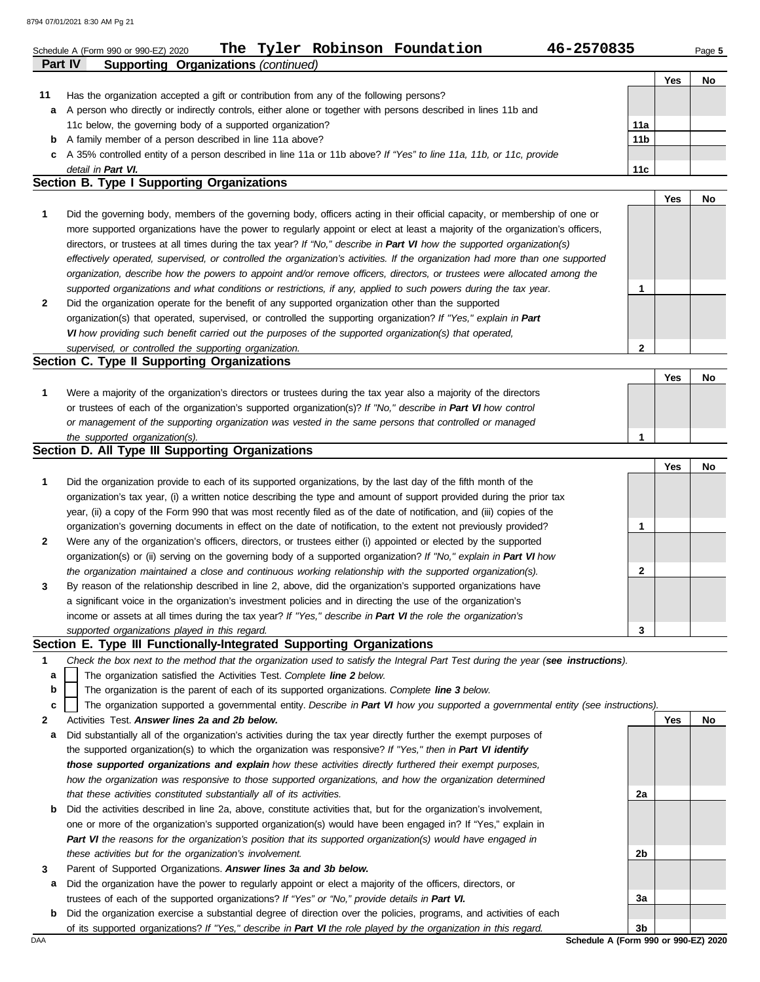8794 07/01/2021 8:30 AM Pg 21

|    | The Tyler Robinson Foundation<br>46-2570835<br>Schedule A (Form 990 or 990-EZ) 2020                                            |     |            | Page 5 |
|----|--------------------------------------------------------------------------------------------------------------------------------|-----|------------|--------|
|    | <b>Part IV</b><br><b>Supporting Organizations (continued)</b>                                                                  |     |            |        |
|    |                                                                                                                                |     | Yes        | No     |
| 11 | Has the organization accepted a gift or contribution from any of the following persons?                                        |     |            |        |
| a  | A person who directly or indirectly controls, either alone or together with persons described in lines 11b and                 |     |            |        |
|    | 11c below, the governing body of a supported organization?                                                                     | 11a |            |        |
| b  | A family member of a person described in line 11a above?                                                                       | 11b |            |        |
| c  | A 35% controlled entity of a person described in line 11a or 11b above? If "Yes" to line 11a, 11b, or 11c, provide             |     |            |        |
|    | detail in Part VI.                                                                                                             | 11c |            |        |
|    | Section B. Type I Supporting Organizations                                                                                     |     |            |        |
|    |                                                                                                                                |     | <b>Yes</b> | No.    |
| 1  | Did the governing body, members of the governing body, officers acting in their official capacity, or membership of one or     |     |            |        |
|    | more supported organizations have the power to regularly appoint or elect at least a majority of the organization's officers,  |     |            |        |
|    | directors, or trustees at all times during the tax year? If "No," describe in Part VI how the supported organization(s)        |     |            |        |
|    | effectively operated, supervised, or controlled the organization's activities. If the organization had more than one supported |     |            |        |
|    | organization, describe how the powers to appoint and/or remove officers, directors, or trustees were allocated among the       |     |            |        |
|    | supported organizations and what conditions or restrictions, if any, applied to such powers during the tax year.               |     |            |        |

| Did the organization operate for the benefit of any supported organization other than the supported             |
|-----------------------------------------------------------------------------------------------------------------|
| organization(s) that operated, supervised, or controlled the supporting organization? If "Yes," explain in Part |
| VI how providing such benefit carried out the purposes of the supported organization(s) that operated,          |
| supervised, or controlled the supporting organization.                                                          |

### **Section C. Type II Supporting Organizations**

|                                                                                                                  |  | No |
|------------------------------------------------------------------------------------------------------------------|--|----|
| Were a majority of the organization's directors or trustees during the tax year also a majority of the directors |  |    |
| or trustees of each of the organization's supported organization(s)? If "No," describe in Part VI how control    |  |    |
| or management of the supporting organization was vested in the same persons that controlled or managed           |  |    |
| the supported organization(s).                                                                                   |  |    |

### **Section D. All Type III Supporting Organizations**

|              |                                                                                                                        |   | Yes | No |
|--------------|------------------------------------------------------------------------------------------------------------------------|---|-----|----|
| 1            | Did the organization provide to each of its supported organizations, by the last day of the fifth month of the         |   |     |    |
|              | organization's tax year, (i) a written notice describing the type and amount of support provided during the prior tax  |   |     |    |
|              | year, (ii) a copy of the Form 990 that was most recently filed as of the date of notification, and (iii) copies of the |   |     |    |
|              | organization's governing documents in effect on the date of notification, to the extent not previously provided?       |   |     |    |
| $\mathbf{2}$ | Were any of the organization's officers, directors, or trustees either (i) appointed or elected by the supported       |   |     |    |
|              | organization(s) or (ii) serving on the governing body of a supported organization? If "No," explain in Part VI how     |   |     |    |
|              | the organization maintained a close and continuous working relationship with the supported organization(s).            | っ |     |    |
| $\mathbf{3}$ | By reason of the relationship described in line 2, above, did the organization's supported organizations have          |   |     |    |
|              | a significant voice in the organization's investment policies and in directing the use of the organization's           |   |     |    |
|              | income or assets at all times during the tax year? If "Yes," describe in Part VI the role the organization's           |   |     |    |
|              | supported organizations played in this regard.                                                                         | 3 |     |    |

#### **Section E. Type III Functionally-Integrated Supporting Organizations**

- **1** *Check the box next to the method that the organization used to satisfy the Integral Part Test during the year (see instructions).*
	- The organization satisfied the Activities Test. *Complete line 2 below.* **a**
	- The organization is the parent of each of its supported organizations. *Complete line 3 below.* **b**
	- The organization supported a governmental entity. *Describe in Part VI how you supported a governmental entity (see instructions).* **c**
- **2** Activities Test. *Answer lines 2a and 2b below.*
- **a** Did substantially all of the organization's activities during the tax year directly further the exempt purposes of the supported organization(s) to which the organization was responsive? *If "Yes," then in Part VI identify those supported organizations and explain how these activities directly furthered their exempt purposes, how the organization was responsive to those supported organizations, and how the organization determined that these activities constituted substantially all of its activities.*
- **b** Did the activities described in line 2a, above, constitute activities that, but for the organization's involvement, one or more of the organization's supported organization(s) would have been engaged in? If "Yes," explain in *Part VI the reasons for the organization's position that its supported organization(s) would have engaged in these activities but for the organization's involvement.*
- **3** Parent of Supported Organizations. *Answer lines 3a and 3b below.*
- **a** Did the organization have the power to regularly appoint or elect a majority of the officers, directors, or trustees of each of the supported organizations? *If "Yes" or "No," provide details in Part VI.*
- DAA **Schedule A (Form 990 or 990-EZ) 2020 b** Did the organization exercise a substantial degree of direction over the policies, programs, and activities of each of its supported organizations? *If "Yes," describe in Part VI the role played by the organization in this regard.*

**Yes No 2a 2b 3a 3b**

**2**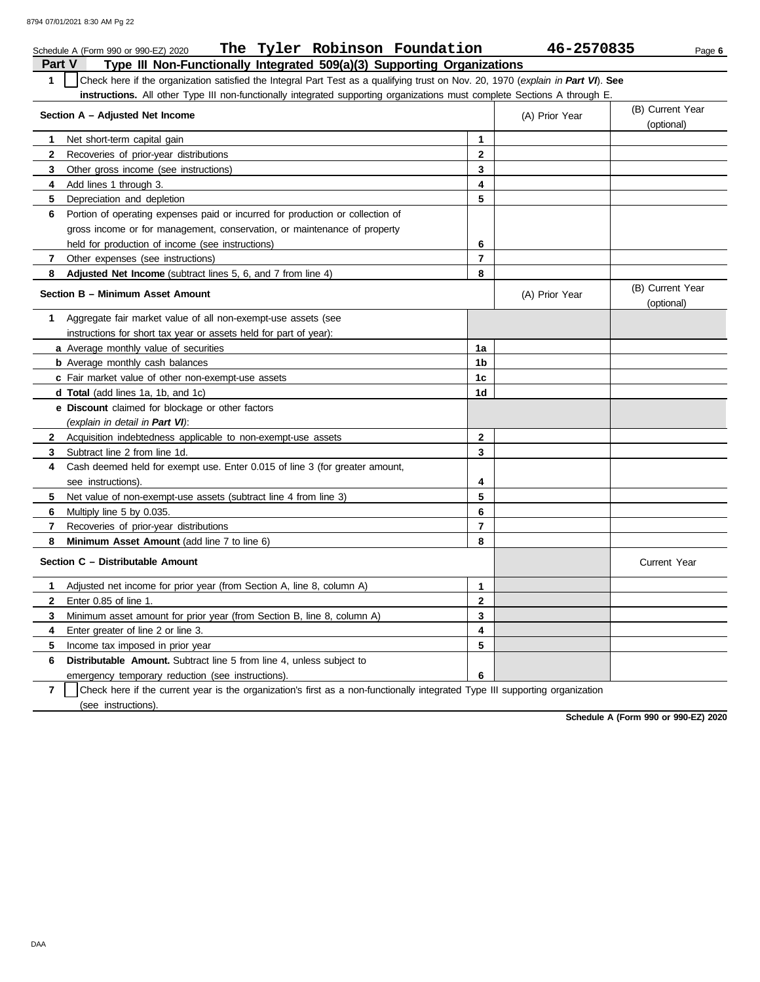|                                                                       | The Tyler Robinson Foundation<br>Schedule A (Form 990 or 990-EZ) 2020                                                            |              | 46-2570835     | Page 6                         |  |  |  |
|-----------------------------------------------------------------------|----------------------------------------------------------------------------------------------------------------------------------|--------------|----------------|--------------------------------|--|--|--|
| Part V                                                                | Type III Non-Functionally Integrated 509(a)(3) Supporting Organizations                                                          |              |                |                                |  |  |  |
| 1                                                                     | Check here if the organization satisfied the Integral Part Test as a qualifying trust on Nov. 20, 1970 (explain in Part VI). See |              |                |                                |  |  |  |
|                                                                       | instructions. All other Type III non-functionally integrated supporting organizations must complete Sections A through E.        |              |                |                                |  |  |  |
| (B) Current Year<br>Section A - Adjusted Net Income<br>(A) Prior Year |                                                                                                                                  |              |                |                                |  |  |  |
| 1.                                                                    | Net short-term capital gain                                                                                                      | 1            |                |                                |  |  |  |
| 2                                                                     | Recoveries of prior-year distributions                                                                                           | $\mathbf{2}$ |                |                                |  |  |  |
| 3                                                                     | Other gross income (see instructions)                                                                                            | 3            |                |                                |  |  |  |
| 4                                                                     | Add lines 1 through 3.                                                                                                           | 4            |                |                                |  |  |  |
| 5.                                                                    | Depreciation and depletion                                                                                                       | 5            |                |                                |  |  |  |
| 6                                                                     | Portion of operating expenses paid or incurred for production or collection of                                                   |              |                |                                |  |  |  |
|                                                                       | gross income or for management, conservation, or maintenance of property                                                         |              |                |                                |  |  |  |
|                                                                       | held for production of income (see instructions)                                                                                 | 6            |                |                                |  |  |  |
| 7                                                                     | Other expenses (see instructions)                                                                                                | 7            |                |                                |  |  |  |
| 8                                                                     | Adjusted Net Income (subtract lines 5, 6, and 7 from line 4)                                                                     | 8            |                |                                |  |  |  |
|                                                                       | Section B - Minimum Asset Amount                                                                                                 |              | (A) Prior Year | (B) Current Year<br>(optional) |  |  |  |
| 1.                                                                    | Aggregate fair market value of all non-exempt-use assets (see                                                                    |              |                |                                |  |  |  |
|                                                                       | instructions for short tax year or assets held for part of year):                                                                |              |                |                                |  |  |  |
|                                                                       | a Average monthly value of securities                                                                                            | 1a           |                |                                |  |  |  |
|                                                                       | <b>b</b> Average monthly cash balances                                                                                           | 1b           |                |                                |  |  |  |
|                                                                       | c Fair market value of other non-exempt-use assets                                                                               | 1c           |                |                                |  |  |  |
|                                                                       | d Total (add lines 1a, 1b, and 1c)                                                                                               | 1d           |                |                                |  |  |  |
|                                                                       | e Discount claimed for blockage or other factors                                                                                 |              |                |                                |  |  |  |
|                                                                       | (explain in detail in Part VI):                                                                                                  |              |                |                                |  |  |  |
| $\mathbf{2}^-$                                                        | Acquisition indebtedness applicable to non-exempt-use assets                                                                     | $\mathbf{2}$ |                |                                |  |  |  |
| 3                                                                     | Subtract line 2 from line 1d.                                                                                                    | 3            |                |                                |  |  |  |
| 4                                                                     | Cash deemed held for exempt use. Enter 0.015 of line 3 (for greater amount,                                                      |              |                |                                |  |  |  |
|                                                                       | see instructions).                                                                                                               | 4            |                |                                |  |  |  |
| 5.                                                                    | Net value of non-exempt-use assets (subtract line 4 from line 3)                                                                 | 5            |                |                                |  |  |  |
| 6                                                                     | Multiply line 5 by 0.035.                                                                                                        | 6            |                |                                |  |  |  |
| 7                                                                     | Recoveries of prior-year distributions                                                                                           | 7            |                |                                |  |  |  |
| 8                                                                     | Minimum Asset Amount (add line 7 to line 6)                                                                                      | 8            |                |                                |  |  |  |
|                                                                       | Section C - Distributable Amount                                                                                                 |              |                | <b>Current Year</b>            |  |  |  |
| 1                                                                     | Adjusted net income for prior year (from Section A, line 8, column A)                                                            | 1            |                |                                |  |  |  |
| 2                                                                     | Enter 0.85 of line 1.                                                                                                            | 2            |                |                                |  |  |  |
| 3                                                                     | Minimum asset amount for prior year (from Section B, line 8, column A)                                                           | 3            |                |                                |  |  |  |
| 4                                                                     | Enter greater of line 2 or line 3.                                                                                               | 4            |                |                                |  |  |  |
| 5                                                                     | Income tax imposed in prior year                                                                                                 | 5            |                |                                |  |  |  |
| 6                                                                     | Distributable Amount. Subtract line 5 from line 4, unless subject to                                                             |              |                |                                |  |  |  |
|                                                                       | emergency temporary reduction (see instructions).                                                                                | 6            |                |                                |  |  |  |
| $\overline{7}$                                                        | Check here if the current year is the organization's first as a non-functionally integrated Type III supporting organization     |              |                |                                |  |  |  |

(see instructions).

**Schedule A (Form 990 or 990-EZ) 2020**

DAA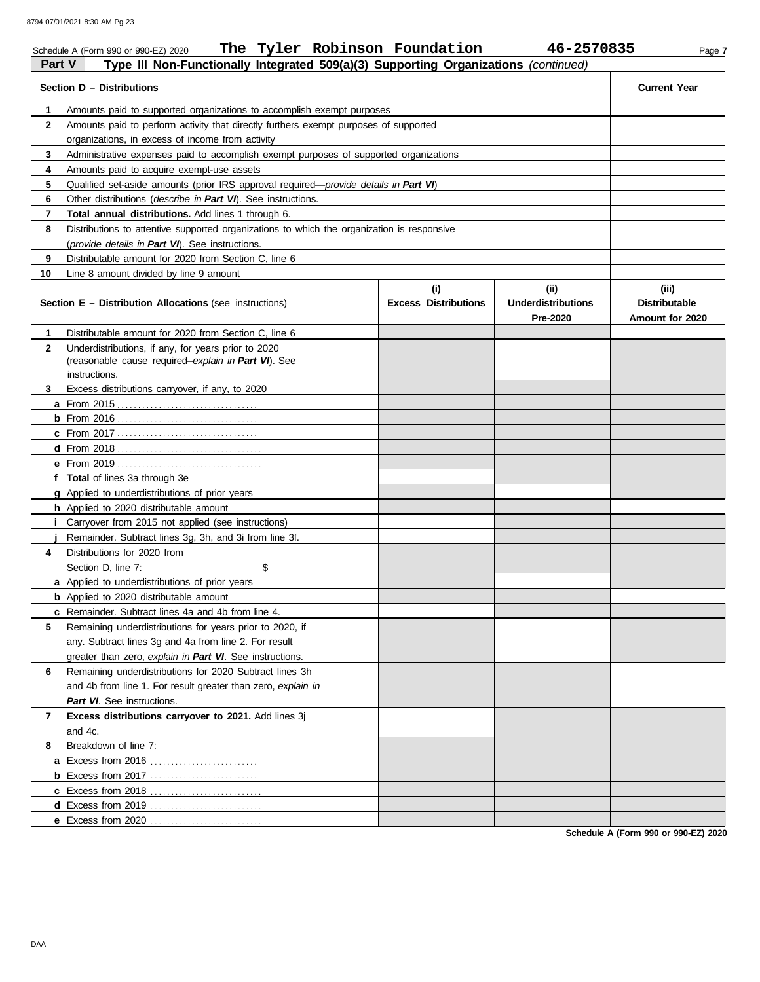|              | The Tyler Robinson Foundation<br>Schedule A (Form 990 or 990-EZ) 2020                                 |                                    | 46-2570835                                    | Page 7                                           |
|--------------|-------------------------------------------------------------------------------------------------------|------------------------------------|-----------------------------------------------|--------------------------------------------------|
| Part V       | Type III Non-Functionally Integrated 509(a)(3) Supporting Organizations (continued)                   |                                    |                                               |                                                  |
|              | Section D - Distributions                                                                             |                                    |                                               | <b>Current Year</b>                              |
| 1            | Amounts paid to supported organizations to accomplish exempt purposes                                 |                                    |                                               |                                                  |
| $\mathbf{2}$ | Amounts paid to perform activity that directly furthers exempt purposes of supported                  |                                    |                                               |                                                  |
|              | organizations, in excess of income from activity                                                      |                                    |                                               |                                                  |
| 3            | Administrative expenses paid to accomplish exempt purposes of supported organizations                 |                                    |                                               |                                                  |
| 4            | Amounts paid to acquire exempt-use assets                                                             |                                    |                                               |                                                  |
| 5            | Qualified set-aside amounts (prior IRS approval required—provide details in Part VI)                  |                                    |                                               |                                                  |
| 6            | Other distributions (describe in Part VI). See instructions.                                          |                                    |                                               |                                                  |
| 7            | Total annual distributions. Add lines 1 through 6.                                                    |                                    |                                               |                                                  |
| 8            | Distributions to attentive supported organizations to which the organization is responsive            |                                    |                                               |                                                  |
|              | (provide details in Part VI). See instructions.                                                       |                                    |                                               |                                                  |
| 9            | Distributable amount for 2020 from Section C, line 6                                                  |                                    |                                               |                                                  |
| 10           | Line 8 amount divided by line 9 amount                                                                |                                    |                                               |                                                  |
|              | <b>Section E - Distribution Allocations (see instructions)</b>                                        | (i)<br><b>Excess Distributions</b> | (ii)<br><b>Underdistributions</b><br>Pre-2020 | (iii)<br><b>Distributable</b><br>Amount for 2020 |
| 1            | Distributable amount for 2020 from Section C, line 6                                                  |                                    |                                               |                                                  |
| $\mathbf{2}$ | Underdistributions, if any, for years prior to 2020                                                   |                                    |                                               |                                                  |
|              | (reasonable cause required-explain in Part VI). See                                                   |                                    |                                               |                                                  |
|              | instructions.                                                                                         |                                    |                                               |                                                  |
| 3            | Excess distributions carryover, if any, to 2020                                                       |                                    |                                               |                                                  |
|              |                                                                                                       |                                    |                                               |                                                  |
|              |                                                                                                       |                                    |                                               |                                                  |
|              |                                                                                                       |                                    |                                               |                                                  |
|              |                                                                                                       |                                    |                                               |                                                  |
|              |                                                                                                       |                                    |                                               |                                                  |
|              | f Total of lines 3a through 3e                                                                        |                                    |                                               |                                                  |
|              | g Applied to underdistributions of prior years                                                        |                                    |                                               |                                                  |
|              | h Applied to 2020 distributable amount<br><i>i</i> Carryover from 2015 not applied (see instructions) |                                    |                                               |                                                  |
|              | Remainder. Subtract lines 3g, 3h, and 3i from line 3f.                                                |                                    |                                               |                                                  |
| 4            | Distributions for 2020 from                                                                           |                                    |                                               |                                                  |
|              | Section D, line 7:<br>\$                                                                              |                                    |                                               |                                                  |
|              | a Applied to underdistributions of prior years                                                        |                                    |                                               |                                                  |
|              | <b>b</b> Applied to 2020 distributable amount                                                         |                                    |                                               |                                                  |
|              | c Remainder. Subtract lines 4a and 4b from line 4.                                                    |                                    |                                               |                                                  |
| 5            | Remaining underdistributions for years prior to 2020, if                                              |                                    |                                               |                                                  |
|              | any. Subtract lines 3g and 4a from line 2. For result                                                 |                                    |                                               |                                                  |
|              | greater than zero, explain in Part VI. See instructions.                                              |                                    |                                               |                                                  |
| 6            | Remaining underdistributions for 2020 Subtract lines 3h                                               |                                    |                                               |                                                  |
|              | and 4b from line 1. For result greater than zero, explain in                                          |                                    |                                               |                                                  |
|              | Part VI. See instructions.                                                                            |                                    |                                               |                                                  |
| 7            | Excess distributions carryover to 2021. Add lines 3j                                                  |                                    |                                               |                                                  |
|              | and 4c.                                                                                               |                                    |                                               |                                                  |
| 8            | Breakdown of line 7:                                                                                  |                                    |                                               |                                                  |
|              |                                                                                                       |                                    |                                               |                                                  |
|              |                                                                                                       |                                    |                                               |                                                  |
|              |                                                                                                       |                                    |                                               |                                                  |
|              |                                                                                                       |                                    |                                               |                                                  |
|              | e Excess from 2020                                                                                    |                                    |                                               |                                                  |
|              |                                                                                                       |                                    |                                               |                                                  |

**Schedule A (Form 990 or 990-EZ) 2020**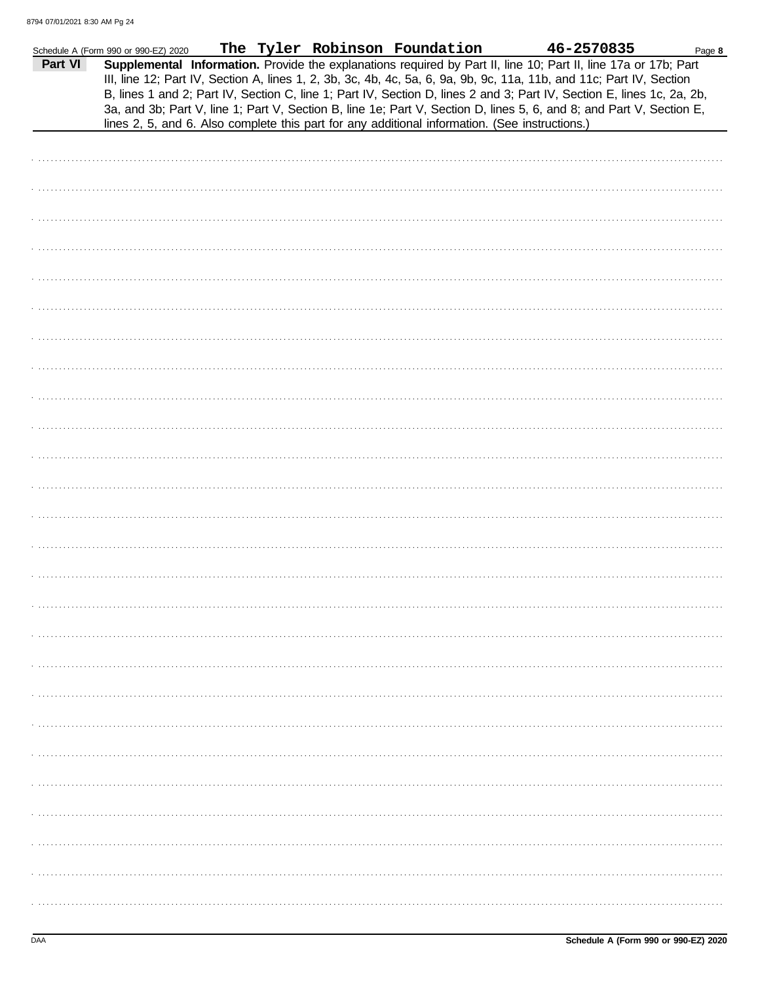|         | Schedule A (Form 990 or 990-EZ) 2020 |  | The Tyler Robinson Foundation | 46-2570835                                                                                                                                                                                                                                                                                                                                                                                                                                                                                                                                                                                  | Page 8 |
|---------|--------------------------------------|--|-------------------------------|---------------------------------------------------------------------------------------------------------------------------------------------------------------------------------------------------------------------------------------------------------------------------------------------------------------------------------------------------------------------------------------------------------------------------------------------------------------------------------------------------------------------------------------------------------------------------------------------|--------|
| Part VI |                                      |  |                               | Supplemental Information. Provide the explanations required by Part II, line 10; Part II, line 17a or 17b; Part<br>III, line 12; Part IV, Section A, lines 1, 2, 3b, 3c, 4b, 4c, 5a, 6, 9a, 9b, 9c, 11a, 11b, and 11c; Part IV, Section<br>B, lines 1 and 2; Part IV, Section C, line 1; Part IV, Section D, lines 2 and 3; Part IV, Section E, lines 1c, 2a, 2b,<br>3a, and 3b; Part V, line 1; Part V, Section B, line 1e; Part V, Section D, lines 5, 6, and 8; and Part V, Section E,<br>lines 2, 5, and 6. Also complete this part for any additional information. (See instructions.) |        |
|         |                                      |  |                               |                                                                                                                                                                                                                                                                                                                                                                                                                                                                                                                                                                                             |        |
|         |                                      |  |                               |                                                                                                                                                                                                                                                                                                                                                                                                                                                                                                                                                                                             |        |
|         |                                      |  |                               |                                                                                                                                                                                                                                                                                                                                                                                                                                                                                                                                                                                             |        |
|         |                                      |  |                               |                                                                                                                                                                                                                                                                                                                                                                                                                                                                                                                                                                                             |        |
|         |                                      |  |                               |                                                                                                                                                                                                                                                                                                                                                                                                                                                                                                                                                                                             |        |
|         |                                      |  |                               |                                                                                                                                                                                                                                                                                                                                                                                                                                                                                                                                                                                             |        |
|         |                                      |  |                               |                                                                                                                                                                                                                                                                                                                                                                                                                                                                                                                                                                                             |        |
|         |                                      |  |                               |                                                                                                                                                                                                                                                                                                                                                                                                                                                                                                                                                                                             |        |
|         |                                      |  |                               |                                                                                                                                                                                                                                                                                                                                                                                                                                                                                                                                                                                             |        |
|         |                                      |  |                               |                                                                                                                                                                                                                                                                                                                                                                                                                                                                                                                                                                                             |        |
|         |                                      |  |                               |                                                                                                                                                                                                                                                                                                                                                                                                                                                                                                                                                                                             |        |
|         |                                      |  |                               |                                                                                                                                                                                                                                                                                                                                                                                                                                                                                                                                                                                             |        |
|         |                                      |  |                               |                                                                                                                                                                                                                                                                                                                                                                                                                                                                                                                                                                                             |        |
|         |                                      |  |                               |                                                                                                                                                                                                                                                                                                                                                                                                                                                                                                                                                                                             |        |
|         |                                      |  |                               |                                                                                                                                                                                                                                                                                                                                                                                                                                                                                                                                                                                             |        |
|         |                                      |  |                               |                                                                                                                                                                                                                                                                                                                                                                                                                                                                                                                                                                                             |        |
|         |                                      |  |                               |                                                                                                                                                                                                                                                                                                                                                                                                                                                                                                                                                                                             |        |
|         |                                      |  |                               |                                                                                                                                                                                                                                                                                                                                                                                                                                                                                                                                                                                             |        |
|         |                                      |  |                               |                                                                                                                                                                                                                                                                                                                                                                                                                                                                                                                                                                                             |        |
|         |                                      |  |                               |                                                                                                                                                                                                                                                                                                                                                                                                                                                                                                                                                                                             |        |
|         |                                      |  |                               |                                                                                                                                                                                                                                                                                                                                                                                                                                                                                                                                                                                             |        |
|         |                                      |  |                               |                                                                                                                                                                                                                                                                                                                                                                                                                                                                                                                                                                                             |        |
|         |                                      |  |                               |                                                                                                                                                                                                                                                                                                                                                                                                                                                                                                                                                                                             |        |
|         |                                      |  |                               |                                                                                                                                                                                                                                                                                                                                                                                                                                                                                                                                                                                             |        |
|         |                                      |  |                               |                                                                                                                                                                                                                                                                                                                                                                                                                                                                                                                                                                                             |        |
|         |                                      |  |                               |                                                                                                                                                                                                                                                                                                                                                                                                                                                                                                                                                                                             |        |
|         |                                      |  |                               |                                                                                                                                                                                                                                                                                                                                                                                                                                                                                                                                                                                             |        |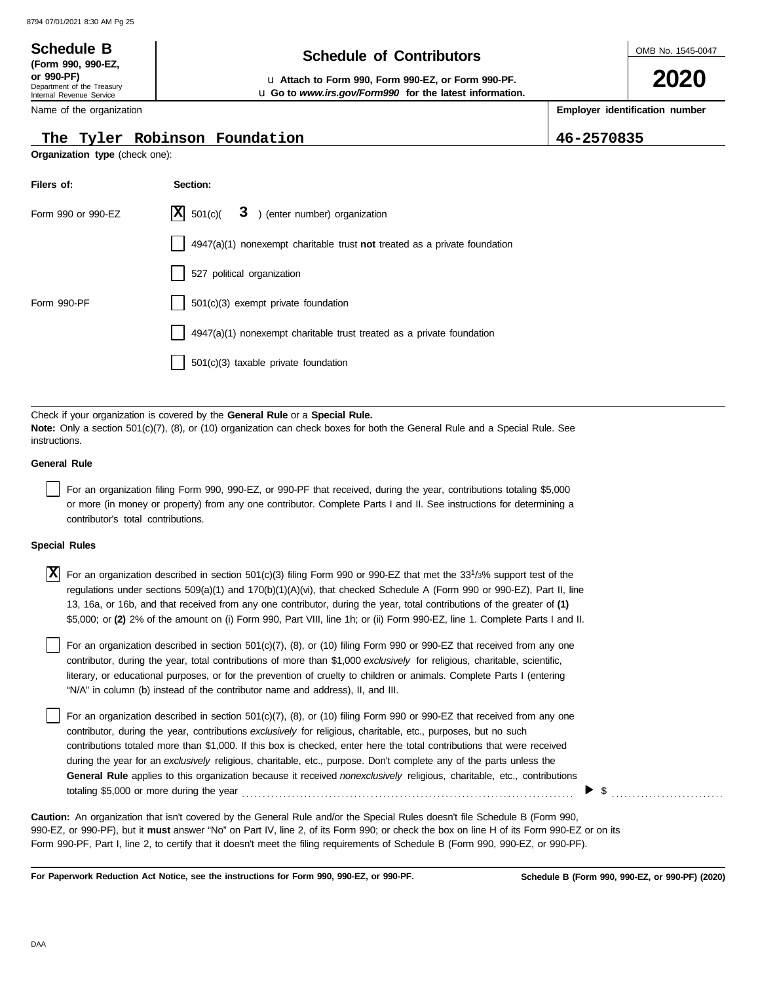Department of the Treasury Internal Revenue Service Name of the organization

**(Form 990, 990-EZ,**

# **Schedule B Schedule B Schedule Schedule Schedule Contributors**

**or 990-PF)** u **Attach to Form 990, Form 990-EZ, or Form 990-PF.** u **Go to** *www.irs.gov/Form990* **for the latest information.** OMB No. 1545-0047

**2020**

**Employer identification number**

**The Tyler Robinson Foundation 46-2570835**

| Organization type (check one): |                                    |                                                                                                                                                                                                                                                                                                                                                                                                                                                                                                                                                                                                                                |  |  |  |  |  |
|--------------------------------|------------------------------------|--------------------------------------------------------------------------------------------------------------------------------------------------------------------------------------------------------------------------------------------------------------------------------------------------------------------------------------------------------------------------------------------------------------------------------------------------------------------------------------------------------------------------------------------------------------------------------------------------------------------------------|--|--|--|--|--|
| Filers of:                     |                                    | Section:                                                                                                                                                                                                                                                                                                                                                                                                                                                                                                                                                                                                                       |  |  |  |  |  |
|                                | Form 990 or 990-EZ                 | $ X $ 501(c)(<br>3 ) (enter number) organization                                                                                                                                                                                                                                                                                                                                                                                                                                                                                                                                                                               |  |  |  |  |  |
|                                |                                    | $4947(a)(1)$ nonexempt charitable trust not treated as a private foundation                                                                                                                                                                                                                                                                                                                                                                                                                                                                                                                                                    |  |  |  |  |  |
|                                |                                    | 527 political organization                                                                                                                                                                                                                                                                                                                                                                                                                                                                                                                                                                                                     |  |  |  |  |  |
| Form 990-PF                    |                                    | 501(c)(3) exempt private foundation                                                                                                                                                                                                                                                                                                                                                                                                                                                                                                                                                                                            |  |  |  |  |  |
|                                |                                    | 4947(a)(1) nonexempt charitable trust treated as a private foundation                                                                                                                                                                                                                                                                                                                                                                                                                                                                                                                                                          |  |  |  |  |  |
|                                |                                    | 501(c)(3) taxable private foundation                                                                                                                                                                                                                                                                                                                                                                                                                                                                                                                                                                                           |  |  |  |  |  |
| instructions.                  |                                    | Check if your organization is covered by the General Rule or a Special Rule.<br><b>Note:</b> Only a section 501(c)(7), (8), or (10) organization can check boxes for both the General Rule and a Special Rule. See                                                                                                                                                                                                                                                                                                                                                                                                             |  |  |  |  |  |
| <b>General Rule</b>            |                                    |                                                                                                                                                                                                                                                                                                                                                                                                                                                                                                                                                                                                                                |  |  |  |  |  |
|                                | contributor's total contributions. | For an organization filing Form 990, 990-EZ, or 990-PF that received, during the year, contributions totaling \$5,000<br>or more (in money or property) from any one contributor. Complete Parts I and II. See instructions for determining a                                                                                                                                                                                                                                                                                                                                                                                  |  |  |  |  |  |
| <b>Special Rules</b>           |                                    |                                                                                                                                                                                                                                                                                                                                                                                                                                                                                                                                                                                                                                |  |  |  |  |  |
| X                              |                                    | For an organization described in section 501(c)(3) filing Form 990 or 990-EZ that met the $331/3%$ support test of the<br>regulations under sections 509(a)(1) and 170(b)(1)(A)(vi), that checked Schedule A (Form 990 or 990-EZ), Part II, line<br>13, 16a, or 16b, and that received from any one contributor, during the year, total contributions of the greater of (1)<br>\$5,000; or (2) 2% of the amount on (i) Form 990, Part VIII, line 1h; or (ii) Form 990-EZ, line 1. Complete Parts I and II.                                                                                                                     |  |  |  |  |  |
|                                |                                    | For an organization described in section 501(c)(7), (8), or (10) filing Form 990 or 990-EZ that received from any one<br>contributor, during the year, total contributions of more than \$1,000 exclusively for religious, charitable, scientific,<br>literary, or educational purposes, or for the prevention of cruelty to children or animals. Complete Parts I (entering<br>"N/A" in column (b) instead of the contributor name and address), II, and III.                                                                                                                                                                 |  |  |  |  |  |
|                                |                                    | For an organization described in section 501(c)(7), (8), or (10) filing Form 990 or 990-EZ that received from any one<br>contributor, during the year, contributions exclusively for religious, charitable, etc., purposes, but no such<br>contributions totaled more than \$1,000. If this box is checked, enter here the total contributions that were received<br>during the year for an exclusively religious, charitable, etc., purpose. Don't complete any of the parts unless the<br>General Rule applies to this organization because it received nonexclusively religious, charitable, etc., contributions<br>\$<br>▶ |  |  |  |  |  |
|                                |                                    | <b>Caution:</b> An organization that isn't covered by the General Rule and/or the Special Rules doesn't file Schedule B (Form 990,<br>990-EZ, or 990-PF), but it must answer "No" on Part IV, line 2, of its Form 990; or check the box on line H of its Form 990-EZ or on its<br>Form 990-PF, Part I, line 2, to certify that it doesn't meet the filing requirements of Schedule B (Form 990, 990-EZ, or 990-PF).                                                                                                                                                                                                            |  |  |  |  |  |

**For Paperwork Reduction Act Notice, see the instructions for Form 990, 990-EZ, or 990-PF.**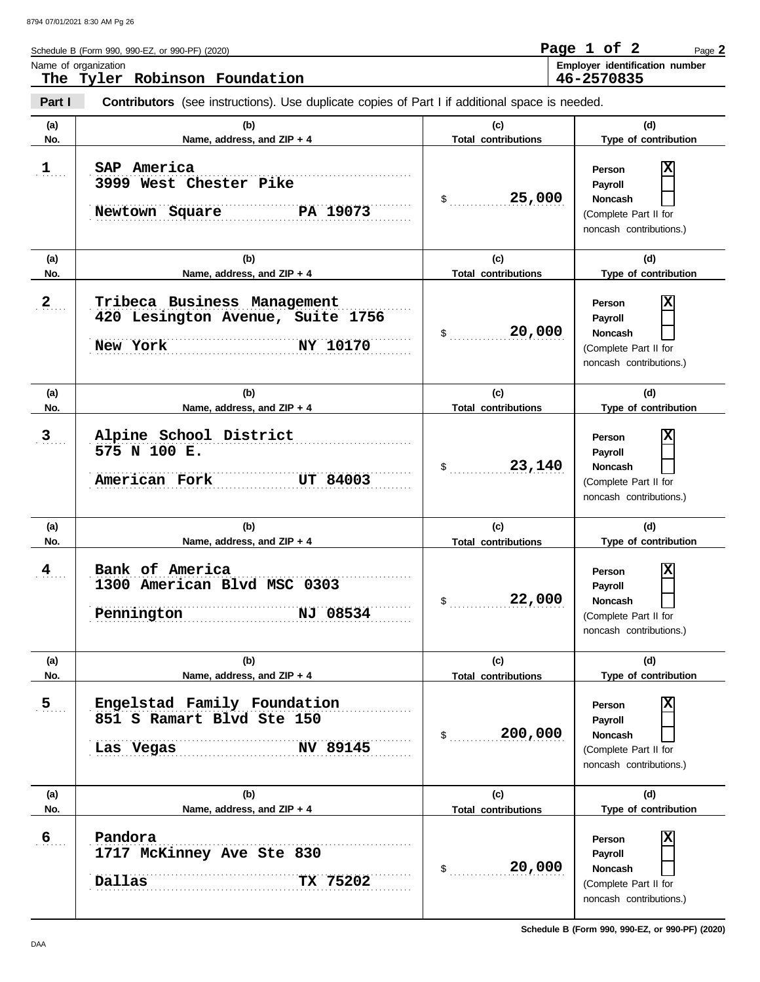**Part I Type of contribution Person Payroll Noncash (a) (b) (c) (d)** No. No. Name, address, and ZIP + 4 **Total contributions** Type of contribution **Person Payroll Noncash (a) (b) (c) (d)** Schedule B (Form 990, 990-EZ, or 990-PF) (2020) \$ . . . . . . . . . . . . . . . . . . . . . . . . . . . . **25,000** (Complete Part II for noncash contributions.)  $\mathsf{\$}$  . . . . . . . . . . . . . . . . (Complete Part II for noncash contributions.) \$ . . . . . . . . . . . . . . . . . . . . . . . . . . . . **23,140** (Complete Part II for noncash contributions.) \$ . . . . . . . . . . . . . . . . . . . . . . . . . . . . **22,000** (Complete Part II for noncash contributions.) **Contributors** (see instructions). Use duplicate copies of Part I if additional space is needed. **(a) (b) (c) (d) No. Name, address, and ZIP + 4 Total contributions Type of contribution Person Payroll Noncash (a) (b) (c) (d) No. Name, address, and ZIP + 4 Type of contribution Person Payroll Noncash (a) (b) (c) (d) No. Name, address, and ZIP + 4** Name of organization **Employer identification number Employer identification number**  $\mathbf{1}$ ....  $2_{\ldots}$  $3 \ldots$  $4$ ... . . . . . . . . . . . . . . . . . . . . . . . . . . . . . . . . . . . . . . . . . . . . . . . . . . . . . . . . . . . . . . . . . . . . . . . . . . . . . . . . . . . . . . . . . . . . . . . . . . . . . . . . . . . . . . . . . . . . . . . . . . . . . . . . . . . . . . . . . . . . . . . . . . . . . . . . . . **Pennington NJ 08534** . . . . . . . . . . . . . . . . . . . . . . . . . . . . . . . . . . . . . . . . . . . . . . . . . . . . . . . . . . . . . . . . . . . . . . . . . . . . . **4 Bank of America** . . . . . . . . . . . . . . . . . . . . . . . . . . . . . . . . . . . . . . . . . . . . . . . . . . . . . . . . . . . . . . . . . . . . . . . . . . . . . **3 Alpine School District** . . . . . . . . . . . . . . . . . . . . . . . . . . . . . . . . . . . . . . . . . . . . . . . . . . . . . . . . . . . . . . . . . . . . . . . . . . . . . . . . . . . . . . . . . . . . . . . . . . . . . . . . . . . . . . . . . . . . . . . . . . . . . . . . . . . . . . . . . . . . . . . . . . . . . . . . . . **American Fork UT 84003** . . . . . . . . . . . . . . . . . . . . . . . . . . . . . . . . . . . . . . . . . . . . . . . . . . . . . . . . . . . . . . . . . . . . . . . . . . . . . **New York NY 10170** . . . . . . . . . . . . . . . . . . . . . . . . . . . . . . . . . . . . . . . . . . . . . . . . . . . . . . . . . . . . . . . . . . . . . . . . . . . . . . . . . . . . . . . . . . . . . . . . . . . . . . . . . . . . . . . . . . . . . . . . . . . . . . . . . . . . . . . . . . . . . . . . . . . . . . . . . . **2 Tribeca Business Management** . . . . . . . . . . . . . . . . . . . . . . . . . . . . . . . . . . . . . . . . . . . . . . . . . . . . . . . . . . . . . . . . . . . . . . . . . . . . . **1 SAP America** . . . . . . . . . . . . . . . . . . . . . . . . . . . . . . . . . . . . . . . . . . . . . . . . . . . . . . . . . . . . . . . . . . . . . . . . . . . . . **Newtown Square ......... PA 19073 Total contributions Total contributions Total contributions** Page **2 The Tyler Robinson Foundation Page 1 of 2 46-2570835 3999 West Chester Pike X 420 Lesington Avenue, Suite 1756 20,000 X 575 N 100 E. X 1300 American Blvd MSC 0303 X** 8794 07/01/2021 8:30 AM Pg 26

**No. Name, address, and ZIP + 4 Type of contribution Person Payroll Noncash (a) (b) (c) (d) No. Name, address, and ZIP + 4 Type of contribution Person Payroll Noncash** \$ . . . . . . . . . . . . . . . . . . . . . . . . . . . . **200,000** (Complete Part II for noncash contributions.)  $\frac{1}{2}$ (Complete Part II for noncash contributions.)  $5$ .... . . . . . . . . . . . . . . . . . . . . . . . . . . . . . . . . . . . . . . . . . . . . . . . . . . . . . . . . . . . . . . . . . . . . . . . . . . . . . . . . . . . . . . . . . . . . . . . . . . . . . . . . . . . . . . . . . . . . . . . . . . . . . . . . . . . . . . . . . . . . . . . . . . . . . . . . . . . . . . . . . **Dallas TX 75202** . . . . . . . . . . . . . . . . . . . . . . . . . . . . . . . . . . . . . . . . . . . . . . . . . . . . . . . . . . . . . . . . . . . . . . . . . . . . . **5 Engelstad Family Foundation** . . . . . . . . . . . . . . . . . . . . . . . . . . . . . . . . . . . . . . . . . . . . . . . . . . . . . . . . . . . . . . . . . . . . . . . . . . . . . . . . . . . . . . . . . . . . . . . . . . . . . . . . . . . . . . . . . . . . . . . . . . . . . . . . . . . . . . . . . . . . . . . . . . . . . . . . . . **Las Vegas NV 89145 Total contributions Total contributions 851 S Ramart Blvd Ste 150 X 6 Pandora 1717 McKinney Ave Ste 830 20,000 X**

**Schedule B (Form 990, 990-EZ, or 990-PF) (2020)**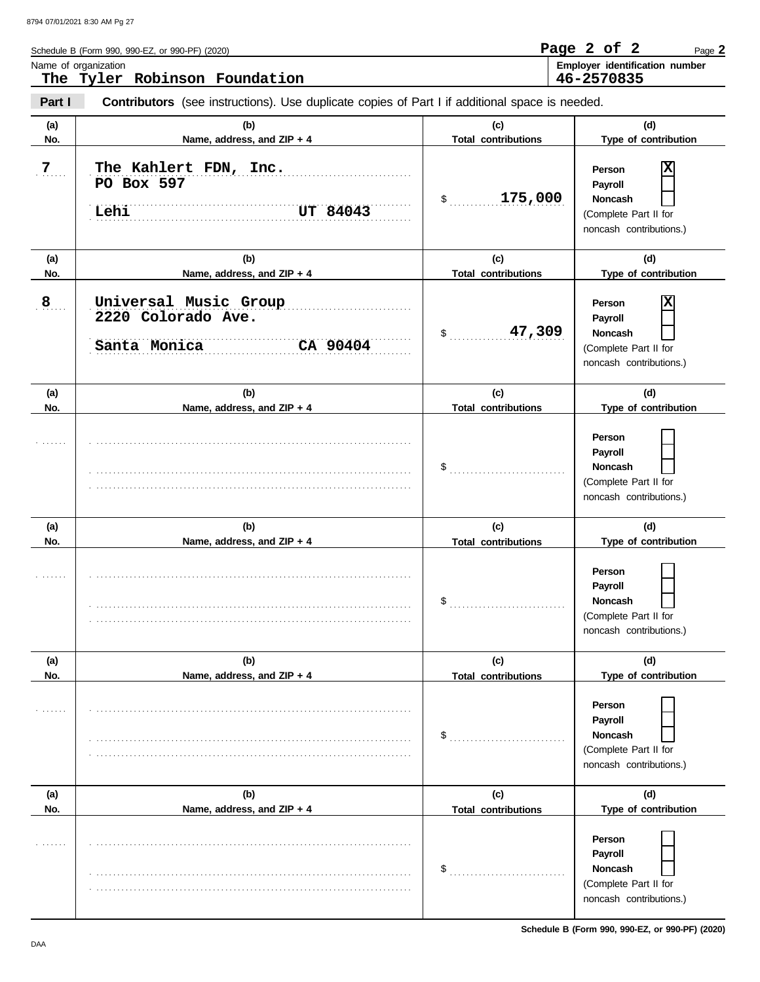**Part I**

| Schedule B (Form 990, 990-EZ, or 990-PF) (2020) | Page 2 of 2 |  | Page 2                                |
|-------------------------------------------------|-------------|--|---------------------------------------|
| Name of organization                            |             |  | <b>Employer identification number</b> |
| The Tyler Robinson Foundation                   | 46-2570835  |  |                                       |
|                                                 |             |  |                                       |

**Contributors** (see instructions). Use duplicate copies of Part I if additional space is needed.

| (a)            | (b)                                                                     | (c)                                                        | (d)                                                                                          |
|----------------|-------------------------------------------------------------------------|------------------------------------------------------------|----------------------------------------------------------------------------------------------|
| No.            | Name, address, and ZIP + 4                                              | <b>Total contributions</b>                                 | Type of contribution                                                                         |
| $\overline{Z}$ | The Kahlert FDN, Inc.<br>PO Box 597<br>Lehi<br>UT 84043                 | 175,000<br>$\sim$                                          | X<br>Person<br>Payroll<br><b>Noncash</b><br>(Complete Part II for<br>noncash contributions.) |
| (a)            | (b)                                                                     | (c)                                                        | (d)                                                                                          |
| No.            | Name, address, and ZIP + 4                                              | <b>Total contributions</b>                                 | Type of contribution                                                                         |
| 8              | Universal Music Group<br>2220 Colorado Ave.<br>CA 90404<br>Santa Monica | 47,309<br>$\sim$                                           | X<br>Person<br>Payroll<br><b>Noncash</b><br>(Complete Part II for<br>noncash contributions.) |
| (a)            | (b)                                                                     | (c)                                                        | (d)                                                                                          |
| No.            | Name, address, and ZIP + 4                                              | <b>Total contributions</b>                                 | Type of contribution                                                                         |
|                |                                                                         | $\$\ldots\ldots\ldots\ldots\ldots\ldots\ldots\ldots\ldots$ | Person<br>Payroll<br><b>Noncash</b><br>(Complete Part II for<br>noncash contributions.)      |
| (a)            | (b)                                                                     | (c)                                                        | (d)                                                                                          |
| No.            | Name, address, and ZIP + 4                                              | <b>Total contributions</b>                                 | Type of contribution                                                                         |
|                |                                                                         |                                                            | Person<br>Payroll<br><b>Noncash</b><br>(Complete Part II for<br>noncash contributions.)      |
| (a)            | (b)                                                                     | (c)                                                        | (d)                                                                                          |
| No.            | Name, address, and ZIP + 4                                              | <b>Total contributions</b>                                 | Type of contribution                                                                         |
|                |                                                                         | \$                                                         | Person<br>Payroll<br>Noncash<br>(Complete Part II for<br>noncash contributions.)             |
| (a)            | (b)                                                                     | (c)                                                        | (d)                                                                                          |
| No.            | Name, address, and ZIP + 4                                              | <b>Total contributions</b>                                 | Type of contribution                                                                         |
|                |                                                                         | \$                                                         | Person<br>Payroll<br>Noncash<br>(Complete Part II for<br>noncash contributions.)             |

**Schedule B (Form 990, 990-EZ, or 990-PF) (2020)**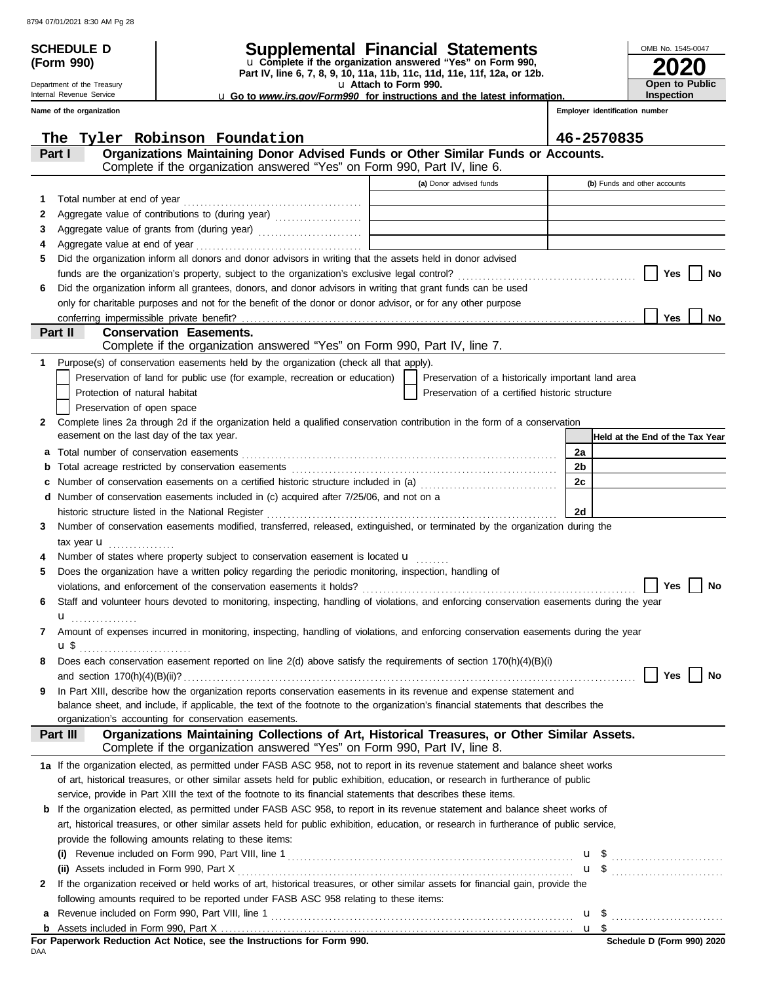Department of the Treasury Internal Revenue Service **Name of the organization**

**(Form 990)**

### **SCHEDULE D Supplemental Financial Statements**

**Part IV, line 6, 7, 8, 9, 10, 11a, 11b, 11c, 11d, 11e, 11f, 12a, or 12b.** u **Complete if the organization answered "Yes" on Form 990,**

u **Attach to Form 990.** 

u **Go to** *www.irs.gov/Form990* **for instructions and the latest information.**

**2020** OMB No. 1545-0047 **Open to Public Inspection**

**Employer identification number**

|   | Tyler Robinson Foundation<br>The                                                                                                          |                                                                            | 46-2570835                      |
|---|-------------------------------------------------------------------------------------------------------------------------------------------|----------------------------------------------------------------------------|---------------------------------|
|   | Organizations Maintaining Donor Advised Funds or Other Similar Funds or Accounts.<br>Part I                                               |                                                                            |                                 |
|   | Complete if the organization answered "Yes" on Form 990, Part IV, line 6.                                                                 |                                                                            |                                 |
|   |                                                                                                                                           | (a) Donor advised funds                                                    | (b) Funds and other accounts    |
| 1 |                                                                                                                                           |                                                                            |                                 |
| 2 |                                                                                                                                           | the control of the control of the control of the control of the control of |                                 |
| 3 |                                                                                                                                           |                                                                            |                                 |
| 4 |                                                                                                                                           |                                                                            |                                 |
| 5 | Did the organization inform all donors and donor advisors in writing that the assets held in donor advised                                |                                                                            |                                 |
|   |                                                                                                                                           |                                                                            | Yes<br>No                       |
| 6 | Did the organization inform all grantees, donors, and donor advisors in writing that grant funds can be used                              |                                                                            |                                 |
|   | only for charitable purposes and not for the benefit of the donor or donor advisor, or for any other purpose                              |                                                                            |                                 |
|   | conferring impermissible private benefit?                                                                                                 |                                                                            | <b>Yes</b><br><b>No</b>         |
|   | Part II<br><b>Conservation Easements.</b>                                                                                                 |                                                                            |                                 |
|   | Complete if the organization answered "Yes" on Form 990, Part IV, line 7.                                                                 |                                                                            |                                 |
| 1 | Purpose(s) of conservation easements held by the organization (check all that apply).                                                     |                                                                            |                                 |
|   | Preservation of land for public use (for example, recreation or education)                                                                | Preservation of a historically important land area                         |                                 |
|   | Protection of natural habitat                                                                                                             | Preservation of a certified historic structure                             |                                 |
|   | Preservation of open space                                                                                                                |                                                                            |                                 |
| 2 | Complete lines 2a through 2d if the organization held a qualified conservation contribution in the form of a conservation                 |                                                                            |                                 |
|   | easement on the last day of the tax year.                                                                                                 |                                                                            | Held at the End of the Tax Year |
| a | Total number of conservation easements                                                                                                    |                                                                            | 2a                              |
|   |                                                                                                                                           |                                                                            | 2b                              |
|   | Number of conservation easements on a certified historic structure included in (a) [[[[[[[[[[[[[[[[[[[[[[[[[]]]]]]]                       |                                                                            | 2c                              |
|   | d Number of conservation easements included in (c) acquired after 7/25/06, and not on a                                                   |                                                                            |                                 |
|   |                                                                                                                                           |                                                                            | 2d                              |
| 3 | Number of conservation easements modified, transferred, released, extinguished, or terminated by the organization during the              |                                                                            |                                 |
|   | tax year <b>u</b><br>.<br>Number of states where property subject to conservation easement is located u                                   |                                                                            |                                 |
| 5 | Does the organization have a written policy regarding the periodic monitoring, inspection, handling of                                    |                                                                            |                                 |
|   |                                                                                                                                           |                                                                            | Yes<br>No                       |
| 6 | Staff and volunteer hours devoted to monitoring, inspecting, handling of violations, and enforcing conservation easements during the year |                                                                            |                                 |
|   | <b>u</b>                                                                                                                                  |                                                                            |                                 |
| 7 | Amount of expenses incurred in monitoring, inspecting, handling of violations, and enforcing conservation easements during the year       |                                                                            |                                 |
|   | u\$                                                                                                                                       |                                                                            |                                 |
| 8 | Does each conservation easement reported on line 2(d) above satisfy the requirements of section 170(h)(4)(B)(i)                           |                                                                            |                                 |
|   |                                                                                                                                           |                                                                            |                                 |
| 9 | In Part XIII, describe how the organization reports conservation easements in its revenue and expense statement and                       |                                                                            |                                 |
|   | balance sheet, and include, if applicable, the text of the footnote to the organization's financial statements that describes the         |                                                                            |                                 |
|   | organization's accounting for conservation easements.                                                                                     |                                                                            |                                 |
|   | Organizations Maintaining Collections of Art, Historical Treasures, or Other Similar Assets.<br>Part III                                  |                                                                            |                                 |
|   | Complete if the organization answered "Yes" on Form 990, Part IV, line 8.                                                                 |                                                                            |                                 |
|   | 1a If the organization elected, as permitted under FASB ASC 958, not to report in its revenue statement and balance sheet works           |                                                                            |                                 |
|   | of art, historical treasures, or other similar assets held for public exhibition, education, or research in furtherance of public         |                                                                            |                                 |
|   | service, provide in Part XIII the text of the footnote to its financial statements that describes these items.                            |                                                                            |                                 |
|   | <b>b</b> If the organization elected, as permitted under FASB ASC 958, to report in its revenue statement and balance sheet works of      |                                                                            |                                 |
|   | art, historical treasures, or other similar assets held for public exhibition, education, or research in furtherance of public service,   |                                                                            |                                 |
|   | provide the following amounts relating to these items:                                                                                    |                                                                            |                                 |
|   |                                                                                                                                           |                                                                            | $\overline{u}$ \$               |
|   | (ii) Assets included in Form 990, Part X                                                                                                  |                                                                            | $\overline{u}$ \$               |
| 2 | If the organization received or held works of art, historical treasures, or other similar assets for financial gain, provide the          |                                                                            |                                 |
|   | following amounts required to be reported under FASB ASC 958 relating to these items:                                                     |                                                                            |                                 |
|   |                                                                                                                                           |                                                                            |                                 |
|   |                                                                                                                                           |                                                                            |                                 |

DAA **For Paperwork Reduction Act Notice, see the Instructions for Form 990.**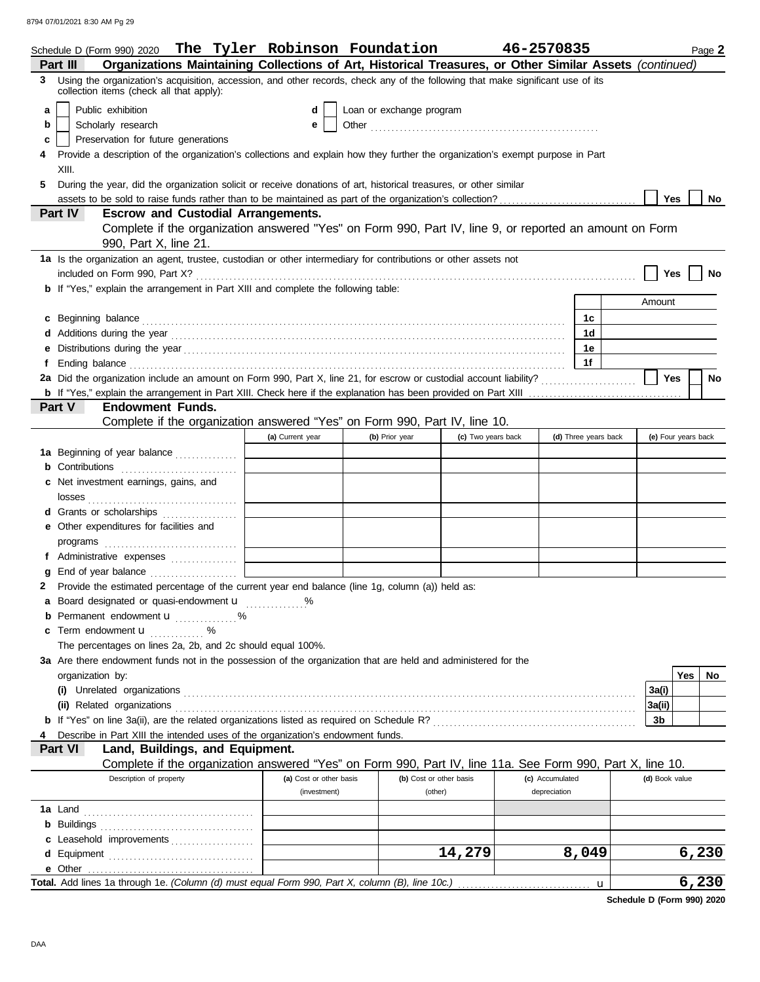8794 07/01/2021 8:30 AM Pg 29

|   | Schedule D (Form 990) 2020 The Tyler Robinson Foundation                                                                                                                                                                             |                         |                          |                    | 46-2570835      |                      |                     |     | Page 2    |  |  |  |
|---|--------------------------------------------------------------------------------------------------------------------------------------------------------------------------------------------------------------------------------------|-------------------------|--------------------------|--------------------|-----------------|----------------------|---------------------|-----|-----------|--|--|--|
|   | Organizations Maintaining Collections of Art, Historical Treasures, or Other Similar Assets (continued)<br>Part III                                                                                                                  |                         |                          |                    |                 |                      |                     |     |           |  |  |  |
|   | 3 Using the organization's acquisition, accession, and other records, check any of the following that make significant use of its<br>collection items (check all that apply):                                                        |                         |                          |                    |                 |                      |                     |     |           |  |  |  |
| a | Public exhibition                                                                                                                                                                                                                    | d                       | Loan or exchange program |                    |                 |                      |                     |     |           |  |  |  |
| b | Scholarly research                                                                                                                                                                                                                   | е                       |                          |                    |                 |                      |                     |     |           |  |  |  |
| c | Preservation for future generations                                                                                                                                                                                                  |                         |                          |                    |                 |                      |                     |     |           |  |  |  |
|   | Provide a description of the organization's collections and explain how they further the organization's exempt purpose in Part                                                                                                       |                         |                          |                    |                 |                      |                     |     |           |  |  |  |
|   | XIII.                                                                                                                                                                                                                                |                         |                          |                    |                 |                      |                     |     |           |  |  |  |
| 5 | During the year, did the organization solicit or receive donations of art, historical treasures, or other similar                                                                                                                    |                         |                          |                    |                 |                      |                     |     |           |  |  |  |
|   |                                                                                                                                                                                                                                      |                         |                          |                    |                 |                      | Yes                 |     | No        |  |  |  |
|   | Part IV<br><b>Escrow and Custodial Arrangements.</b>                                                                                                                                                                                 |                         |                          |                    |                 |                      |                     |     |           |  |  |  |
|   | Complete if the organization answered "Yes" on Form 990, Part IV, line 9, or reported an amount on Form                                                                                                                              |                         |                          |                    |                 |                      |                     |     |           |  |  |  |
|   | 990, Part X, line 21.                                                                                                                                                                                                                |                         |                          |                    |                 |                      |                     |     |           |  |  |  |
|   | 1a Is the organization an agent, trustee, custodian or other intermediary for contributions or other assets not                                                                                                                      |                         |                          |                    |                 |                      |                     |     |           |  |  |  |
|   |                                                                                                                                                                                                                                      |                         |                          |                    |                 |                      | Yes                 |     | No        |  |  |  |
|   | <b>b</b> If "Yes," explain the arrangement in Part XIII and complete the following table:                                                                                                                                            |                         |                          |                    |                 |                      |                     |     |           |  |  |  |
|   |                                                                                                                                                                                                                                      |                         |                          |                    |                 |                      | Amount              |     |           |  |  |  |
|   | c Beginning balance <b>contract to the contract of the set of the contract of the contract of the contract of the contract of the contract of the contract of the contract of the contract of the contract of the contract of th</b> |                         |                          |                    |                 | 1с                   |                     |     |           |  |  |  |
|   |                                                                                                                                                                                                                                      |                         |                          |                    |                 | 1d                   |                     |     |           |  |  |  |
| е |                                                                                                                                                                                                                                      |                         |                          |                    |                 | 1е                   |                     |     |           |  |  |  |
| f |                                                                                                                                                                                                                                      |                         |                          |                    |                 | 1f                   |                     |     |           |  |  |  |
|   | 2a Did the organization include an amount on Form 990, Part X, line 21, for escrow or custodial account liability?                                                                                                                   |                         |                          |                    |                 |                      | Yes                 |     | <b>No</b> |  |  |  |
|   |                                                                                                                                                                                                                                      |                         |                          |                    |                 |                      |                     |     |           |  |  |  |
|   | Part V<br><b>Endowment Funds.</b>                                                                                                                                                                                                    |                         |                          |                    |                 |                      |                     |     |           |  |  |  |
|   | Complete if the organization answered "Yes" on Form 990, Part IV, line 10.                                                                                                                                                           |                         |                          |                    |                 |                      |                     |     |           |  |  |  |
|   |                                                                                                                                                                                                                                      | (a) Current year        | (b) Prior year           | (c) Two years back |                 | (d) Three years back | (e) Four years back |     |           |  |  |  |
|   | 1a Beginning of year balance                                                                                                                                                                                                         |                         |                          |                    |                 |                      |                     |     |           |  |  |  |
|   | <b>b</b> Contributions                                                                                                                                                                                                               |                         |                          |                    |                 |                      |                     |     |           |  |  |  |
|   | c Net investment earnings, gains, and                                                                                                                                                                                                |                         |                          |                    |                 |                      |                     |     |           |  |  |  |
|   |                                                                                                                                                                                                                                      |                         |                          |                    |                 |                      |                     |     |           |  |  |  |
|   | d Grants or scholarships                                                                                                                                                                                                             |                         |                          |                    |                 |                      |                     |     |           |  |  |  |
|   | e Other expenditures for facilities and                                                                                                                                                                                              |                         |                          |                    |                 |                      |                     |     |           |  |  |  |
|   |                                                                                                                                                                                                                                      |                         |                          |                    |                 |                      |                     |     |           |  |  |  |
|   | f Administrative expenses                                                                                                                                                                                                            |                         |                          |                    |                 |                      |                     |     |           |  |  |  |
| g |                                                                                                                                                                                                                                      |                         |                          |                    |                 |                      |                     |     |           |  |  |  |
|   | 2 Provide the estimated percentage of the current year end balance (line 1g, column (a)) held as:                                                                                                                                    |                         |                          |                    |                 |                      |                     |     |           |  |  |  |
|   | a Board designated or quasi-endowment u                                                                                                                                                                                              |                         |                          |                    |                 |                      |                     |     |           |  |  |  |
|   | <b>b</b> Permanent endowment <b>u</b> %                                                                                                                                                                                              |                         |                          |                    |                 |                      |                     |     |           |  |  |  |
|   | c Term endowment <b>u</b> %                                                                                                                                                                                                          |                         |                          |                    |                 |                      |                     |     |           |  |  |  |
|   | The percentages on lines 2a, 2b, and 2c should equal 100%.                                                                                                                                                                           |                         |                          |                    |                 |                      |                     |     |           |  |  |  |
|   | 3a Are there endowment funds not in the possession of the organization that are held and administered for the                                                                                                                        |                         |                          |                    |                 |                      |                     |     |           |  |  |  |
|   | organization by:                                                                                                                                                                                                                     |                         |                          |                    |                 |                      |                     | Yes | No        |  |  |  |
|   |                                                                                                                                                                                                                                      |                         |                          |                    |                 |                      | 3a(i)               |     |           |  |  |  |
|   | (ii) Related organizations <b>contracts</b> and contracts are contracted as a contract of the contract of the contract or contract or contract or contract or contract or contract or contract or contract or contract or contract   |                         |                          |                    |                 |                      | 3a(ii)              |     |           |  |  |  |
|   |                                                                                                                                                                                                                                      |                         |                          |                    |                 |                      | 3b                  |     |           |  |  |  |
|   | Describe in Part XIII the intended uses of the organization's endowment funds.                                                                                                                                                       |                         |                          |                    |                 |                      |                     |     |           |  |  |  |
|   | Land, Buildings, and Equipment.<br>Part VI                                                                                                                                                                                           |                         |                          |                    |                 |                      |                     |     |           |  |  |  |
|   | Complete if the organization answered "Yes" on Form 990, Part IV, line 11a. See Form 990, Part X, line 10.                                                                                                                           |                         |                          |                    |                 |                      |                     |     |           |  |  |  |
|   | Description of property                                                                                                                                                                                                              | (a) Cost or other basis | (b) Cost or other basis  |                    | (c) Accumulated |                      | (d) Book value      |     |           |  |  |  |
|   |                                                                                                                                                                                                                                      | (investment)            | (other)                  |                    | depreciation    |                      |                     |     |           |  |  |  |
|   |                                                                                                                                                                                                                                      |                         |                          |                    |                 |                      |                     |     |           |  |  |  |
|   |                                                                                                                                                                                                                                      |                         |                          |                    |                 |                      |                     |     |           |  |  |  |
|   | c Leasehold improvements                                                                                                                                                                                                             |                         |                          |                    |                 |                      |                     |     |           |  |  |  |
|   |                                                                                                                                                                                                                                      |                         |                          | 14,279             |                 | 8,049                |                     |     | 6,230     |  |  |  |
|   |                                                                                                                                                                                                                                      |                         |                          |                    |                 |                      |                     |     |           |  |  |  |
|   | Total. Add lines 1a through 1e. (Column (d) must equal Form 990, Part X, column (B), line 10c.)                                                                                                                                      |                         |                          |                    |                 | u                    |                     |     | 6,230     |  |  |  |

**Schedule D (Form 990) 2020**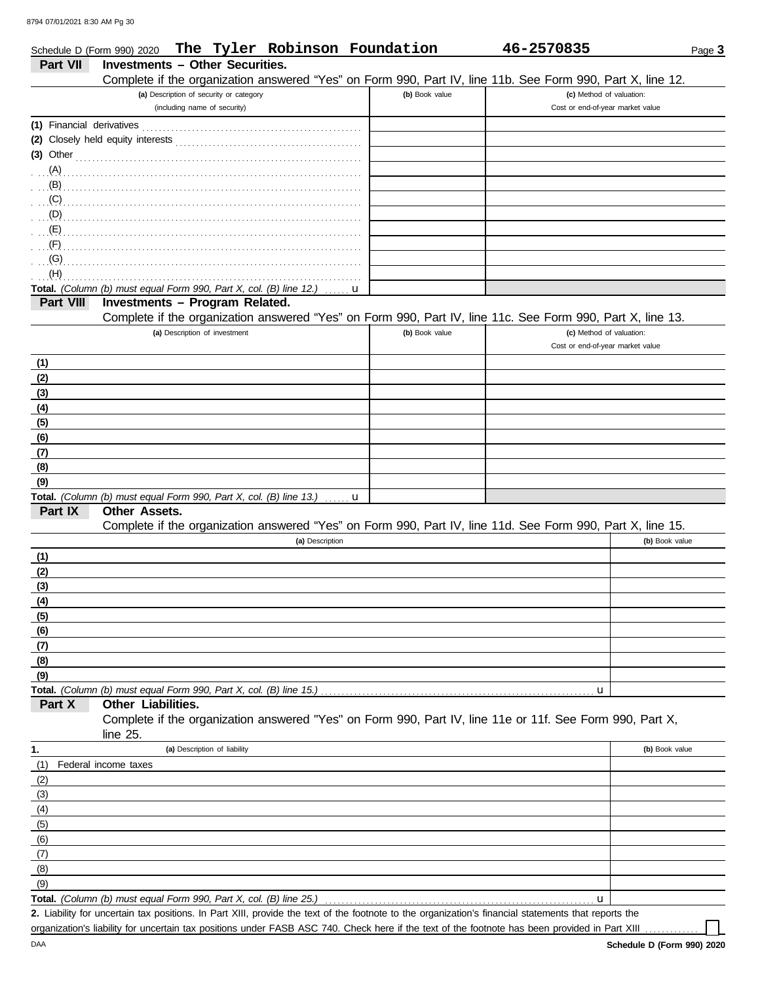|                           | Schedule D (Form 990) 2020                                                                                                     | The Tyler Robinson Foundation |                | 46-2570835                       | Page 3         |
|---------------------------|--------------------------------------------------------------------------------------------------------------------------------|-------------------------------|----------------|----------------------------------|----------------|
| <b>Part VII</b>           | <b>Investments - Other Securities.</b>                                                                                         |                               |                |                                  |                |
|                           | Complete if the organization answered "Yes" on Form 990, Part IV, line 11b. See Form 990, Part X, line 12.                     |                               |                |                                  |                |
|                           | (a) Description of security or category                                                                                        |                               | (b) Book value | (c) Method of valuation:         |                |
|                           | (including name of security)                                                                                                   |                               |                | Cost or end-of-year market value |                |
| (1) Financial derivatives |                                                                                                                                |                               |                |                                  |                |
|                           |                                                                                                                                |                               |                |                                  |                |
| $(3)$ Other               |                                                                                                                                |                               |                |                                  |                |
| (A)                       |                                                                                                                                |                               |                |                                  |                |
| (B)                       |                                                                                                                                |                               |                |                                  |                |
| (C)                       |                                                                                                                                |                               |                |                                  |                |
| $\Box$ (D)                |                                                                                                                                |                               |                |                                  |                |
| $\mathbf{E}(\mathsf{E})$  |                                                                                                                                |                               |                |                                  |                |
| (F)                       |                                                                                                                                |                               |                |                                  |                |
| (G)                       |                                                                                                                                |                               |                |                                  |                |
| (H)                       |                                                                                                                                |                               |                |                                  |                |
| Part VIII                 | Total. (Column (b) must equal Form 990, Part X, col. (B) line 12.)<br>Investments - Program Related.                           |                               | u              |                                  |                |
|                           | Complete if the organization answered "Yes" on Form 990, Part IV, line 11c. See Form 990, Part X, line 13.                     |                               |                |                                  |                |
|                           | (a) Description of investment                                                                                                  |                               | (b) Book value | (c) Method of valuation:         |                |
|                           |                                                                                                                                |                               |                | Cost or end-of-year market value |                |
| (1)                       |                                                                                                                                |                               |                |                                  |                |
| (2)                       |                                                                                                                                |                               |                |                                  |                |
| (3)                       |                                                                                                                                |                               |                |                                  |                |
| (4)                       |                                                                                                                                |                               |                |                                  |                |
| (5)                       |                                                                                                                                |                               |                |                                  |                |
| (6)                       |                                                                                                                                |                               |                |                                  |                |
| (7)                       |                                                                                                                                |                               |                |                                  |                |
| (8)                       |                                                                                                                                |                               |                |                                  |                |
| (9)                       |                                                                                                                                |                               |                |                                  |                |
|                           | Total. (Column (b) must equal Form 990, Part X, col. (B) line 13.)                                                             |                               | u              |                                  |                |
| Part IX                   | <b>Other Assets.</b>                                                                                                           |                               |                |                                  |                |
|                           | Complete if the organization answered "Yes" on Form 990, Part IV, line 11d. See Form 990, Part X, line 15.                     |                               |                |                                  |                |
|                           |                                                                                                                                | (a) Description               |                |                                  | (b) Book value |
| (1)                       |                                                                                                                                |                               |                |                                  |                |
| (2)                       |                                                                                                                                |                               |                |                                  |                |
| (3)                       |                                                                                                                                |                               |                |                                  |                |
| (4)                       |                                                                                                                                |                               |                |                                  |                |
| (5)                       |                                                                                                                                |                               |                |                                  |                |
| (6)                       |                                                                                                                                |                               |                |                                  |                |
| (7)                       |                                                                                                                                |                               |                |                                  |                |
| (8)                       |                                                                                                                                |                               |                |                                  |                |
| (9)                       |                                                                                                                                |                               |                |                                  |                |
|                           | Total. (Column (b) must equal Form 990, Part X, col. (B) line 15.)                                                             |                               |                | u                                |                |
| Part X                    | Other Liabilities.<br>Complete if the organization answered "Yes" on Form 990, Part IV, line 11e or 11f. See Form 990, Part X, |                               |                |                                  |                |
|                           | line $25$ .                                                                                                                    |                               |                |                                  |                |
|                           | (a) Description of liability                                                                                                   |                               |                |                                  | (b) Book value |
| 1.                        |                                                                                                                                |                               |                |                                  |                |
| (1)                       | Federal income taxes                                                                                                           |                               |                |                                  |                |
| (2)<br>(3)                |                                                                                                                                |                               |                |                                  |                |
| (4)                       |                                                                                                                                |                               |                |                                  |                |
| (5)                       |                                                                                                                                |                               |                |                                  |                |
| (6)                       |                                                                                                                                |                               |                |                                  |                |
| (7)                       |                                                                                                                                |                               |                |                                  |                |
| (8)                       |                                                                                                                                |                               |                |                                  |                |
| (9)                       |                                                                                                                                |                               |                |                                  |                |
|                           | Total. (Column (b) must equal Form 990, Part X, col. (B) line 25.)                                                             |                               |                | u                                |                |
|                           |                                                                                                                                |                               |                |                                  |                |

Liability for uncertain tax positions. In Part XIII, provide the text of the footnote to the organization's financial statements that reports the **2.** organization's liability for uncertain tax positions under FASB ASC 740. Check here if the text of the footnote has been provided in Part XIII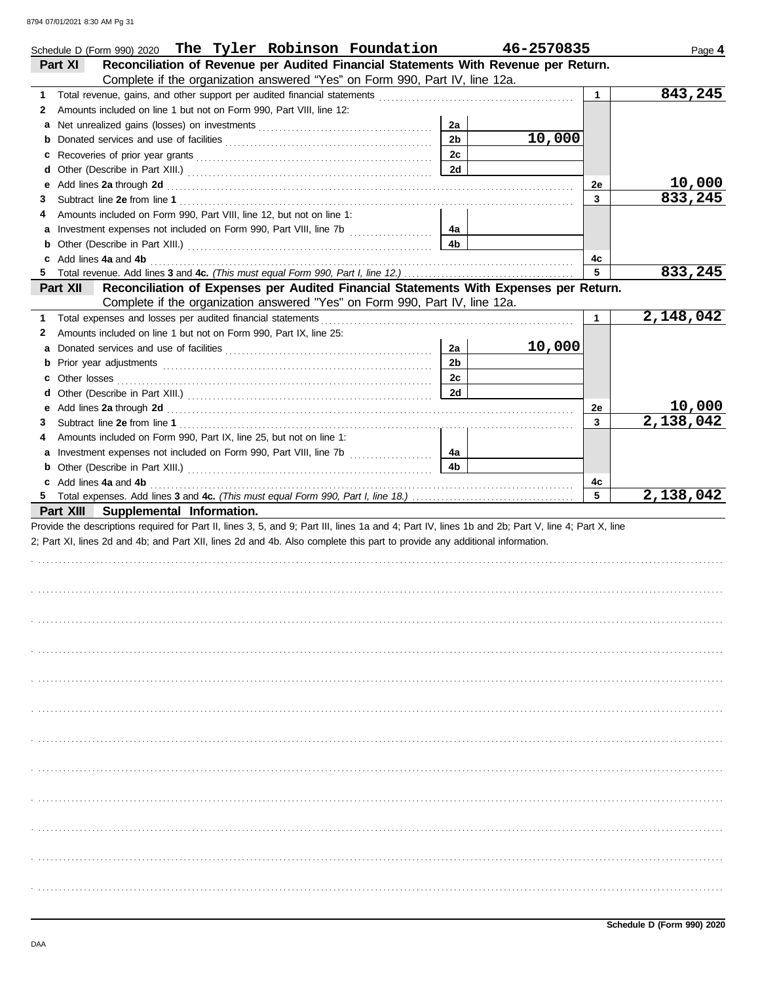|   | Schedule D (Form 990) 2020 The Tyler Robinson Foundation                                                                                                                                                                       |                | 46-2570835 |              | Page 4    |
|---|--------------------------------------------------------------------------------------------------------------------------------------------------------------------------------------------------------------------------------|----------------|------------|--------------|-----------|
|   | Reconciliation of Revenue per Audited Financial Statements With Revenue per Return.<br>Part XI                                                                                                                                 |                |            |              |           |
|   | Complete if the organization answered "Yes" on Form 990, Part IV, line 12a.                                                                                                                                                    |                |            |              |           |
| 1 |                                                                                                                                                                                                                                |                |            | $\mathbf{1}$ | 843,245   |
| 2 | Amounts included on line 1 but not on Form 990, Part VIII, line 12:                                                                                                                                                            |                |            |              |           |
|   |                                                                                                                                                                                                                                | 2a             |            |              |           |
|   |                                                                                                                                                                                                                                | 2 <sub>b</sub> | 10,000     |              |           |
|   |                                                                                                                                                                                                                                | 2c             |            |              |           |
|   |                                                                                                                                                                                                                                | 2d             |            |              |           |
|   |                                                                                                                                                                                                                                |                |            | 2e           | 10,000    |
| 3 |                                                                                                                                                                                                                                |                |            | 3            | 833,245   |
| 4 | Amounts included on Form 990, Part VIII, line 12, but not on line 1:                                                                                                                                                           |                |            |              |           |
|   |                                                                                                                                                                                                                                | 4а             |            |              |           |
|   |                                                                                                                                                                                                                                | 4b             |            |              |           |
|   | c Add lines 4a and 4b                                                                                                                                                                                                          |                |            | 4c           |           |
| 5 |                                                                                                                                                                                                                                |                |            | 5            | 833,245   |
|   | Reconciliation of Expenses per Audited Financial Statements With Expenses per Return.<br>Part XII                                                                                                                              |                |            |              |           |
|   | Complete if the organization answered "Yes" on Form 990, Part IV, line 12a.                                                                                                                                                    |                |            |              |           |
| 1 | Total expenses and losses per audited financial statements [11] contain the container and statements and statements and statements and statements and statements and statements and statements are statements and statements a |                |            | $\mathbf 1$  | 2,148,042 |
| 2 | Amounts included on line 1 but not on Form 990, Part IX, line 25:                                                                                                                                                              |                |            |              |           |
|   |                                                                                                                                                                                                                                | 2a             | 10,000     |              |           |
|   |                                                                                                                                                                                                                                | 2 <sub>b</sub> |            |              |           |
|   |                                                                                                                                                                                                                                | 2c             |            |              |           |
|   |                                                                                                                                                                                                                                | 2d             |            |              |           |
|   |                                                                                                                                                                                                                                |                |            | 2e           | 10,000    |
| 3 |                                                                                                                                                                                                                                |                |            | 3            | 2,138,042 |
| 4 | Amounts included on Form 990, Part IX, line 25, but not on line 1:                                                                                                                                                             |                |            |              |           |
|   |                                                                                                                                                                                                                                | 4a             |            |              |           |
|   |                                                                                                                                                                                                                                | 4b             |            |              |           |
|   | c Add lines 4a and 4b                                                                                                                                                                                                          |                |            | 4с           |           |
|   |                                                                                                                                                                                                                                |                |            | 5            | 2,138,042 |
|   | Part XIII Supplemental Information.                                                                                                                                                                                            |                |            |              |           |
|   | Provide the descriptions required for Part II, lines 3, 5, and 9; Part III, lines 1a and 4; Part IV, lines 1b and 2b; Part V, line 4; Part X, line                                                                             |                |            |              |           |
|   | 2; Part XI, lines 2d and 4b; and Part XII, lines 2d and 4b. Also complete this part to provide any additional information.                                                                                                     |                |            |              |           |
|   |                                                                                                                                                                                                                                |                |            |              |           |
|   |                                                                                                                                                                                                                                |                |            |              |           |
|   |                                                                                                                                                                                                                                |                |            |              |           |
|   |                                                                                                                                                                                                                                |                |            |              |           |
|   |                                                                                                                                                                                                                                |                |            |              |           |
|   |                                                                                                                                                                                                                                |                |            |              |           |
|   |                                                                                                                                                                                                                                |                |            |              |           |
|   |                                                                                                                                                                                                                                |                |            |              |           |
|   |                                                                                                                                                                                                                                |                |            |              |           |
|   |                                                                                                                                                                                                                                |                |            |              |           |
|   |                                                                                                                                                                                                                                |                |            |              |           |
|   |                                                                                                                                                                                                                                |                |            |              |           |
|   |                                                                                                                                                                                                                                |                |            |              |           |
|   |                                                                                                                                                                                                                                |                |            |              |           |
|   |                                                                                                                                                                                                                                |                |            |              |           |
|   |                                                                                                                                                                                                                                |                |            |              |           |
|   |                                                                                                                                                                                                                                |                |            |              |           |
|   |                                                                                                                                                                                                                                |                |            |              |           |
|   |                                                                                                                                                                                                                                |                |            |              |           |
|   |                                                                                                                                                                                                                                |                |            |              |           |
|   |                                                                                                                                                                                                                                |                |            |              |           |
|   |                                                                                                                                                                                                                                |                |            |              |           |
|   |                                                                                                                                                                                                                                |                |            |              |           |
|   |                                                                                                                                                                                                                                |                |            |              |           |
|   |                                                                                                                                                                                                                                |                |            |              |           |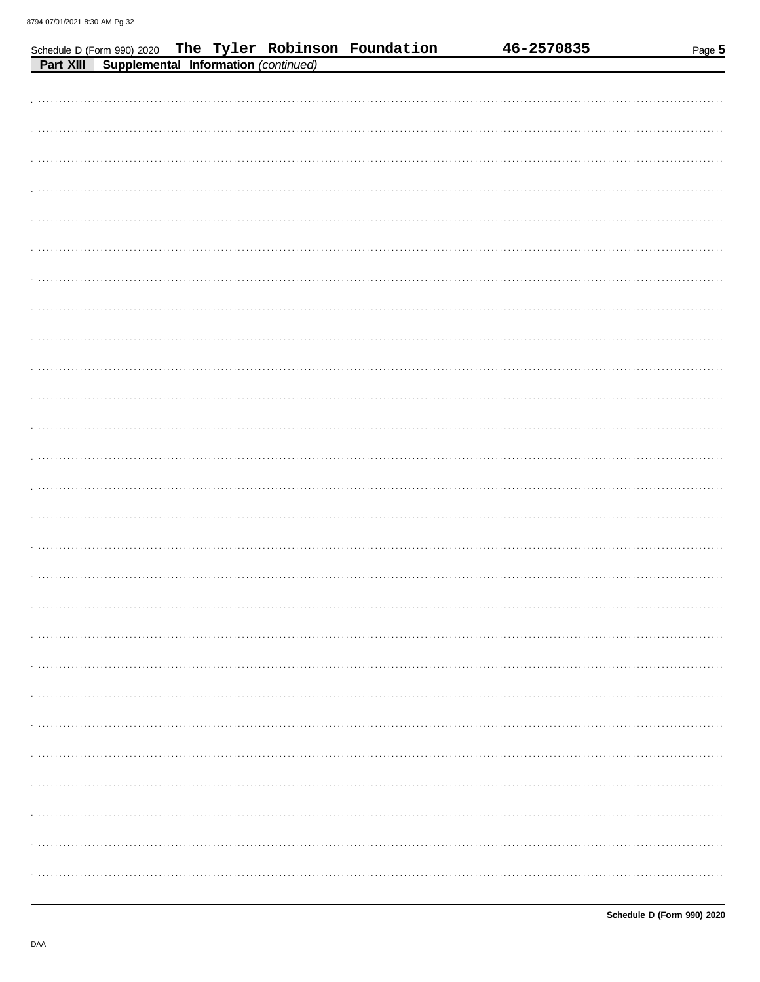|           |                                      | Schedule D (Form 990) 2020 The Tyler Robinson Foundation | 46-2570835 | Page 5 |
|-----------|--------------------------------------|----------------------------------------------------------|------------|--------|
| Part XIII | Supplemental Information (continued) |                                                          |            |        |
|           |                                      |                                                          |            |        |
|           |                                      |                                                          |            |        |
|           |                                      |                                                          |            |        |
|           |                                      |                                                          |            |        |
|           |                                      |                                                          |            |        |
|           |                                      |                                                          |            |        |
|           |                                      |                                                          |            |        |
|           |                                      |                                                          |            |        |
|           |                                      |                                                          |            |        |
|           |                                      |                                                          |            |        |
|           |                                      |                                                          |            |        |
|           |                                      |                                                          |            |        |
|           |                                      |                                                          |            |        |
|           |                                      |                                                          |            |        |
|           |                                      |                                                          |            |        |
|           |                                      |                                                          |            |        |
|           |                                      |                                                          |            |        |
|           |                                      |                                                          |            |        |
|           |                                      |                                                          |            |        |
|           |                                      |                                                          |            |        |
|           |                                      |                                                          |            |        |
|           |                                      |                                                          |            |        |
|           |                                      |                                                          |            |        |
|           |                                      |                                                          |            |        |
|           |                                      |                                                          |            |        |
|           |                                      |                                                          |            |        |
|           |                                      |                                                          |            |        |
|           |                                      |                                                          |            |        |
|           |                                      |                                                          |            |        |
|           |                                      |                                                          |            |        |
|           |                                      |                                                          |            |        |
|           |                                      |                                                          |            |        |
|           |                                      |                                                          |            |        |
|           |                                      |                                                          |            |        |
|           |                                      |                                                          |            |        |
|           |                                      |                                                          |            |        |
|           |                                      |                                                          |            |        |
|           |                                      |                                                          |            |        |
|           |                                      |                                                          |            |        |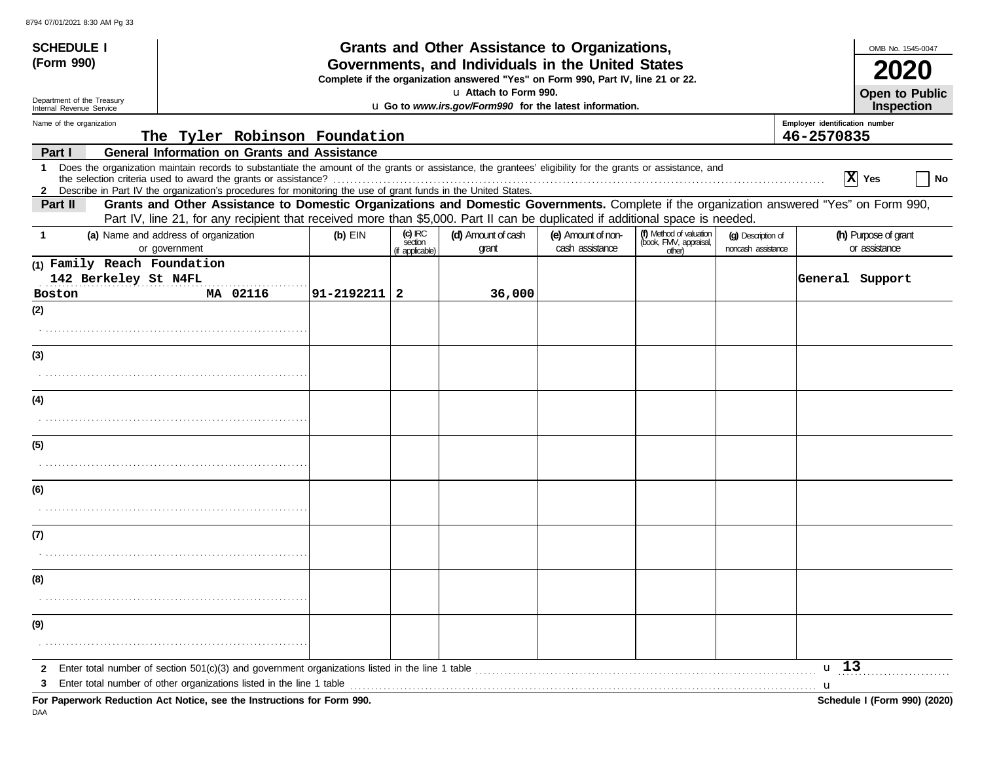| <b>SCHEDULE I</b><br>(Form 990)                                                                                  | Grants and Other Assistance to Organizations,<br>Governments, and Individuals in the United States                                                                                                                                                                                                                                            |            |                                                                                  |                             |                                       |                                                             | OMB No. 1545-0047                        |                                       |  |
|------------------------------------------------------------------------------------------------------------------|-----------------------------------------------------------------------------------------------------------------------------------------------------------------------------------------------------------------------------------------------------------------------------------------------------------------------------------------------|------------|----------------------------------------------------------------------------------|-----------------------------|---------------------------------------|-------------------------------------------------------------|------------------------------------------|---------------------------------------|--|
|                                                                                                                  |                                                                                                                                                                                                                                                                                                                                               |            | Complete if the organization answered "Yes" on Form 990, Part IV, line 21 or 22. |                             |                                       |                                                             |                                          |                                       |  |
| La Attach to Form 990.<br>Department of the Treasury<br>LI Go to www.irs.gov/Form990 for the latest information. |                                                                                                                                                                                                                                                                                                                                               |            |                                                                                  |                             |                                       |                                                             | <b>Open to Public</b><br>Inspection      |                                       |  |
| Internal Revenue Service<br>Name of the organization                                                             | Employer identification number                                                                                                                                                                                                                                                                                                                |            |                                                                                  |                             |                                       |                                                             |                                          |                                       |  |
|                                                                                                                  | The Tyler Robinson Foundation                                                                                                                                                                                                                                                                                                                 |            |                                                                                  |                             |                                       |                                                             |                                          | 46-2570835                            |  |
| Part I                                                                                                           | <b>General Information on Grants and Assistance</b>                                                                                                                                                                                                                                                                                           |            |                                                                                  |                             |                                       |                                                             |                                          |                                       |  |
| $\mathbf 1$<br>$\mathbf{2}$                                                                                      | Does the organization maintain records to substantiate the amount of the grants or assistance, the grantees' eligibility for the grants or assistance, and<br>the selection criteria used to award the grants or assistance?<br>Describe in Part IV the organization's procedures for monitoring the use of grant funds in the United States. |            |                                                                                  |                             |                                       |                                                             |                                          | X Yes<br>  No                         |  |
| Part II                                                                                                          | Grants and Other Assistance to Domestic Organizations and Domestic Governments. Complete if the organization answered "Yes" on Form 990,                                                                                                                                                                                                      |            |                                                                                  |                             |                                       |                                                             |                                          |                                       |  |
|                                                                                                                  | Part IV, line 21, for any recipient that received more than \$5,000. Part II can be duplicated if additional space is needed.                                                                                                                                                                                                                 |            |                                                                                  |                             |                                       |                                                             |                                          |                                       |  |
|                                                                                                                  | (a) Name and address of organization<br>or government                                                                                                                                                                                                                                                                                         | $(b)$ EIN  | $(c)$ IRC<br>section<br>(if applicable)                                          | (d) Amount of cash<br>grant | (e) Amount of non-<br>cash assistance | (f) Method of valuation<br>(book, FMV, appraisal,<br>other) | (g) Description of<br>noncash assistance | (h) Purpose of grant<br>or assistance |  |
| (1) Family Reach Foundation                                                                                      |                                                                                                                                                                                                                                                                                                                                               |            |                                                                                  |                             |                                       |                                                             |                                          |                                       |  |
| 142 Berkeley St N4FL                                                                                             |                                                                                                                                                                                                                                                                                                                                               |            |                                                                                  |                             |                                       |                                                             |                                          | General Support                       |  |
| <b>Boston</b>                                                                                                    | MA 02116                                                                                                                                                                                                                                                                                                                                      | 91-2192211 | $\overline{2}$                                                                   | 36,000                      |                                       |                                                             |                                          |                                       |  |
| (2)                                                                                                              |                                                                                                                                                                                                                                                                                                                                               |            |                                                                                  |                             |                                       |                                                             |                                          |                                       |  |
|                                                                                                                  |                                                                                                                                                                                                                                                                                                                                               |            |                                                                                  |                             |                                       |                                                             |                                          |                                       |  |
| (3)                                                                                                              |                                                                                                                                                                                                                                                                                                                                               |            |                                                                                  |                             |                                       |                                                             |                                          |                                       |  |
|                                                                                                                  |                                                                                                                                                                                                                                                                                                                                               |            |                                                                                  |                             |                                       |                                                             |                                          |                                       |  |
| (4)                                                                                                              |                                                                                                                                                                                                                                                                                                                                               |            |                                                                                  |                             |                                       |                                                             |                                          |                                       |  |
|                                                                                                                  |                                                                                                                                                                                                                                                                                                                                               |            |                                                                                  |                             |                                       |                                                             |                                          |                                       |  |
| (5)                                                                                                              |                                                                                                                                                                                                                                                                                                                                               |            |                                                                                  |                             |                                       |                                                             |                                          |                                       |  |
|                                                                                                                  |                                                                                                                                                                                                                                                                                                                                               |            |                                                                                  |                             |                                       |                                                             |                                          |                                       |  |
| (6)                                                                                                              |                                                                                                                                                                                                                                                                                                                                               |            |                                                                                  |                             |                                       |                                                             |                                          |                                       |  |
|                                                                                                                  |                                                                                                                                                                                                                                                                                                                                               |            |                                                                                  |                             |                                       |                                                             |                                          |                                       |  |
| (7)                                                                                                              |                                                                                                                                                                                                                                                                                                                                               |            |                                                                                  |                             |                                       |                                                             |                                          |                                       |  |
|                                                                                                                  |                                                                                                                                                                                                                                                                                                                                               |            |                                                                                  |                             |                                       |                                                             |                                          |                                       |  |
| (8)                                                                                                              |                                                                                                                                                                                                                                                                                                                                               |            |                                                                                  |                             |                                       |                                                             |                                          |                                       |  |
|                                                                                                                  |                                                                                                                                                                                                                                                                                                                                               |            |                                                                                  |                             |                                       |                                                             |                                          |                                       |  |
| (9)                                                                                                              |                                                                                                                                                                                                                                                                                                                                               |            |                                                                                  |                             |                                       |                                                             |                                          |                                       |  |
|                                                                                                                  |                                                                                                                                                                                                                                                                                                                                               |            |                                                                                  |                             |                                       |                                                             |                                          |                                       |  |
| $\mathbf{2}$                                                                                                     | Enter total number of section $501(c)(3)$ and government organizations listed in the line 1 table                                                                                                                                                                                                                                             |            |                                                                                  |                             |                                       |                                                             |                                          | u 13                                  |  |
| 3                                                                                                                | For Paperwork Reduction Act Notice, see the Instructions for Form 990.                                                                                                                                                                                                                                                                        |            |                                                                                  |                             |                                       |                                                             |                                          | u<br>Schedule I (Form 990) (2020)     |  |

DAA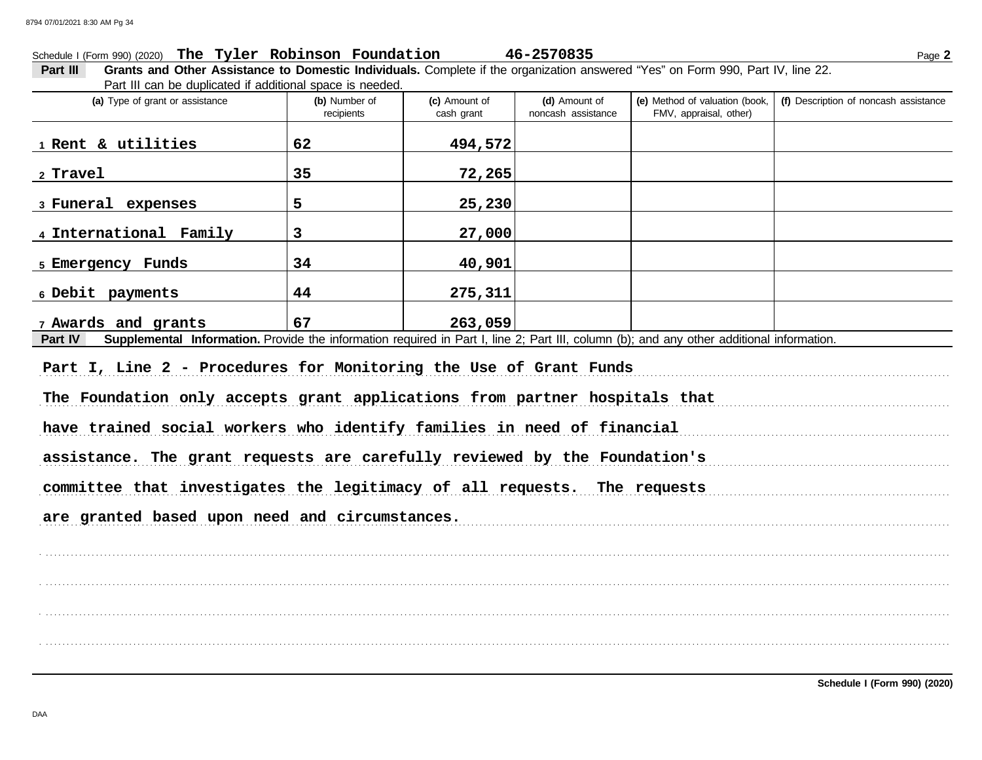### Schedule I (Form 990) (2020) Page **2 The Tyler Robinson Foundation 46-2570835**

**Part III Grants and Other Assistance to Domestic Individuals.** Complete if the organization answered "Yes" on Form 990, Part IV, line 22. Part III can be duplicated if additional space is needed.

| (a) Type of grant or assistance                                                                                                                             | (b) Number of<br>recipients | (c) Amount of<br>cash grant | (d) Amount of<br>noncash assistance | (e) Method of valuation (book,<br>FMV, appraisal, other) | (f) Description of noncash assistance |  |  |  |
|-------------------------------------------------------------------------------------------------------------------------------------------------------------|-----------------------------|-----------------------------|-------------------------------------|----------------------------------------------------------|---------------------------------------|--|--|--|
| 1 Rent & utilities                                                                                                                                          | 62                          | 494,572                     |                                     |                                                          |                                       |  |  |  |
| 2 Travel                                                                                                                                                    | 35                          | 72,265                      |                                     |                                                          |                                       |  |  |  |
| 3 Funeral expenses                                                                                                                                          | 5                           | 25,230                      |                                     |                                                          |                                       |  |  |  |
| 4 International Family                                                                                                                                      | 3                           | 27,000                      |                                     |                                                          |                                       |  |  |  |
| 5 Emergency Funds                                                                                                                                           | 34                          | 40,901                      |                                     |                                                          |                                       |  |  |  |
| 6 Debit payments                                                                                                                                            | 44                          | 275,311                     |                                     |                                                          |                                       |  |  |  |
| 7 Awards and grants                                                                                                                                         | 67                          | 263,059                     |                                     |                                                          |                                       |  |  |  |
| Supplemental Information. Provide the information required in Part I, line 2; Part III, column (b); and any other additional information.<br><b>Part IV</b> |                             |                             |                                     |                                                          |                                       |  |  |  |
| Part I, Line 2 - Procedures for Monitoring the Use of Grant Funds                                                                                           |                             |                             |                                     |                                                          |                                       |  |  |  |

The Foundation only accepts grant applications from partner hospitals that

have trained social workers who identify families in need of financial

assistance. The grant requests are carefully reviewed by the Foundation's

. . . . . . . . . . . . . . . . . . . . . . . . . . . . . . . . . . . . . . . . . . . . . . . . . . . . . . . . . . . . . . . . . . . . . . . . . . . . . . . . . . . . . . . . . . . . . . . . . . . . . . . . . . . . . . . . . . . . . . . . . . . . . . . . . . . . . . . . . . . . . . . . . . . . . . . . . . . . . . . . . . . . . . . . . . . . . . . . . . . . . . . . . . . . . . . . . . . . . . . . . . . . . . . . . . . . . . . . . .

. . . . . . . . . . . . . . . . . . . . . . . . . . . . . . . . . . . . . . . . . . . . . . . . . . . . . . . . . . . . . . . . . . . . . . . . . . . . . . . . . . . . . . . . . . . . . . . . . . . . . . . . . . . . . . . . . . . . . . . . . . . . . . . . . . . . . . . . . . . . . . . . . . . . . . . . . . . . . . . . . . . . . . . . . . . . . . . . . . . . . . . . . . . . . . . . . . . . . . . . . . . . . . . . . . . . . . . . . .

. . . . . . . . . . . . . . . . . . . . . . . . . . . . . . . . . . . . . . . . . . . . . . . . . . . . . . . . . . . . . . . . . . . . . . . . . . . . . . . . . . . . . . . . . . . . . . . . . . . . . . . . . . . . . . . . . . . . . . . . . . . . . . . . . . . . . . . . . . . . . . . . . . . . . . . . . . . . . . . . . . . . . . . . . . . . . . . . . . . . . . . . . . . . . . . . . . . . . . . . . . . . . . . . . . . . . . . . . .

. . . . . . . . . . . . . . . . . . . . . . . . . . . . . . . . . . . . . . . . . . . . . . . . . . . . . . . . . . . . . . . . . . . . . . . . . . . . . . . . . . . . . . . . . . . . . . . . . . . . . . . . . . . . . . . . . . . . . . . . . . . . . . . . . . . . . . . . . . . . . . . . . . . . . . . . . . . . . . . . . . . . . . . . . . . . . . . . . . . . . . . . . . . . . . . . . . . . . . . . . . . . . . . . . . . . . . . . . .

committee that investigates the legitimacy of all requests. The requests

are granted based upon need and circumstances.

**Schedule I (Form 990) (2020)**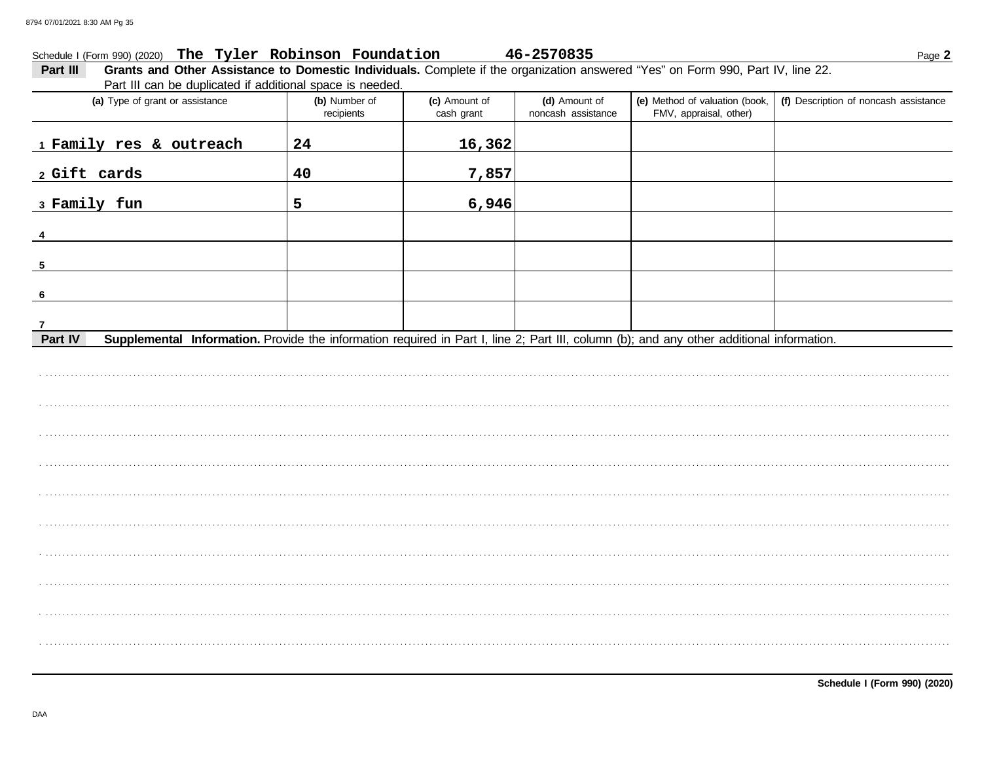#### Schedule I (Form 990) (2020) The Tyler Robinson Foundation 46-2570835

Grants and Other Assistance to Domestic Individuals. Complete if the organization answered "Yes" on Form 990, Part IV, line 22. Part III Part III can be duplicated if additional space is needed.

| (a) Type of grant or assistance                                                                                                                      | (b) Number of<br>recipients | (c) Amount of<br>cash grant | (d) Amount of<br>noncash assistance | (e) Method of valuation (book,<br>FMV, appraisal, other) | (f) Description of noncash assistance |
|------------------------------------------------------------------------------------------------------------------------------------------------------|-----------------------------|-----------------------------|-------------------------------------|----------------------------------------------------------|---------------------------------------|
| 1 Family res & outreach                                                                                                                              | 24                          | 16,362                      |                                     |                                                          |                                       |
| 2 Gift cards                                                                                                                                         | 40                          | 7,857                       |                                     |                                                          |                                       |
| 3 Family fun                                                                                                                                         | 5                           | 6,946                       |                                     |                                                          |                                       |
| 4                                                                                                                                                    |                             |                             |                                     |                                                          |                                       |
| 5                                                                                                                                                    |                             |                             |                                     |                                                          |                                       |
| 6                                                                                                                                                    |                             |                             |                                     |                                                          |                                       |
| $\overline{7}$                                                                                                                                       |                             |                             |                                     |                                                          |                                       |
| Supplemental Information. Provide the information required in Part I, line 2; Part III, column (b); and any other additional information.<br>Part IV |                             |                             |                                     |                                                          |                                       |
|                                                                                                                                                      |                             |                             |                                     |                                                          |                                       |
|                                                                                                                                                      |                             |                             |                                     |                                                          |                                       |
|                                                                                                                                                      |                             |                             |                                     |                                                          |                                       |
|                                                                                                                                                      |                             |                             |                                     |                                                          |                                       |
|                                                                                                                                                      |                             |                             |                                     |                                                          |                                       |
|                                                                                                                                                      |                             |                             |                                     |                                                          |                                       |
|                                                                                                                                                      |                             |                             |                                     |                                                          |                                       |
|                                                                                                                                                      |                             |                             |                                     |                                                          |                                       |
|                                                                                                                                                      |                             |                             |                                     |                                                          |                                       |
|                                                                                                                                                      |                             |                             |                                     |                                                          |                                       |
|                                                                                                                                                      |                             |                             |                                     |                                                          |                                       |
|                                                                                                                                                      |                             |                             |                                     |                                                          |                                       |

DAA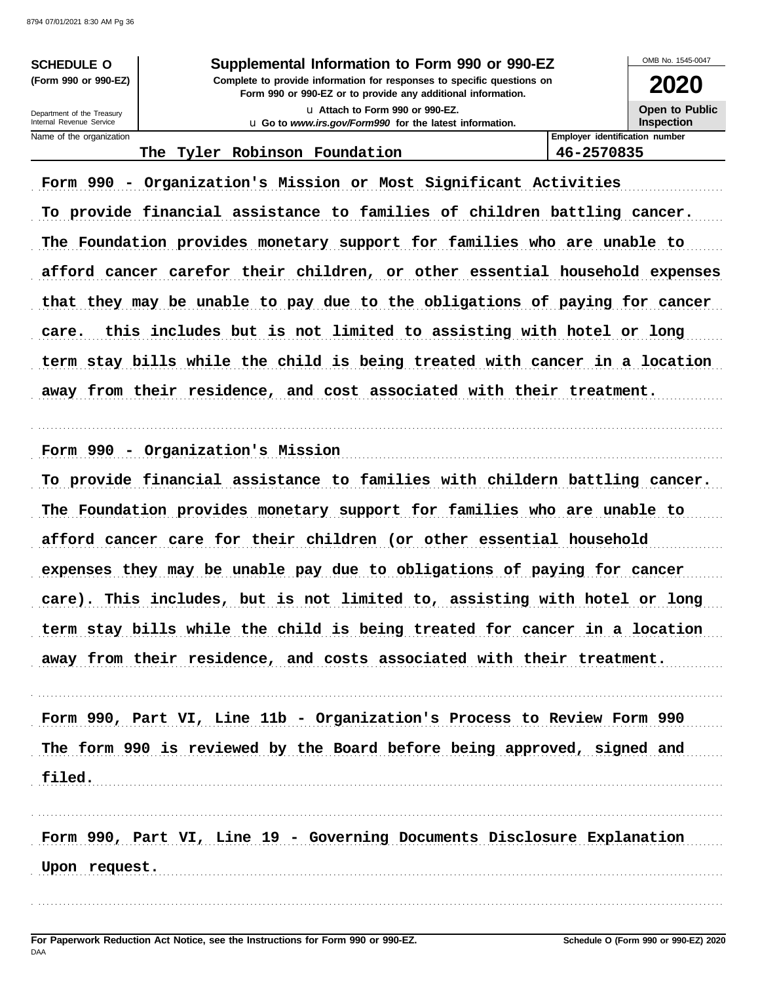**SCHEDULE O** (Form 990 or 990-EZ)

#### Supplemental Information to Form 990 or 990-EZ

Complete to provide information for responses to specific questions on Form 990 or 990-EZ or to provide any additional information. LJ Attach to Form 990 or 990-EZ.

u Go to www.irs.gov/Form990 for the latest information.

**Open to Public** 

Inspection

**Employer identification number** 

46-2570835

Department of the Treasury Internal Revenue Service Name of the organization

### The Tyler Robinson Foundation

Form 990 - Organization's Mission or Most Significant Activities To provide financial assistance to families of children battling cancer. The Foundation provides monetary support for families who are unable to afford cancer carefor their children, or other essential household expenses that they may be unable to pay due to the obligations of paying for cancer care. this includes but is not limited to assisting with hotel or long

term stay bills while the child is being treated with cancer in a location away from their residence, and cost associated with their treatment.

Form 990 - Organization's Mission

To provide financial assistance to families with childern battling cancer. The Foundation provides monetary support for families who are unable to afford cancer care for their children (or other essential household expenses they may be unable pay due to obligations of paying for cancer care). This includes, but is not limited to, assisting with hotel or long term stay bills while the child is being treated for cancer in a location away from their residence, and costs associated with their treatment.

Form 990, Part VI, Line 11b - Organization's Process to Review Form 990 The form 990 is reviewed by the Board before being approved, signed and filed.

Form 990, Part VI, Line 19 - Governing Documents Disclosure Explanation

Upon request. The contract of the contract of the contract of the contract of the contract of the contract of the contract of the contract of the contract of the contract of the contract of the contract of the contract of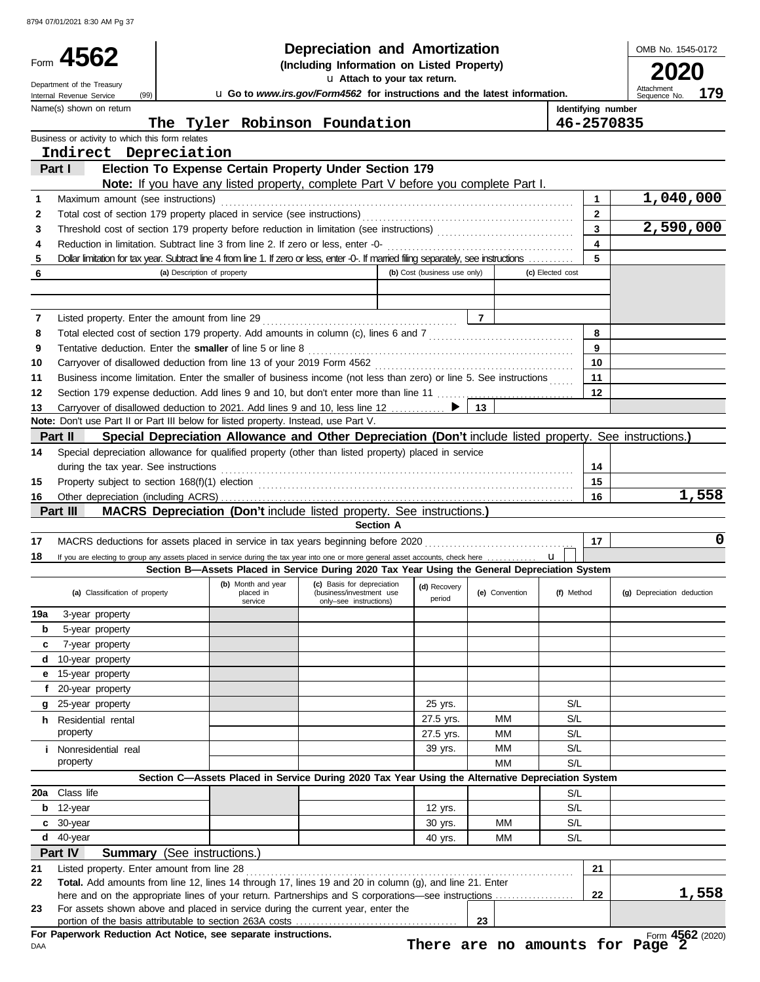|          | 8794 07/01/2021 8:30 AM Pg 37                                                                                                                                                                                                      |                                                                                                           |                                                                                                                                              |                                                    |  |                              |                |                |                  |                         |                            |              |
|----------|------------------------------------------------------------------------------------------------------------------------------------------------------------------------------------------------------------------------------------|-----------------------------------------------------------------------------------------------------------|----------------------------------------------------------------------------------------------------------------------------------------------|----------------------------------------------------|--|------------------------------|----------------|----------------|------------------|-------------------------|----------------------------|--------------|
|          | Form 4562                                                                                                                                                                                                                          | <b>Depreciation and Amortization</b>                                                                      |                                                                                                                                              |                                                    |  |                              |                |                |                  | OMB No. 1545-0172       |                            |              |
|          |                                                                                                                                                                                                                                    | (Including Information on Listed Property)                                                                |                                                                                                                                              |                                                    |  |                              |                |                |                  |                         |                            |              |
|          | Department of the Treasury<br>(99)                                                                                                                                                                                                 | U Attach to your tax return.<br>U Go to www.irs.gov/Form4562 for instructions and the latest information. |                                                                                                                                              |                                                    |  |                              |                |                |                  |                         | Attachment                 | 179          |
|          | Internal Revenue Service<br>Name(s) shown on return                                                                                                                                                                                |                                                                                                           |                                                                                                                                              |                                                    |  |                              |                |                |                  | Identifying number      | Sequence No.               |              |
|          |                                                                                                                                                                                                                                    | The                                                                                                       | Tyler Robinson Foundation                                                                                                                    |                                                    |  |                              |                |                |                  | 46-2570835              |                            |              |
|          | Business or activity to which this form relates                                                                                                                                                                                    |                                                                                                           |                                                                                                                                              |                                                    |  |                              |                |                |                  |                         |                            |              |
|          | Indirect Depreciation                                                                                                                                                                                                              |                                                                                                           |                                                                                                                                              |                                                    |  |                              |                |                |                  |                         |                            |              |
|          | Part I                                                                                                                                                                                                                             |                                                                                                           | Election To Expense Certain Property Under Section 179<br>Note: If you have any listed property, complete Part V before you complete Part I. |                                                    |  |                              |                |                |                  |                         |                            |              |
| 1        | Maximum amount (see instructions)                                                                                                                                                                                                  |                                                                                                           |                                                                                                                                              |                                                    |  |                              |                |                |                  | $\mathbf{1}$            |                            | 1,040,000    |
| 2        |                                                                                                                                                                                                                                    |                                                                                                           |                                                                                                                                              |                                                    |  |                              |                |                |                  | $\overline{2}$          |                            |              |
| 3        |                                                                                                                                                                                                                                    |                                                                                                           |                                                                                                                                              |                                                    |  |                              |                |                |                  |                         |                            | 2,590,000    |
| 4        |                                                                                                                                                                                                                                    |                                                                                                           |                                                                                                                                              |                                                    |  |                              |                |                |                  | $\overline{\mathbf{4}}$ |                            |              |
| 5        | Dollar limitation for tax year. Subtract line 4 from line 1. If zero or less, enter -0-. If married filing separately, see instructions                                                                                            |                                                                                                           |                                                                                                                                              |                                                    |  |                              |                |                |                  | 5                       |                            |              |
| 6        |                                                                                                                                                                                                                                    | (a) Description of property                                                                               |                                                                                                                                              |                                                    |  | (b) Cost (business use only) |                |                | (c) Elected cost |                         |                            |              |
|          |                                                                                                                                                                                                                                    |                                                                                                           |                                                                                                                                              |                                                    |  |                              |                |                |                  |                         |                            |              |
| 7        |                                                                                                                                                                                                                                    |                                                                                                           |                                                                                                                                              |                                                    |  |                              | $\overline{7}$ |                |                  |                         |                            |              |
| 8        | Total elected cost of section 179 property. Add amounts in column (c), lines 6 and 7 [[[[[[[[[[[[[[[[[[[[[[[[                                                                                                                      |                                                                                                           |                                                                                                                                              |                                                    |  |                              |                |                |                  | 8                       |                            |              |
| 9        |                                                                                                                                                                                                                                    |                                                                                                           |                                                                                                                                              |                                                    |  |                              |                |                |                  | $\mathbf{9}$            |                            |              |
| 10       |                                                                                                                                                                                                                                    |                                                                                                           |                                                                                                                                              |                                                    |  |                              |                |                |                  | 10                      |                            |              |
| 11       | Business income limitation. Enter the smaller of business income (not less than zero) or line 5. See instructions                                                                                                                  |                                                                                                           |                                                                                                                                              |                                                    |  |                              |                |                |                  | 11                      |                            |              |
| 12       | Section 179 expense deduction. Add lines 9 and 10, but don't enter more than line 11  [11] expense deduction. Add lines 9 and 10, but don't enter more than line 11                                                                |                                                                                                           |                                                                                                                                              |                                                    |  |                              |                |                |                  | 12                      |                            |              |
| 13       | Carryover of disallowed deduction to 2021. Add lines 9 and 10, less line 12  ▶<br>Note: Don't use Part II or Part III below for listed property. Instead, use Part V.                                                              |                                                                                                           |                                                                                                                                              |                                                    |  |                              | 13             |                |                  |                         |                            |              |
|          | Part II                                                                                                                                                                                                                            |                                                                                                           | Special Depreciation Allowance and Other Depreciation (Don't include listed property. See instructions.)                                     |                                                    |  |                              |                |                |                  |                         |                            |              |
| 14       | Special depreciation allowance for qualified property (other than listed property) placed in service                                                                                                                               |                                                                                                           |                                                                                                                                              |                                                    |  |                              |                |                |                  |                         |                            |              |
|          | during the tax year. See instructions                                                                                                                                                                                              |                                                                                                           |                                                                                                                                              |                                                    |  |                              |                |                |                  | 14                      |                            |              |
| 15       | Property subject to section 168(f)(1) election <i>[1]</i> match contains the section of the section of the section of the section of the section of the section of the section of the section of the section of the section of the |                                                                                                           |                                                                                                                                              |                                                    |  |                              |                |                |                  | 15                      |                            |              |
| 16       |                                                                                                                                                                                                                                    |                                                                                                           |                                                                                                                                              |                                                    |  |                              |                |                |                  | 16                      |                            | 1,558        |
|          | Part III                                                                                                                                                                                                                           |                                                                                                           | <b>MACRS Depreciation (Don't include listed property. See instructions.)</b>                                                                 |                                                    |  |                              |                |                |                  |                         |                            |              |
|          |                                                                                                                                                                                                                                    |                                                                                                           |                                                                                                                                              | <b>Section A</b>                                   |  |                              |                |                |                  | 17                      |                            | 0            |
| 17<br>18 | If you are electing to group any assets placed in service during the tax year into one or more general asset accounts, check here                                                                                                  |                                                                                                           |                                                                                                                                              |                                                    |  |                              |                |                | u                |                         |                            |              |
|          |                                                                                                                                                                                                                                    |                                                                                                           | Section B-Assets Placed in Service During 2020 Tax Year Using the General Depreciation System                                                |                                                    |  |                              |                |                |                  |                         |                            |              |
|          |                                                                                                                                                                                                                                    |                                                                                                           | (b) Month and year                                                                                                                           | (c) Basis for depreciation                         |  | (d) Recovery                 |                |                |                  |                         |                            |              |
|          | (a) Classification of property                                                                                                                                                                                                     |                                                                                                           | placed in<br>service                                                                                                                         | (business/investment use<br>only-see instructions) |  | period                       |                | (e) Convention | (f) Method       |                         | (g) Depreciation deduction |              |
| 19a      | 3-year property                                                                                                                                                                                                                    |                                                                                                           |                                                                                                                                              |                                                    |  |                              |                |                |                  |                         |                            |              |
| b        | 5-year property                                                                                                                                                                                                                    |                                                                                                           |                                                                                                                                              |                                                    |  |                              |                |                |                  |                         |                            |              |
| c        | 7-year property                                                                                                                                                                                                                    |                                                                                                           |                                                                                                                                              |                                                    |  |                              |                |                |                  |                         |                            |              |
| d        | 10-year property                                                                                                                                                                                                                   |                                                                                                           |                                                                                                                                              |                                                    |  |                              |                |                |                  |                         |                            |              |
| е        | 15-year property<br>20-year property                                                                                                                                                                                               |                                                                                                           |                                                                                                                                              |                                                    |  |                              |                |                |                  |                         |                            |              |
| g        | 25-year property                                                                                                                                                                                                                   |                                                                                                           |                                                                                                                                              |                                                    |  | 25 yrs.                      |                |                | S/L              |                         |                            |              |
|          | <b>h</b> Residential rental                                                                                                                                                                                                        |                                                                                                           |                                                                                                                                              |                                                    |  | 27.5 yrs.                    |                | ΜМ             | S/L              |                         |                            |              |
|          | property                                                                                                                                                                                                                           |                                                                                                           |                                                                                                                                              |                                                    |  | 27.5 yrs.                    |                | MМ             | S/L              |                         |                            |              |
|          | i Nonresidential real                                                                                                                                                                                                              |                                                                                                           |                                                                                                                                              |                                                    |  | 39 yrs.                      |                | MМ             | S/L              |                         |                            |              |
|          | property                                                                                                                                                                                                                           |                                                                                                           |                                                                                                                                              |                                                    |  |                              |                | MМ             | S/L              |                         |                            |              |
|          |                                                                                                                                                                                                                                    |                                                                                                           | Section C-Assets Placed in Service During 2020 Tax Year Using the Alternative Depreciation System                                            |                                                    |  |                              |                |                |                  |                         |                            |              |
| 20a      | Class life                                                                                                                                                                                                                         |                                                                                                           |                                                                                                                                              |                                                    |  |                              |                |                | S/L              |                         |                            |              |
| b<br>c   | 12-year<br>30-year                                                                                                                                                                                                                 |                                                                                                           |                                                                                                                                              |                                                    |  | 12 yrs.                      |                |                | S/L<br>S/L       |                         |                            |              |
|          | $d$ 40-year                                                                                                                                                                                                                        |                                                                                                           |                                                                                                                                              |                                                    |  | 30 yrs.<br>40 yrs.           |                | мм<br>ΜМ       | S/L              |                         |                            |              |
|          | Part IV<br><b>Summary</b> (See instructions.)                                                                                                                                                                                      |                                                                                                           |                                                                                                                                              |                                                    |  |                              |                |                |                  |                         |                            |              |
| 21       | Listed property. Enter amount from line 28                                                                                                                                                                                         |                                                                                                           |                                                                                                                                              |                                                    |  |                              |                |                |                  | 21                      |                            |              |
| 22       | Total. Add amounts from line 12, lines 14 through 17, lines 19 and 20 in column (g), and line 21. Enter                                                                                                                            |                                                                                                           |                                                                                                                                              |                                                    |  |                              |                |                |                  |                         |                            |              |
|          | here and on the appropriate lines of your return. Partnerships and S corporations—see instructions                                                                                                                                 |                                                                                                           |                                                                                                                                              |                                                    |  |                              |                |                |                  | 22                      |                            | 1,558        |
| 23       | For assets shown above and placed in service during the current year, enter the                                                                                                                                                    |                                                                                                           |                                                                                                                                              |                                                    |  |                              | 23             |                |                  |                         |                            |              |
|          | For Panorwork Poduction Act Notice, see separate instructions                                                                                                                                                                      |                                                                                                           |                                                                                                                                              |                                                    |  |                              |                |                |                  |                         |                            | $ECD$ (2004) |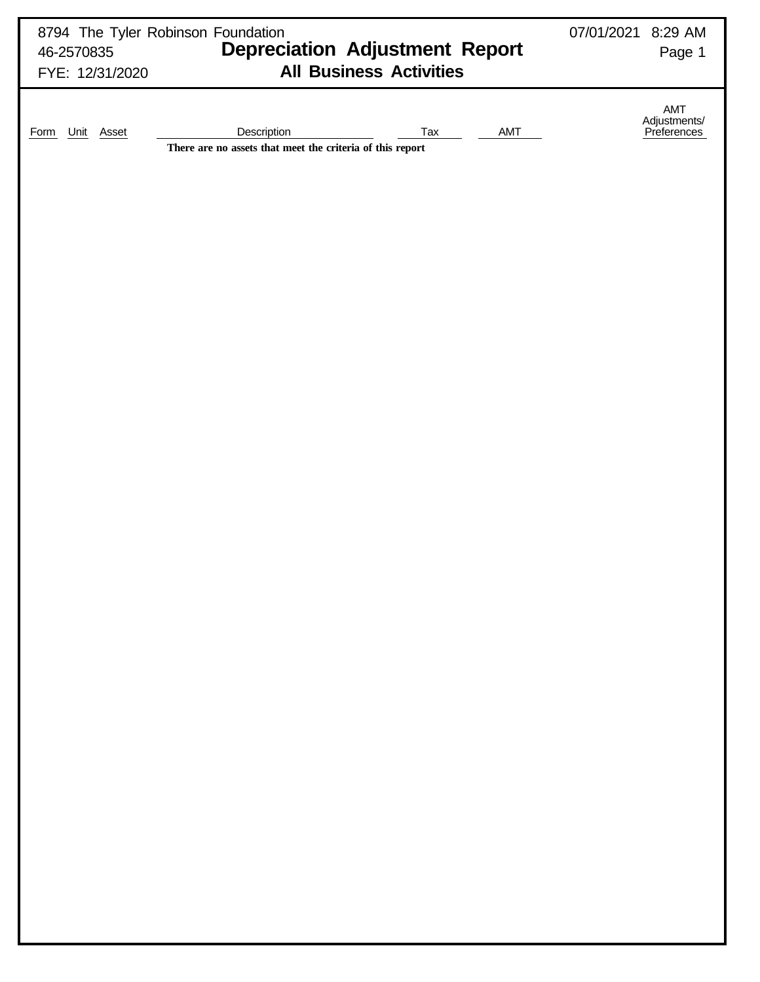| 46-2570835<br>FYE: 12/31/2020 | 8794 The Tyler Robinson Foundation<br><b>Depreciation Adjustment Report</b><br><b>All Business Activities</b> | 07/01/2021 8:29 AM<br>Page 1       |
|-------------------------------|---------------------------------------------------------------------------------------------------------------|------------------------------------|
| Unit Asset<br><b>Form</b>     | Description<br><b>AMT</b><br>Tax<br>There are no assets that meet the criteria of this report                 | AMT<br>Adjustments/<br>Preferences |
|                               |                                                                                                               |                                    |
|                               |                                                                                                               |                                    |
|                               |                                                                                                               |                                    |
|                               |                                                                                                               |                                    |
|                               |                                                                                                               |                                    |
|                               |                                                                                                               |                                    |
|                               |                                                                                                               |                                    |
|                               |                                                                                                               |                                    |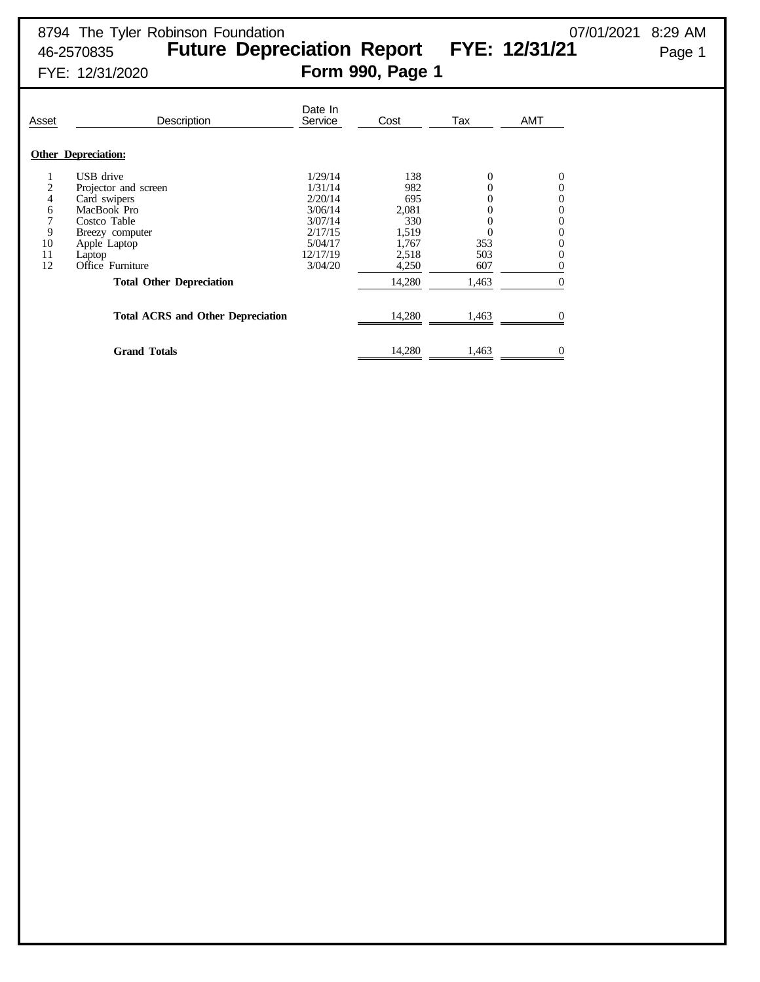| Asset | <b>Description</b>                       | Date In<br>Service | Cost   | Tax      | <b>AMT</b>     |
|-------|------------------------------------------|--------------------|--------|----------|----------------|
|       | <b>Other Depreciation:</b>               |                    |        |          |                |
|       | USB drive                                | 1/29/14            | 138    | 0        | 0              |
| 2     | Projector and screen                     | 1/31/14            | 982    | $\theta$ | 0              |
| 4     | Card swipers                             | 2/20/14            | 695    | 0        | 0              |
| 6     | MacBook Pro                              | 3/06/14            | 2,081  |          | 0              |
| 7     | Costco Table                             | 3/07/14            | 330    |          | $\overline{0}$ |
| 9     | Breezy computer                          | 2/17/15            | 1,519  |          | 0              |
| 10    | Apple Laptop                             | 5/04/17            | 1.767  | 353      | 0              |
| 11    | Laptop                                   | 12/17/19           | 2,518  | 503      | 0              |
| 12    | Office Furniture                         | 3/04/20            | 4,250  | 607      | 0              |
|       | <b>Total Other Depreciation</b>          |                    | 14,280 | 1,463    | $\Omega$       |
|       | <b>Total ACRS and Other Depreciation</b> |                    | 14,280 | 1,463    |                |
|       | <b>Grand Totals</b>                      |                    | 14,280 | 1,463    | $\mathbf{0}$   |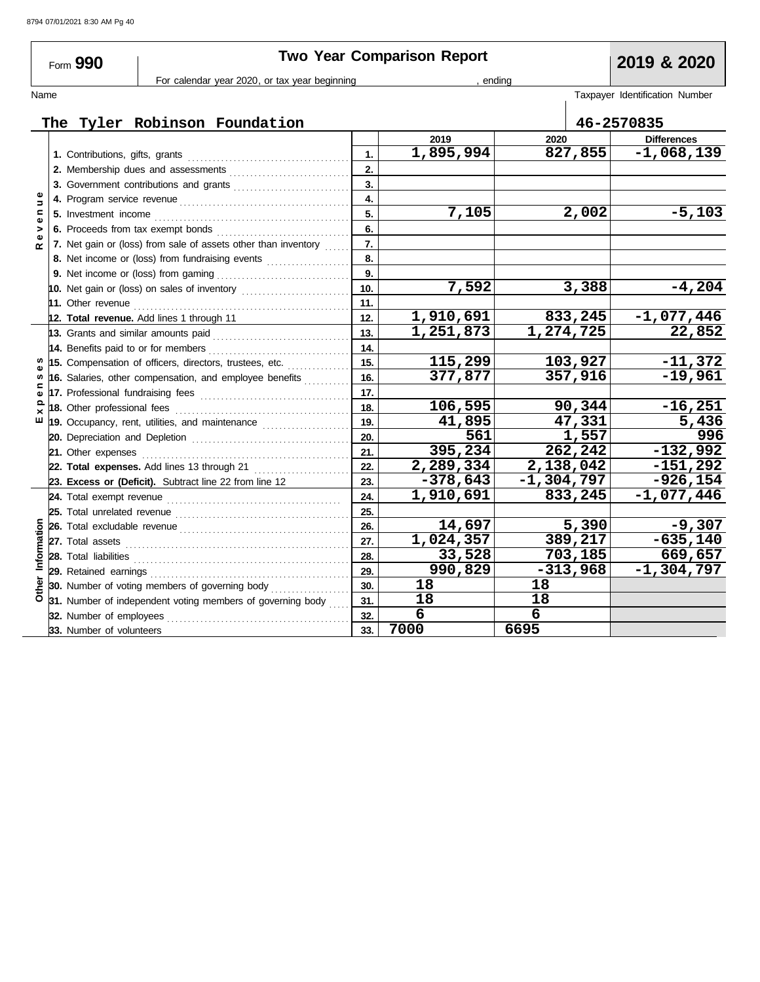|                | Form 990                 | For calendar year 2020, or tax year beginning                     |                | <b>Two Year Comparison Report</b> | ending              | 2019 & 2020                    |
|----------------|--------------------------|-------------------------------------------------------------------|----------------|-----------------------------------|---------------------|--------------------------------|
| Name           |                          |                                                                   |                |                                   |                     | Taxpayer Identification Number |
|                |                          | The Tyler Robinson Foundation                                     |                |                                   |                     | 46-2570835                     |
|                |                          |                                                                   |                | 2019                              | 2020                | <b>Differences</b>             |
|                |                          |                                                                   | $\mathbf{1}$ . | 1,895,994                         | 827,855             | $-1,068,139$                   |
|                |                          |                                                                   | 2.             |                                   |                     |                                |
|                |                          | 3. Government contributions and grants                            | 3.             |                                   |                     |                                |
| $\overline{a}$ |                          |                                                                   | 4.             |                                   |                     |                                |
| $\blacksquare$ |                          |                                                                   | 5.             | 7,105                             | 2,002               | $-5,103$                       |
| Φ<br>>         |                          |                                                                   | 6.             |                                   |                     |                                |
| œ              |                          | 7. Net gain or (loss) from sale of assets other than inventory    | 7.             |                                   |                     |                                |
|                |                          | 8. Net income or (loss) from fundraising events                   | 8.             |                                   |                     |                                |
|                |                          |                                                                   | 9.             |                                   |                     |                                |
|                |                          |                                                                   | 10.            | 7,592                             | 3,388               | $-4,204$                       |
|                |                          |                                                                   | 11.            |                                   |                     |                                |
|                |                          | 12. Total revenue. Add lines 1 through 11                         | 12.            | 1,910,691                         | 833,245             | $-1,077,446$                   |
|                |                          |                                                                   | 13.            | 1,251,873                         | 1,274,725           | 22,852                         |
|                |                          |                                                                   | 14.            |                                   |                     |                                |
|                |                          | 15. Compensation of officers, directors, trustees, etc.           | 15.            | 115,299                           | 103,927             | $-11,372$                      |
| w              |                          | 16. Salaries, other compensation, and employee benefits           | 16.            | 377,877                           | 357,916             | $-19,961$                      |
|                |                          |                                                                   | 17.            |                                   |                     |                                |
| ൦              |                          |                                                                   | 18.            | 106,595                           | 90,344              | $-16,251$                      |
| ш              |                          | 19. Occupancy, rent, utilities, and maintenance <i>maintering</i> | 19.            | 41,895                            | $\overline{47,331}$ | 5,436                          |
|                |                          |                                                                   | 20.            | 561                               | 1,557               | 996                            |
|                |                          |                                                                   | 21.            | 395,234                           | 262,242             | $-132,992$                     |
|                |                          |                                                                   | 22.            | 2,289,334                         | 2,138,042           | $-151,292$                     |
|                |                          | 23. Excess or (Deficit). Subtract line 22 from line 12            | 23.            | $-378,643$                        | $-1,304,797$        | $-926, 154$                    |
|                |                          |                                                                   | 24.            | 1,910,691                         | 833, 245            | $-1,077,446$                   |
|                |                          |                                                                   | 25.            |                                   |                     |                                |
|                |                          |                                                                   | 26.            | 14,697                            | 5,390               | $-9,307$                       |
|                |                          |                                                                   | 27.            | 1,024,357                         | 389,217             | $-635,140$                     |
| Information    |                          |                                                                   | 28.            | 33,528                            | 703,185             | 669,657                        |
|                |                          |                                                                   | 29.            | 990,829                           | $-313,968$          | $-1, 304, 797$                 |
| Other          |                          | 30. Number of voting members of governing body                    | 30.            | 18                                | 18                  |                                |
|                |                          | 31. Number of independent voting members of governing body        | 31.            | 18                                | 18                  |                                |
|                |                          |                                                                   | 32.            | 6                                 | 6                   |                                |
|                | 33. Number of volunteers |                                                                   | 33.            | 7000                              | 6695                |                                |

**7000 6695**